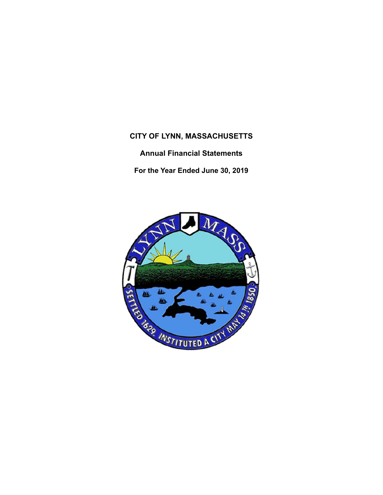**Annual Financial Statements For the Year Ended June 30, 2019** 

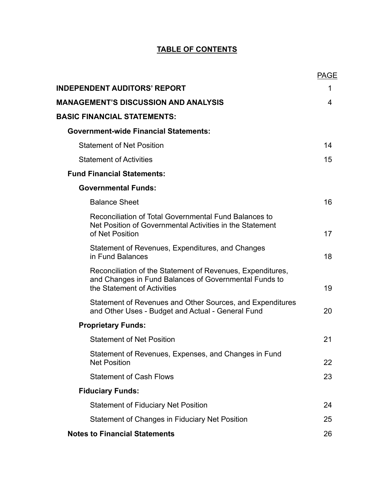# **TABLE OF CONTENTS**

|                                                                                                                                                    | <b>PAGE</b> |
|----------------------------------------------------------------------------------------------------------------------------------------------------|-------------|
| <b>INDEPENDENT AUDITORS' REPORT</b>                                                                                                                | 1           |
| <b>MANAGEMENT'S DISCUSSION AND ANALYSIS</b>                                                                                                        | 4           |
| <b>BASIC FINANCIAL STATEMENTS:</b>                                                                                                                 |             |
| <b>Government-wide Financial Statements:</b>                                                                                                       |             |
| <b>Statement of Net Position</b>                                                                                                                   | 14          |
| <b>Statement of Activities</b>                                                                                                                     | 15          |
| <b>Fund Financial Statements:</b>                                                                                                                  |             |
| <b>Governmental Funds:</b>                                                                                                                         |             |
| <b>Balance Sheet</b>                                                                                                                               | 16          |
| Reconciliation of Total Governmental Fund Balances to<br>Net Position of Governmental Activities in the Statement<br>of Net Position               | 17          |
| Statement of Revenues, Expenditures, and Changes<br>in Fund Balances                                                                               | 18          |
| Reconciliation of the Statement of Revenues, Expenditures,<br>and Changes in Fund Balances of Governmental Funds to<br>the Statement of Activities | 19          |
| Statement of Revenues and Other Sources, and Expenditures<br>and Other Uses - Budget and Actual - General Fund                                     | 20          |
| <b>Proprietary Funds:</b>                                                                                                                          |             |
| <b>Statement of Net Position</b>                                                                                                                   | 21          |
| Statement of Revenues, Expenses, and Changes in Fund<br><b>Net Position</b>                                                                        | 22          |
| <b>Statement of Cash Flows</b>                                                                                                                     | 23          |
| <b>Fiduciary Funds:</b>                                                                                                                            |             |
| <b>Statement of Fiduciary Net Position</b>                                                                                                         | 24          |
| Statement of Changes in Fiduciary Net Position                                                                                                     | 25          |
| <b>Notes to Financial Statements</b>                                                                                                               | 26          |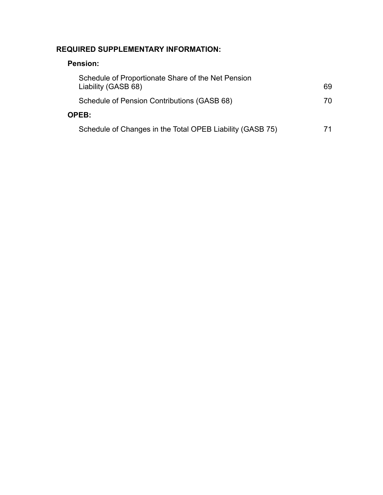# **REQUIRED SUPPLEMENTARY INFORMATION:**

# **Pension:**

| Schedule of Proportionate Share of the Net Pension<br>Liability (GASB 68) | 69 |
|---------------------------------------------------------------------------|----|
| Schedule of Pension Contributions (GASB 68)                               | 70 |
| <b>OPEB:</b>                                                              |    |
| Schedule of Changes in the Total OPEB Liability (GASB 75)                 |    |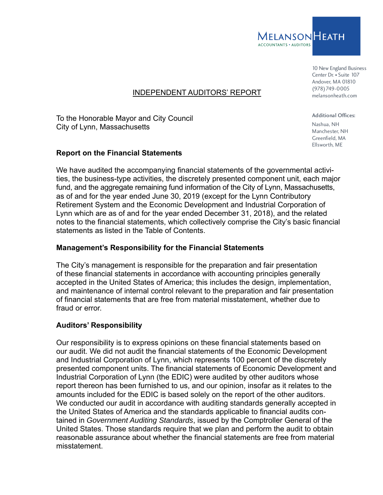

10 New England Business Center Dr. • Suite 107 Andover, MA 01810 (978)749-0005 melansonheath.com

## INDEPENDENT AUDITORS' REPORT

To the Honorable Mayor and City Council City of Lynn, Massachusetts

## **Report on the Financial Statements**

We have audited the accompanying financial statements of the governmental activities, the business-type activities, the discretely presented component unit, each major fund, and the aggregate remaining fund information of the City of Lynn, Massachusetts, as of and for the year ended June 30, 2019 (except for the Lynn Contributory Retirement System and the Economic Development and Industrial Corporation of Lynn which are as of and for the year ended December 31, 2018), and the related notes to the financial statements, which collectively comprise the City's basic financial statements as listed in the Table of Contents.

## **Management's Responsibility for the Financial Statements**

The City's management is responsible for the preparation and fair presentation of these financial statements in accordance with accounting principles generally accepted in the United States of America; this includes the design, implementation, and maintenance of internal control relevant to the preparation and fair presentation of financial statements that are free from material misstatement, whether due to fraud or error.

## **Auditors' Responsibility**

Our responsibility is to express opinions on these financial statements based on our audit. We did not audit the financial statements of the Economic Development and Industrial Corporation of Lynn, which represents 100 percent of the discretely presented component units. The financial statements of Economic Development and Industrial Corporation of Lynn (the EDIC) were audited by other auditors whose report thereon has been furnished to us, and our opinion, insofar as it relates to the amounts included for the EDIC is based solely on the report of the other auditors. We conducted our audit in accordance with auditing standards generally accepted in the United States of America and the standards applicable to financial audits contained in *Government Auditing Standards*, issued by the Comptroller General of the United States. Those standards require that we plan and perform the audit to obtain reasonable assurance about whether the financial statements are free from material misstatement.

Additional Offices: Nashua, NH Manchester, NH Greenfield, MA Ellsworth, ME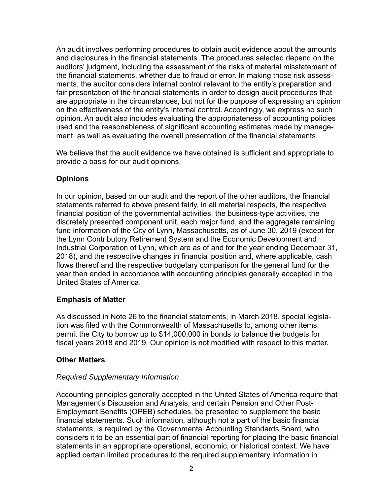An audit involves performing procedures to obtain audit evidence about the amounts and disclosures in the financial statements. The procedures selected depend on the auditors' judgment, including the assessment of the risks of material misstatement of the financial statements, whether due to fraud or error. In making those risk assessments, the auditor considers internal control relevant to the entity's preparation and fair presentation of the financial statements in order to design audit procedures that are appropriate in the circumstances, but not for the purpose of expressing an opinion on the effectiveness of the entity's internal control. Accordingly, we express no such opinion. An audit also includes evaluating the appropriateness of accounting policies used and the reasonableness of significant accounting estimates made by management, as well as evaluating the overall presentation of the financial statements.

We believe that the audit evidence we have obtained is sufficient and appropriate to provide a basis for our audit opinions.

## **Opinions**

In our opinion, based on our audit and the report of the other auditors, the financial statements referred to above present fairly, in all material respects, the respective financial position of the governmental activities, the business-type activities, the discretely presented component unit, each major fund, and the aggregate remaining fund information of the City of Lynn, Massachusetts, as of June 30, 2019 (except for the Lynn Contributory Retirement System and the Economic Development and Industrial Corporation of Lynn, which are as of and for the year ending December 31, 2018), and the respective changes in financial position and, where applicable, cash flows thereof and the respective budgetary comparison for the general fund for the year then ended in accordance with accounting principles generally accepted in the United States of America.

## **Emphasis of Matter**

As discussed in Note 26 to the financial statements, in March 2018, special legislation was filed with the Commonwealth of Massachusetts to, among other items, permit the City to borrow up to \$14,000,000 in bonds to balance the budgets for fiscal years 2018 and 2019. Our opinion is not modified with respect to this matter.

## **Other Matters**

## *Required Supplementary Information*

Accounting principles generally accepted in the United States of America require that Management's Discussion and Analysis, and certain Pension and Other Post-Employment Benefits (OPEB) schedules, be presented to supplement the basic financial statements. Such information, although not a part of the basic financial statements, is required by the Governmental Accounting Standards Board, who considers it to be an essential part of financial reporting for placing the basic financial statements in an appropriate operational, economic, or historical context. We have applied certain limited procedures to the required supplementary information in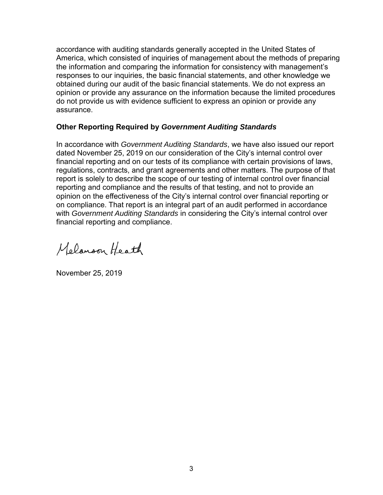accordance with auditing standards generally accepted in the United States of America, which consisted of inquiries of management about the methods of preparing the information and comparing the information for consistency with management's responses to our inquiries, the basic financial statements, and other knowledge we obtained during our audit of the basic financial statements. We do not express an opinion or provide any assurance on the information because the limited procedures do not provide us with evidence sufficient to express an opinion or provide any assurance.

## **Other Reporting Required by** *Government Auditing Standards*

In accordance with *Government Auditing Standards*, we have also issued our report dated November 25, 2019 on our consideration of the City's internal control over financial reporting and on our tests of its compliance with certain provisions of laws, regulations, contracts, and grant agreements and other matters. The purpose of that report is solely to describe the scope of our testing of internal control over financial reporting and compliance and the results of that testing, and not to provide an opinion on the effectiveness of the City's internal control over financial reporting or on compliance. That report is an integral part of an audit performed in accordance with *Government Auditing Standards* in considering the City's internal control over financial reporting and compliance.

Melanson Heath

November 25, 2019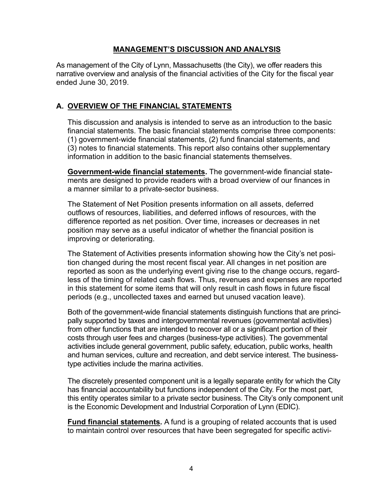## **MANAGEMENT'S DISCUSSION AND ANALYSIS**

As management of the City of Lynn, Massachusetts (the City), we offer readers this narrative overview and analysis of the financial activities of the City for the fiscal year ended June 30, 2019.

## **A. OVERVIEW OF THE FINANCIAL STATEMENTS**

This discussion and analysis is intended to serve as an introduction to the basic financial statements. The basic financial statements comprise three components: (1) government-wide financial statements, (2) fund financial statements, and (3) notes to financial statements. This report also contains other supplementary information in addition to the basic financial statements themselves.

**Government-wide financial statements.** The government-wide financial statements are designed to provide readers with a broad overview of our finances in a manner similar to a private-sector business.

The Statement of Net Position presents information on all assets, deferred outflows of resources, liabilities, and deferred inflows of resources, with the difference reported as net position. Over time, increases or decreases in net position may serve as a useful indicator of whether the financial position is improving or deteriorating.

The Statement of Activities presents information showing how the City's net position changed during the most recent fiscal year. All changes in net position are reported as soon as the underlying event giving rise to the change occurs, regardless of the timing of related cash flows. Thus, revenues and expenses are reported in this statement for some items that will only result in cash flows in future fiscal periods (e.g., uncollected taxes and earned but unused vacation leave).

Both of the government-wide financial statements distinguish functions that are principally supported by taxes and intergovernmental revenues (governmental activities) from other functions that are intended to recover all or a significant portion of their costs through user fees and charges (business-type activities). The governmental activities include general government, public safety, education, public works, health and human services, culture and recreation, and debt service interest. The businesstype activities include the marina activities.

The discretely presented component unit is a legally separate entity for which the City has financial accountability but functions independent of the City. For the most part, this entity operates similar to a private sector business. The City's only component unit is the Economic Development and Industrial Corporation of Lynn (EDIC).

**Fund financial statements.** A fund is a grouping of related accounts that is used to maintain control over resources that have been segregated for specific activi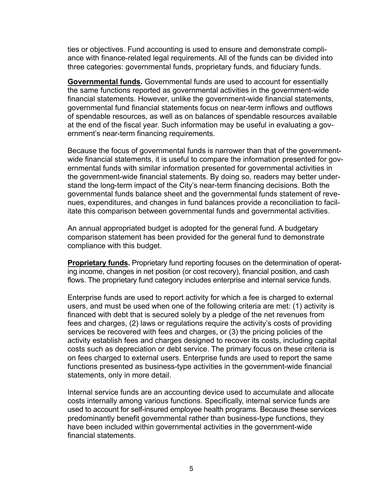ties or objectives. Fund accounting is used to ensure and demonstrate compliance with finance-related legal requirements. All of the funds can be divided into three categories: governmental funds, proprietary funds, and fiduciary funds.

**Governmental funds.** Governmental funds are used to account for essentially the same functions reported as governmental activities in the government-wide financial statements. However, unlike the government-wide financial statements, governmental fund financial statements focus on near-term inflows and outflows of spendable resources, as well as on balances of spendable resources available at the end of the fiscal year. Such information may be useful in evaluating a government's near-term financing requirements.

Because the focus of governmental funds is narrower than that of the governmentwide financial statements, it is useful to compare the information presented for governmental funds with similar information presented for governmental activities in the government-wide financial statements. By doing so, readers may better understand the long-term impact of the City's near-term financing decisions. Both the governmental funds balance sheet and the governmental funds statement of revenues, expenditures, and changes in fund balances provide a reconciliation to facilitate this comparison between governmental funds and governmental activities.

An annual appropriated budget is adopted for the general fund. A budgetary comparison statement has been provided for the general fund to demonstrate compliance with this budget.

**Proprietary funds.** Proprietary fund reporting focuses on the determination of operating income, changes in net position (or cost recovery), financial position, and cash flows. The proprietary fund category includes enterprise and internal service funds.

Enterprise funds are used to report activity for which a fee is charged to external users, and must be used when one of the following criteria are met: (1) activity is financed with debt that is secured solely by a pledge of the net revenues from fees and charges, (2) laws or regulations require the activity's costs of providing services be recovered with fees and charges, or (3) the pricing policies of the activity establish fees and charges designed to recover its costs, including capital costs such as depreciation or debt service. The primary focus on these criteria is on fees charged to external users. Enterprise funds are used to report the same functions presented as business-type activities in the government-wide financial statements, only in more detail.

Internal service funds are an accounting device used to accumulate and allocate costs internally among various functions. Specifically, internal service funds are used to account for self-insured employee health programs. Because these services predominantly benefit governmental rather than business-type functions, they have been included within governmental activities in the government-wide financial statements.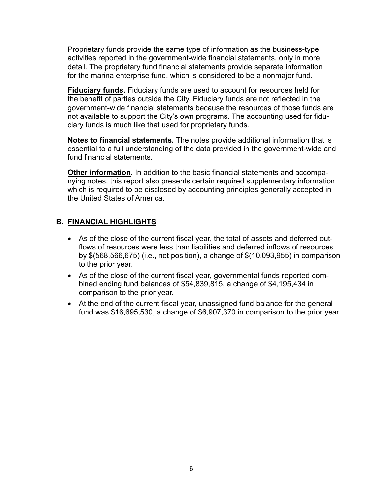Proprietary funds provide the same type of information as the business-type activities reported in the government-wide financial statements, only in more detail. The proprietary fund financial statements provide separate information for the marina enterprise fund, which is considered to be a nonmajor fund.

**Fiduciary funds.** Fiduciary funds are used to account for resources held for the benefit of parties outside the City. Fiduciary funds are not reflected in the government-wide financial statements because the resources of those funds are not available to support the City's own programs. The accounting used for fiduciary funds is much like that used for proprietary funds.

**Notes to financial statements.** The notes provide additional information that is essential to a full understanding of the data provided in the government-wide and fund financial statements.

**Other information.** In addition to the basic financial statements and accompanying notes, this report also presents certain required supplementary information which is required to be disclosed by accounting principles generally accepted in the United States of America.

## **B. FINANCIAL HIGHLIGHTS**

- As of the close of the current fiscal year, the total of assets and deferred outflows of resources were less than liabilities and deferred inflows of resources by \$(568,566,675) (i.e., net position), a change of \$(10,093,955) in comparison to the prior year.
- As of the close of the current fiscal year, governmental funds reported combined ending fund balances of \$54,839,815, a change of \$4,195,434 in comparison to the prior year.
- At the end of the current fiscal year, unassigned fund balance for the general fund was \$16,695,530, a change of \$6,907,370 in comparison to the prior year.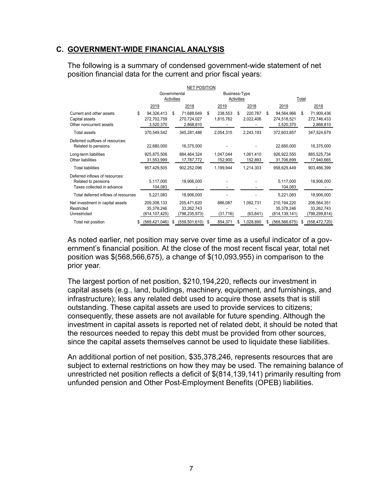## **C. GOVERNMENT-WIDE FINANCIAL ANALYSIS**

The following is a summary of condensed government-wide statement of net position financial data for the current and prior fiscal years:

| <b>NET POSITION</b>                                                                 |    |                                            |      |                                            |               |                      |    |                        |    |                                                |    |                                            |
|-------------------------------------------------------------------------------------|----|--------------------------------------------|------|--------------------------------------------|---------------|----------------------|----|------------------------|----|------------------------------------------------|----|--------------------------------------------|
|                                                                                     |    | Governmental                               |      |                                            | Business-Type |                      |    |                        |    |                                                |    |                                            |
|                                                                                     |    | Activities                                 |      |                                            |               | Activities           |    |                        |    | Total                                          |    |                                            |
|                                                                                     |    | 2019                                       | 2018 |                                            | 2019          |                      |    | 2018                   |    | 2019                                           |    | 2018                                       |
| Current and other assets<br>Capital assets<br>Other noncurrent assets               | \$ | 94,326,413<br>272,702,759<br>3,520,370     | \$   | 71,688,649<br>270,724,027<br>2,868,810     | \$            | 238.553<br>1,815,762 | \$ | 220.787<br>2,022,406   | \$ | 94,564,966<br>274,518,521<br>3,520,370         | \$ | 71,909,436<br>272,746,433<br>2,868,810     |
| <b>Total assets</b>                                                                 |    | 370,549,542                                |      | 345,281,486                                |               | 2,054,315            |    | 2,243,193              |    | 372,603,857                                    |    | 347,524,679                                |
| Deferred outflows of resources:<br>Related to pensions                              |    | 22,680,000                                 |      | 16,375,000                                 |               |                      |    |                        |    | 22,680,000                                     |    | 16,375,000                                 |
| Long-term liabilities<br>Other liabilities                                          |    | 925,875,506<br>31,553,999                  |      | 884,464,324<br>17,787,772                  |               | 1,047,044<br>152,900 |    | 1,061,410<br>152,893   |    | 926,922,550<br>31,706,899                      |    | 885,525,734<br>17,940,665                  |
| <b>Total liabilities</b>                                                            |    | 957,429,505                                |      | 902,252,096                                |               | 1,199,944            |    | 1,214,303              |    | 958,629,449                                    |    | 903,466,399                                |
| Deferred inflows of resources:<br>Related to pensions<br>Taxes collected in advance |    | 5,117,000<br>104,083                       |      | 18,906,000                                 |               |                      |    |                        |    | 5,117,000<br>104,083                           |    | 18,906,000                                 |
| Total deferred inflows of resources                                                 |    | 5,221,083                                  |      | 18,906,000                                 |               |                      |    |                        |    | 5,221,083                                      |    | 18,906,000                                 |
| Net investment in capital assets<br>Restricted<br>Unrestricted                      |    | 209,308,133<br>35,378,246<br>(814,107,425) |      | 205,471,620<br>33,262,743<br>(798,235,973) |               | 886,087<br>(31, 716) |    | 1,092,731<br>(63, 841) |    | 210, 194, 220<br>35,378,246<br>(814, 139, 141) |    | 206,564,351<br>33,262,743<br>(798,299,814) |
| Total net position                                                                  | \$ | (569, 421, 046)                            | S    | (559,501,610)                              | S             | 854,371              |    | 1,028,890              |    | (568,566,675)                                  |    | (558,472,720)                              |

As noted earlier, net position may serve over time as a useful indicator of a government's financial position. At the close of the most recent fiscal year, total net position was \$(568,566,675), a change of \$(10,093,955) in comparison to the prior year.

The largest portion of net position, \$210,194,220, reflects our investment in capital assets (e.g., land, buildings, machinery, equipment, and furnishings, and infrastructure); less any related debt used to acquire those assets that is still outstanding. These capital assets are used to provide services to citizens; consequently, these assets are not available for future spending. Although the investment in capital assets is reported net of related debt, it should be noted that the resources needed to repay this debt must be provided from other sources, since the capital assets themselves cannot be used to liquidate these liabilities.

An additional portion of net position, \$35,378,246, represents resources that are subject to external restrictions on how they may be used. The remaining balance of unrestricted net position reflects a deficit of \$(814,139,141) primarily resulting from unfunded pension and Other Post-Employment Benefits (OPEB) liabilities.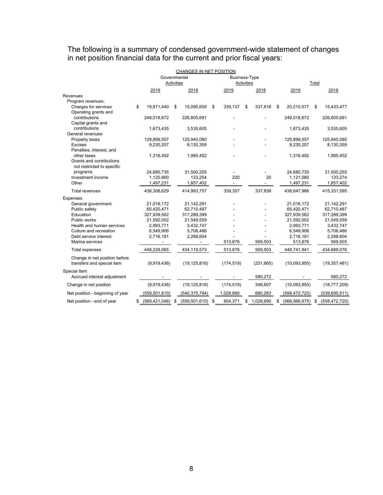The following is a summary of condensed government-wide statement of changes in net position financial data for the current and prior fiscal years:

|                                  |                        |            | CHANGES IN NET POSITION |               |                 |                        |       |                      |
|----------------------------------|------------------------|------------|-------------------------|---------------|-----------------|------------------------|-------|----------------------|
|                                  | Governmental           |            |                         | Business-Type |                 |                        |       |                      |
|                                  |                        | Activities |                         | Activities    |                 |                        | Total |                      |
|                                  | 2019                   |            | 2018                    | 2019          | 2018            | 2019                   |       | 2018                 |
| Revenues                         |                        |            |                         |               |                 |                        |       |                      |
| Program revenues:                |                        |            |                         |               |                 |                        |       |                      |
| Charges for services             | \$<br>19,871,440       | \$         | 15,095,659              | \$<br>339,137 | \$<br>337,818   | \$<br>20,210,577       | \$    | 15,433,477           |
| Operating grants and             |                        |            |                         |               |                 |                        |       |                      |
| contributions                    | 249,018,672            |            | 226,805,691             |               |                 | 249,018,672            |       | 226,805,691          |
| Capital grants and               |                        |            |                         |               |                 |                        |       |                      |
| contributions                    | 1,673,435              |            | 3,535,605               |               |                 | 1,673,435              |       | 3,535,605            |
| General revenues:                |                        |            |                         |               |                 |                        |       |                      |
| Property taxes                   | 129,899,557            |            | 125,940,080             |               |                 | 129,899,557            |       | 125,940,080          |
| Excises                          | 9,230,207              |            | 8,130,359               |               |                 | 9,230,207              |       | 8,130,359            |
| Penalties, interest, and         |                        |            |                         |               |                 |                        |       |                      |
| other taxes                      | 1,316,492              |            | 1,995,452               |               |                 | 1,316,492              |       | 1,995,452            |
| Grants and contributions         |                        |            |                         |               |                 |                        |       |                      |
| not restricted to specific       |                        |            |                         |               |                 |                        |       |                      |
| programs<br>Investment income    | 24,680,735             |            | 31,500,255              | 220           | 20              | 24,680,735             |       | 31,500,255           |
| Other                            | 1,120,860<br>1,497,231 |            | 133,254<br>1,857,402    |               |                 | 1,121,080<br>1,497,231 |       | 133,274<br>1,857,402 |
|                                  |                        |            |                         |               |                 |                        |       |                      |
| <b>Total revenues</b>            | 438,308,629            |            | 414,993,757             | 339,357       | 337,838         | 438,647,986            |       | 415,331,595          |
| Expenses                         |                        |            |                         |               |                 |                        |       |                      |
| General government               | 21,016,172             |            | 21,142,291              |               |                 | 21,016,172             |       | 21,142,291           |
| Public safety                    | 65,420,471             |            | 62,710,487              |               |                 | 65,420,471             |       | 62,710,487           |
| Education                        | 327,939,562            |            | 317,289,399             |               |                 | 327,939,562            |       | 317,289,399          |
| Public works                     | 21,592,002             |            | 21,549,559              |               |                 | 21,592,002             |       | 21,549,559           |
| Health and human services        | 2,993,771              |            | 3,432,747               |               |                 | 2,993,771              |       | 3,432,747            |
| Culture and recreation           | 6,549,906              |            | 5,706,486               |               |                 | 6,549,906              |       | 5,706,486            |
| Debt service interest            | 2,716,181              |            | 2,288,604               |               |                 | 2,716,181              |       | 2,288,604            |
| Marina services                  |                        |            |                         | 513,876       | 569,503         | 513,876                |       | 569,503              |
| Total expenses                   | 448,228,065            |            | 434,119,573             | 513,876       | 569,503         | 448,741,941            |       | 434,689,076          |
| Change in net position before    |                        |            |                         |               |                 |                        |       |                      |
| transfers and special item       | (9,919,436)            |            | (19, 125, 816)          | (174, 519)    | (231, 665)      | (10,093,955)           |       | (19, 357, 481)       |
| Special Item                     |                        |            |                         |               |                 |                        |       |                      |
| Accrued interest adjustment      |                        |            |                         |               | 580,272         |                        |       | 580,272              |
| Change in net position           | (9,919,436)            |            | (19, 125, 816)          | (174, 519)    | 348,607         | (10,093,955)           |       | (18, 777, 209)       |
| Net position - beginning of year | (559, 501, 610)        |            | (540, 375, 794)         | 1,028,890     | 680,283         | (558, 472, 720)        |       | (539, 695, 511)      |
|                                  |                        |            |                         |               |                 |                        |       |                      |
| Net position - end of year       | \$<br>(569, 421, 046)  | \$         | (559, 501, 610)         | \$<br>854,371 | \$<br>1,028,890 | \$<br>(568, 566, 675)  | \$    | (558, 472, 720)      |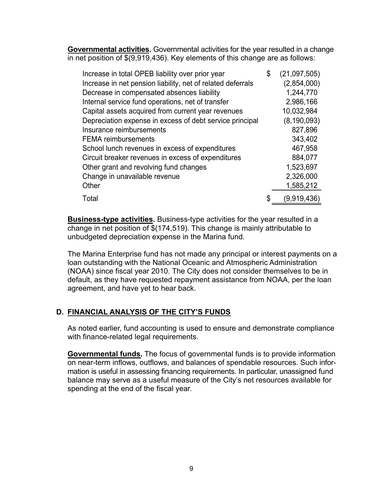**Governmental activities.** Governmental activities for the year resulted in a change in net position of \$(9,919,436). Key elements of this change are as follows:

| Increase in total OPEB liability over prior year            | \$<br>(21,097,505) |
|-------------------------------------------------------------|--------------------|
| Increase in net pension liability, net of related deferrals | (2,854,000)        |
| Decrease in compensated absences liability                  | 1,244,770          |
| Internal service fund operations, net of transfer           | 2,986,166          |
| Capital assets acquired from current year revenues          | 10,032,984         |
| Depreciation expense in excess of debt service principal    | (8, 190, 093)      |
| Insurance reimbursements                                    | 827,896            |
| <b>FEMA</b> reimbursements                                  | 343,402            |
| School lunch revenues in excess of expenditures             | 467,958            |
| Circuit breaker revenues in excess of expenditures          | 884,077            |
| Other grant and revolving fund changes                      | 1,523,697          |
| Change in unavailable revenue                               | 2,326,000          |
| Other                                                       | 1,585,212          |
| Total                                                       | \$<br>(9,919,436)  |

**Business-type activities.** Business-type activities for the year resulted in a change in net position of  $\frac{1}{2}(174,519)$ . This change is mainly attributable to unbudgeted depreciation expense in the Marina fund.

The Marina Enterprise fund has not made any principal or interest payments on a loan outstanding with the National Oceanic and Atmospheric Administration (NOAA) since fiscal year 2010. The City does not consider themselves to be in default, as they have requested repayment assistance from NOAA, per the loan agreement, and have yet to hear back.

# **D. FINANCIAL ANALYSIS OF THE CITY'S FUNDS**

As noted earlier, fund accounting is used to ensure and demonstrate compliance with finance-related legal requirements.

**Governmental funds.** The focus of governmental funds is to provide information on near-term inflows, outflows, and balances of spendable resources. Such information is useful in assessing financing requirements. In particular, unassigned fund balance may serve as a useful measure of the City's net resources available for spending at the end of the fiscal year.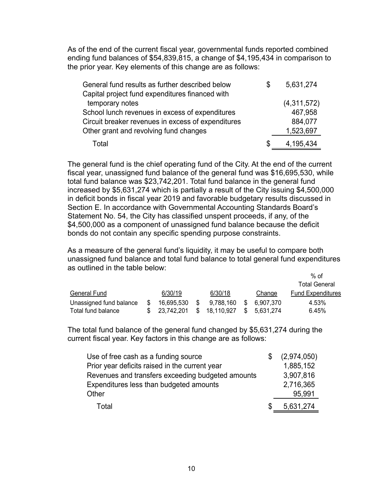As of the end of the current fiscal year, governmental funds reported combined ending fund balances of \$54,839,815, a change of \$4,195,434 in comparison to the prior year. Key elements of this change are as follows:

| General fund results as further described below    |     | 5,631,274   |
|----------------------------------------------------|-----|-------------|
| Capital project fund expenditures financed with    |     |             |
| temporary notes                                    |     | (4,311,572) |
| School lunch revenues in excess of expenditures    |     | 467,958     |
| Circuit breaker revenues in excess of expenditures |     | 884,077     |
| Other grant and revolving fund changes             |     | 1,523,697   |
| Total                                              | \$. | 4,195,434   |

The general fund is the chief operating fund of the City. At the end of the current fiscal year, unassigned fund balance of the general fund was \$16,695,530, while total fund balance was \$23,742,201. Total fund balance in the general fund increased by \$5,631,274 which is partially a result of the City issuing \$4,500,000 in deficit bonds in fiscal year 2019 and favorable budgetary results discussed in Section E. In accordance with Governmental Accounting Standards Board's Statement No. 54, the City has classified unspent proceeds, if any, of the \$4,500,000 as a component of unassigned fund balance because the deficit bonds do not contain any specific spending purpose constraints.

As a measure of the general fund's liquidity, it may be useful to compare both unassigned fund balance and total fund balance to total general fund expenditures as outlined in the table below:  $0/2 of$ 

|                         |            |     |              |    |             | 70. UL                   |
|-------------------------|------------|-----|--------------|----|-------------|--------------------------|
|                         |            |     |              |    |             | <b>Total General</b>     |
| General Fund            | 6/30/19    |     | 6/30/18      |    | Change      | <b>Fund Expenditures</b> |
| Unassigned fund balance | 16.695.530 | \$. | 9,788,160    | S. | 6.907.370   | 4.53%                    |
| Total fund balance      | 23.742.201 |     | \$18,110,927 |    | \$5.631.274 | 6.45%                    |

The total fund balance of the general fund changed by \$5,631,274 during the current fiscal year. Key factors in this change are as follows:

| Use of free cash as a funding source              | (2,974,050) |
|---------------------------------------------------|-------------|
| Prior year deficits raised in the current year    | 1,885,152   |
| Revenues and transfers exceeding budgeted amounts | 3,907,816   |
| Expenditures less than budgeted amounts           | 2,716,365   |
| Other                                             | 95.991      |
| Total                                             | 5,631,274   |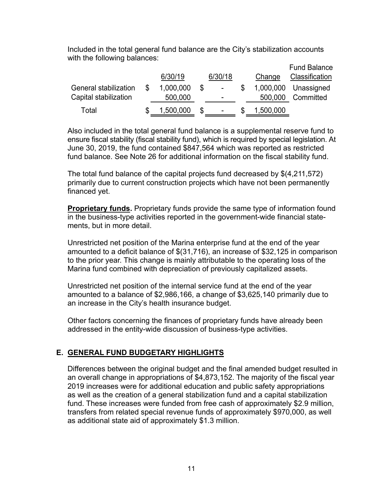Included in the total general fund balance are the City's stabilization accounts with the following balances:

|                                                | 6/30/19              |    | 6/30/18                          | Change    | <b>Fund Balance</b><br>Classification |
|------------------------------------------------|----------------------|----|----------------------------------|-----------|---------------------------------------|
| General stabilization<br>Capital stabilization | 1,000,000<br>500,000 | S. | $\blacksquare$<br>$\blacksquare$ | 500,000   | 1,000,000 Unassigned<br>Committed     |
| Total                                          | 1,500,000            |    | ٠                                | 1,500,000 |                                       |

Also included in the total general fund balance is a supplemental reserve fund to ensure fiscal stability (fiscal stability fund), which is required by special legislation. At June 30, 2019, the fund contained \$847,564 which was reported as restricted fund balance. See Note 26 for additional information on the fiscal stability fund.

The total fund balance of the capital projects fund decreased by \$(4,211,572) primarily due to current construction projects which have not been permanently financed yet.

**Proprietary funds.** Proprietary funds provide the same type of information found in the business-type activities reported in the government-wide financial statements, but in more detail.

Unrestricted net position of the Marina enterprise fund at the end of the year amounted to a deficit balance of \$(31,716), an increase of \$32,125 in comparison to the prior year. This change is mainly attributable to the operating loss of the Marina fund combined with depreciation of previously capitalized assets.

Unrestricted net position of the internal service fund at the end of the year amounted to a balance of \$2,986,166, a change of \$3,625,140 primarily due to an increase in the City's health insurance budget.

Other factors concerning the finances of proprietary funds have already been addressed in the entity-wide discussion of business-type activities.

## **E. GENERAL FUND BUDGETARY HIGHLIGHTS**

Differences between the original budget and the final amended budget resulted in an overall change in appropriations of \$4,873,152. The majority of the fiscal year 2019 increases were for additional education and public safety appropriations as well as the creation of a general stabilization fund and a capital stabilization fund. These increases were funded from free cash of approximately \$2.9 million, transfers from related special revenue funds of approximately \$970,000, as well as additional state aid of approximately \$1.3 million.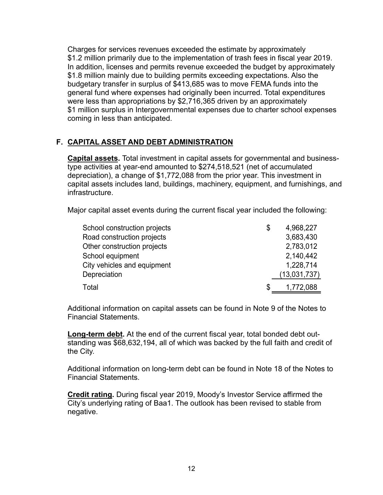Charges for services revenues exceeded the estimate by approximately \$1.2 million primarily due to the implementation of trash fees in fiscal year 2019. In addition, licenses and permits revenue exceeded the budget by approximately \$1.8 million mainly due to building permits exceeding expectations. Also the budgetary transfer in surplus of \$413,685 was to move FEMA funds into the general fund where expenses had originally been incurred. Total expenditures were less than appropriations by \$2,716,365 driven by an approximately \$1 million surplus in Intergovernmental expenses due to charter school expenses coming in less than anticipated.

# **F. CAPITAL ASSET AND DEBT ADMINISTRATION**

**Capital assets.** Total investment in capital assets for governmental and businesstype activities at year-end amounted to \$274,518,521 (net of accumulated depreciation), a change of \$1,772,088 from the prior year. This investment in capital assets includes land, buildings, machinery, equipment, and furnishings, and infrastructure.

Major capital asset events during the current fiscal year included the following:

| School construction projects | \$<br>4,968,227 |
|------------------------------|-----------------|
| Road construction projects   | 3,683,430       |
| Other construction projects  | 2,783,012       |
| School equipment             | 2,140,442       |
| City vehicles and equipment  | 1,228,714       |
| Depreciation                 | (13,031,737)    |
| Total                        | \$<br>1,772,088 |

Additional information on capital assets can be found in Note 9 of the Notes to Financial Statements.

**Long-term debt.** At the end of the current fiscal year, total bonded debt outstanding was \$68,632,194, all of which was backed by the full faith and credit of the City.

Additional information on long-term debt can be found in Note 18 of the Notes to Financial Statements.

**Credit rating.** During fiscal year 2019, Moody's Investor Service affirmed the City's underlying rating of Baa1. The outlook has been revised to stable from negative.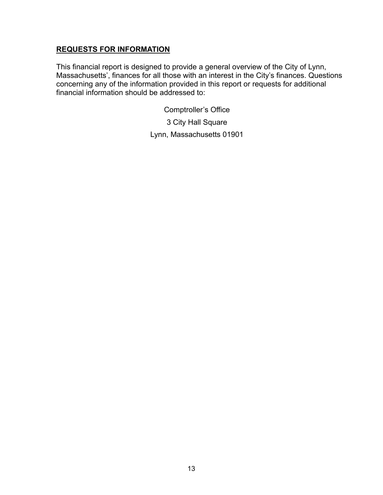## **REQUESTS FOR INFORMATION**

This financial report is designed to provide a general overview of the City of Lynn, Massachusetts', finances for all those with an interest in the City's finances. Questions concerning any of the information provided in this report or requests for additional financial information should be addressed to:

Comptroller's Office

3 City Hall Square

Lynn, Massachusetts 01901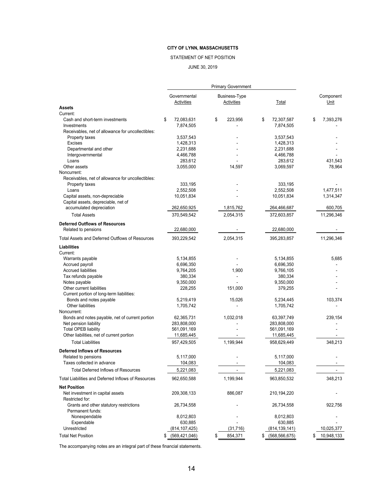#### STATEMENT OF NET POSITION

#### JUNE 30, 2019

|                                                                          |                               | <b>Primary Government</b>   |                               |                   |
|--------------------------------------------------------------------------|-------------------------------|-----------------------------|-------------------------------|-------------------|
|                                                                          | Governmental<br>Activities    | Business-Type<br>Activities | Total                         | Component<br>Unit |
| <b>Assets</b>                                                            |                               |                             |                               |                   |
| Current:                                                                 |                               |                             |                               |                   |
| Cash and short-term investments<br>Investments                           | \$<br>72,083,631<br>7,874,505 | \$<br>223,956               | \$<br>72,307,587<br>7,874,505 | \$<br>7,393,276   |
| Receivables, net of allowance for uncollectibles:                        |                               |                             |                               |                   |
| Property taxes<br>Excises                                                | 3,537,543                     |                             | 3,537,543                     |                   |
| Departmental and other                                                   | 1,428,313<br>2,231,688        |                             | 1,428,313<br>2,231,688        |                   |
| Intergovernmental                                                        | 4,466,788                     |                             | 4,466,788                     |                   |
| Loans                                                                    | 283,612                       |                             | 283,612                       | 431,543           |
| Other assets                                                             | 3,055,000                     | 14,597                      | 3,069,597                     | 78,964            |
| Noncurrent:                                                              |                               |                             |                               |                   |
| Receivables, net of allowance for uncollectibles:                        |                               |                             |                               |                   |
| Property taxes                                                           | 333,195                       |                             | 333,195                       |                   |
| Loans                                                                    | 2,552,508                     |                             | 2,552,508                     | 1,477,511         |
| Capital assets, non-depreciable                                          | 10,051,834                    |                             | 10,051,834                    | 1,314,347         |
| Capital assets, depreciable, net of                                      |                               |                             |                               |                   |
| accumulated depreciation                                                 | 262,650,925                   | 1,815,762                   | 264,466,687                   | 600,705           |
| <b>Total Assets</b>                                                      | 370,549,542                   | 2,054,315                   | 372,603,857                   | 11,296,346        |
| <b>Deferred Outflows of Resources</b>                                    |                               |                             |                               |                   |
| Related to pensions                                                      | 22,680,000                    | $\blacksquare$              | 22,680,000                    | $\blacksquare$    |
| Total Assets and Deferred Outflows of Resources                          | 393,229,542                   | 2,054,315                   | 395,283,857                   | 11,296,346        |
| Liabilities                                                              |                               |                             |                               |                   |
| Current:                                                                 |                               |                             |                               |                   |
| Warrants payable                                                         | 5,134,855                     |                             | 5,134,855                     | 5,685             |
| Accrued payroll                                                          | 6,696,350                     |                             | 6,696,350                     |                   |
| <b>Accrued liabilities</b>                                               | 9,764,205                     | 1,900                       | 9,766,105                     |                   |
| Tax refunds payable                                                      | 380,334                       | ٠                           | 380,334                       |                   |
| Notes payable                                                            | 9,350,000                     |                             | 9,350,000                     |                   |
| Other current liabilities                                                | 228,255                       | 151,000                     | 379,255                       |                   |
| Current portion of long-term liabilities:                                |                               |                             |                               |                   |
| Bonds and notes payable                                                  | 5,219,419                     | 15,026                      | 5,234,445                     | 103,374           |
| Other liabilities                                                        | 1,705,742                     | ÷                           | 1,705,742                     |                   |
| Noncurrent:                                                              |                               |                             |                               |                   |
| Bonds and notes payable, net of current portion<br>Net pension liability | 62,365,731<br>283,808,000     | 1,032,018<br>ä,             | 63,397,749<br>283,808,000     | 239,154           |
| <b>Total OPEB liability</b>                                              | 561,091,169                   |                             | 561,091,169                   |                   |
| Other liabilities, net of current portion                                | 11,685,445                    |                             | 11,685,445                    |                   |
| <b>Total Liabilities</b>                                                 | 957,429,505                   | 1,199,944                   | 958,629,449                   | 348,213           |
|                                                                          |                               |                             |                               |                   |
| <b>Deferred Inflows of Resources</b>                                     |                               |                             |                               |                   |
| Related to pensions<br>Taxes collected in advance                        | 5,117,000<br>104,083          |                             | 5,117,000<br>104,083          |                   |
| <b>Total Deferred Inflows of Resources</b>                               | 5,221,083                     |                             | 5,221,083                     |                   |
| Total Liabilities and Deferred Inflows of Resources                      | 962,650,588                   | 1,199,944                   | 963,850,532                   | 348,213           |
| <b>Net Position</b>                                                      |                               |                             |                               |                   |
| Net investment in capital assets<br>Restricted for:                      | 209,308,133                   | 886,087                     | 210,194,220                   |                   |
| Grants and other statutory restrictions                                  | 26,734,558                    |                             | 26,734,558                    | 922,756           |
| Permanent funds:                                                         |                               |                             |                               |                   |
| Nonexpendable                                                            | 8,012,803                     |                             | 8,012,803                     |                   |
| Expendable                                                               | 630,885                       |                             | 630,885                       |                   |
| Unrestricted                                                             | (814, 107, 425)               | (31, 716)                   | (814, 139, 141)               | 10,025,377        |
| <b>Total Net Position</b>                                                | (569, 421, 046)<br>\$         | 854,371<br>\$               | (568, 566, 675)<br>\$         | 10,948,133<br>\$  |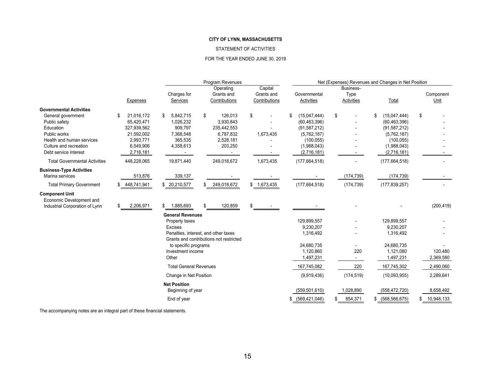#### STATEMENT OF ACTIVITIES

#### FOR THE YEAR ENDED JUNE 30, 2019

|                                      |                    |                               | Program Revenues                        |               |                       |                   | Net (Expenses) Revenues and Changes in Net Position |                  |
|--------------------------------------|--------------------|-------------------------------|-----------------------------------------|---------------|-----------------------|-------------------|-----------------------------------------------------|------------------|
|                                      |                    |                               | Operating                               | Capital       |                       | Business-         |                                                     |                  |
|                                      |                    | Charges for                   | Grants and                              | Grants and    | Governmental          | Type              |                                                     | Component        |
|                                      | <b>Expenses</b>    | Services                      | Contributions                           | Contributions | <b>Activities</b>     | <b>Activities</b> | Total                                               | Unit             |
| <b>Governmental Activities</b>       |                    |                               |                                         |               |                       |                   |                                                     |                  |
| General government                   | 21,016,172<br>\$   | 5,842,715<br>\$               | \$<br>126,013                           | \$            | (15,047,444)          | \$                | (15,047,444)<br>\$                                  | \$               |
| Public safety                        | 65,420,471         | 1,026,232                     | 3,930,843                               |               | (60, 463, 396)        |                   | (60, 463, 396)                                      |                  |
| Education                            | 327,939,562        | 909,797                       | 235,442,553                             |               | (91, 587, 212)        |                   | (91, 587, 212)                                      |                  |
| Public works                         | 21,592,002         | 7,368,548                     | 6,787,832                               | 1,673,435     | (5,762,187)           |                   | (5,762,187)                                         |                  |
| Health and human services            | 2,993,771          | 365,535                       | 2,528,181                               |               | (100, 055)            |                   | (100, 055)                                          |                  |
| Culture and recreation               | 6,549,906          | 4,358,613                     | 203,250                                 |               | (1,988,043)           |                   | (1,988,043)                                         |                  |
| Debt service interest                | 2,716,181          |                               |                                         |               | (2,716,181)           |                   | (2,716,181)                                         |                  |
| <b>Total Governmental Activities</b> | 448,228,065        | 19,871,440                    | 249,018,672                             | 1,673,435     | (177, 664, 518)       |                   | (177, 664, 518)                                     |                  |
| <b>Business-Type Activities</b>      |                    |                               |                                         |               |                       |                   |                                                     |                  |
| Marina services                      | 513,876            | 339,137                       |                                         |               |                       | (174, 739)        | (174, 739)                                          |                  |
| <b>Total Primary Government</b>      | 448,741,941<br>\$. | \$ 20,210,577                 | 249,018,672                             | \$1,673,435   | (177, 664, 518)       | (174, 739)        | (177, 839, 257)                                     |                  |
| <b>Component Unit</b>                |                    |                               |                                         |               |                       |                   |                                                     |                  |
| Economic Development and             |                    |                               |                                         |               |                       |                   |                                                     |                  |
| Industrial Corporation of Lynn       | 2,206,971<br>\$    | 1,885,693<br>\$               | \$<br>120,859                           | \$            |                       |                   |                                                     | (200, 419)       |
|                                      |                    | <b>General Revenues</b>       |                                         |               |                       |                   |                                                     |                  |
|                                      |                    | Property taxes                |                                         |               | 129,899,557           |                   | 129,899,557                                         |                  |
|                                      |                    | Excises                       |                                         |               | 9,230,207             |                   | 9,230,207                                           |                  |
|                                      |                    |                               | Penalties, interest, and other taxes    |               | 1,316,492             |                   | 1,316,492                                           |                  |
|                                      |                    |                               | Grants and contributions not restricted |               |                       |                   |                                                     |                  |
|                                      |                    | to specific programs          |                                         |               | 24,680,735            |                   | 24,680,735                                          |                  |
|                                      |                    | Investment income             |                                         |               | 1,120,860             | 220               | 1,121,080                                           | 120,480          |
|                                      |                    | Other                         |                                         |               | 1,497,231             |                   | 1,497,231                                           | 2,369,580        |
|                                      |                    | <b>Total General Revenues</b> |                                         |               | 167,745,082           | 220               | 167,745,302                                         | 2,490,060        |
|                                      |                    | Change in Net Position        |                                         |               | (9,919,436)           | (174, 519)        | (10,093,955)                                        | 2,289,641        |
|                                      |                    |                               |                                         |               |                       |                   |                                                     |                  |
|                                      |                    | <b>Net Position</b>           |                                         |               |                       |                   |                                                     |                  |
|                                      |                    | Beginning of year             |                                         |               | (559, 501, 610)       | 1,028,890         | (558, 472, 720)                                     | 8,658,492        |
|                                      |                    | End of year                   |                                         |               | (569, 421, 046)<br>S. | 854,371<br>\$     | \$ (568, 566, 675)                                  | 10,948,133<br>S. |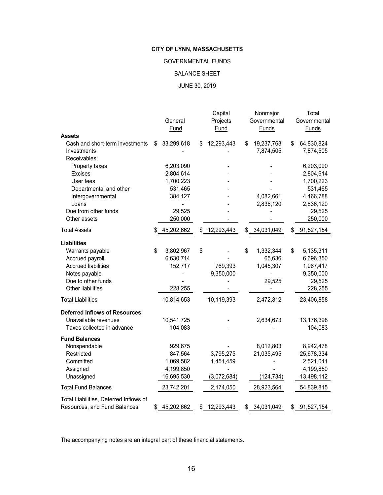#### GOVERNMENTAL FUNDS

### BALANCE SHEET

#### JUNE 30, 2019

|                                                | General<br>Fund  | Capital<br>Projects<br>Fund | Nonmajor<br>Governmental<br><b>Funds</b> | Total<br>Governmental<br><b>Funds</b> |
|------------------------------------------------|------------------|-----------------------------|------------------------------------------|---------------------------------------|
| <b>Assets</b>                                  |                  |                             |                                          |                                       |
| Cash and short-term investments<br>Investments | \$<br>33,299,618 | \$<br>12,293,443            | \$<br>19,237,763<br>7,874,505            | \$<br>64,830,824<br>7,874,505         |
| Receivables:                                   |                  |                             |                                          |                                       |
| Property taxes                                 | 6,203,090        |                             |                                          | 6,203,090                             |
| Excises                                        | 2,804,614        |                             |                                          | 2,804,614                             |
| User fees                                      | 1,700,223        |                             |                                          | 1,700,223                             |
| Departmental and other                         | 531,465          |                             |                                          | 531,465                               |
| Intergovernmental                              | 384,127          |                             | 4,082,661                                | 4,466,788                             |
| Loans                                          |                  |                             | 2,836,120                                | 2,836,120                             |
| Due from other funds                           | 29,525           |                             |                                          | 29,525                                |
| Other assets                                   | 250,000          |                             |                                          | 250,000                               |
| <b>Total Assets</b>                            | \$<br>45,202,662 | \$<br>12,293,443            | \$<br>34,031,049                         | \$<br>91,527,154                      |
| <b>Liabilities</b>                             |                  |                             |                                          |                                       |
| Warrants payable                               | \$<br>3,802,967  | \$                          | \$<br>1,332,344                          | \$<br>5,135,311                       |
| Accrued payroll                                | 6,630,714        |                             | 65,636                                   | 6,696,350                             |
| <b>Accrued liabilities</b>                     | 152,717          | 769,393                     | 1,045,307                                | 1,967,417                             |
| Notes payable                                  |                  | 9,350,000                   |                                          | 9,350,000                             |
| Due to other funds<br>Other liabilities        | 228,255          |                             | 29,525                                   | 29,525                                |
|                                                |                  |                             |                                          | 228,255                               |
| <b>Total Liabilities</b>                       | 10,814,653       | 10,119,393                  | 2,472,812                                | 23,406,858                            |
| <b>Deferred Inflows of Resources</b>           |                  |                             |                                          |                                       |
| Unavailable revenues                           | 10,541,725       |                             | 2,634,673                                | 13,176,398                            |
| Taxes collected in advance                     | 104,083          |                             |                                          | 104,083                               |
| <b>Fund Balances</b>                           |                  |                             |                                          |                                       |
| Nonspendable                                   | 929,675          |                             | 8,012,803                                | 8,942,478                             |
| Restricted                                     | 847,564          | 3,795,275                   | 21,035,495                               | 25,678,334                            |
| Committed                                      | 1,069,582        | 1,451,459                   |                                          | 2,521,041                             |
| Assigned                                       | 4,199,850        |                             |                                          | 4,199,850                             |
| Unassigned                                     | 16,695,530       | (3,072,684)                 | (124, 734)                               | 13,498,112                            |
| <b>Total Fund Balances</b>                     | 23,742,201       | 2,174,050                   | 28,923,564                               | 54,839,815                            |
| Total Liabilities, Deferred Inflows of         |                  |                             |                                          |                                       |
| Resources, and Fund Balances                   | \$<br>45,202,662 | \$<br>12,293,443            | \$<br>34,031,049                         | \$<br>91,527,154                      |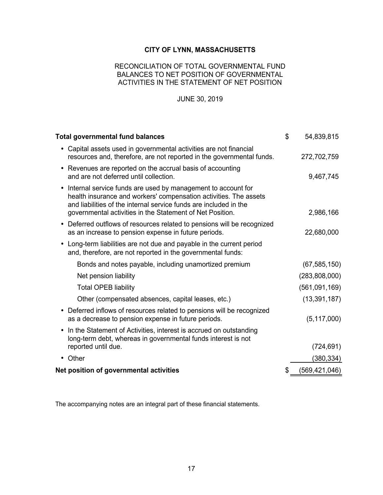## RECONCILIATION OF TOTAL GOVERNMENTAL FUND BALANCES TO NET POSITION OF GOVERNMENTAL ACTIVITIES IN THE STATEMENT OF NET POSITION

## JUNE 30, 2019

| <b>Total governmental fund balances</b>                                                                                                                                                                                                                                          | \$<br>54,839,815      |
|----------------------------------------------------------------------------------------------------------------------------------------------------------------------------------------------------------------------------------------------------------------------------------|-----------------------|
| Capital assets used in governmental activities are not financial<br>٠<br>resources and, therefore, are not reported in the governmental funds.                                                                                                                                   | 272,702,759           |
| Revenues are reported on the accrual basis of accounting<br>$\bullet$<br>and are not deferred until collection.                                                                                                                                                                  | 9,467,745             |
| Internal service funds are used by management to account for<br>$\bullet$<br>health insurance and workers' compensation activities. The assets<br>and liabilities of the internal service funds are included in the<br>governmental activities in the Statement of Net Position. | 2,986,166             |
| Deferred outflows of resources related to pensions will be recognized<br>$\bullet$<br>as an increase to pension expense in future periods.                                                                                                                                       | 22,680,000            |
| Long-term liabilities are not due and payable in the current period<br>and, therefore, are not reported in the governmental funds:                                                                                                                                               |                       |
| Bonds and notes payable, including unamortized premium                                                                                                                                                                                                                           | (67, 585, 150)        |
| Net pension liability                                                                                                                                                                                                                                                            | (283, 808, 000)       |
| <b>Total OPEB liability</b>                                                                                                                                                                                                                                                      | (561, 091, 169)       |
| Other (compensated absences, capital leases, etc.)                                                                                                                                                                                                                               | (13, 391, 187)        |
| Deferred inflows of resources related to pensions will be recognized<br>$\bullet$<br>as a decrease to pension expense in future periods.                                                                                                                                         | (5, 117, 000)         |
| In the Statement of Activities, interest is accrued on outstanding<br>$\bullet$<br>long-term debt, whereas in governmental funds interest is not<br>reported until due.                                                                                                          | (724, 691)            |
| • Other                                                                                                                                                                                                                                                                          | (380, 334)            |
| Net position of governmental activities                                                                                                                                                                                                                                          | \$<br>(569, 421, 046) |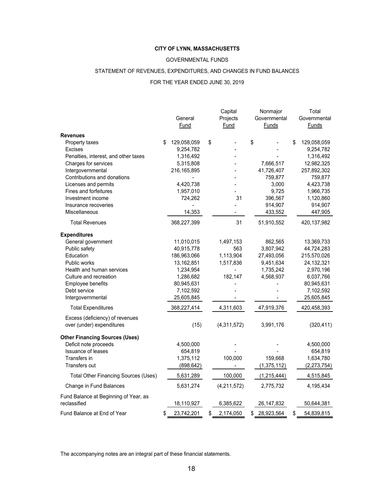#### GOVERNMENTAL FUNDS

#### STATEMENT OF REVENUES, EXPENDITURES, AND CHANGES IN FUND BALANCES

#### FOR THE YEAR ENDED JUNE 30, 2019

|                                             |                   | Capital         | Nonmajor         | Total             |
|---------------------------------------------|-------------------|-----------------|------------------|-------------------|
|                                             | General           | Projects        | Governmental     | Governmental      |
|                                             | Fund              | Fund            | <b>Funds</b>     | <b>Funds</b>      |
| <b>Revenues</b>                             |                   |                 |                  |                   |
| Property taxes                              | \$<br>129,058,059 | \$              | \$               | \$<br>129,058,059 |
| <b>Excises</b>                              | 9,254,782         |                 |                  | 9,254,782         |
| Penalties, interest, and other taxes        | 1,316,492         |                 |                  | 1,316,492         |
| Charges for services                        | 5,315,808         |                 | 7,666,517        | 12,982,325        |
| Intergovernmental                           | 216,165,895       |                 | 41,726,407       | 257,892,302       |
| Contributions and donations                 |                   |                 | 759,877          | 759,877           |
| Licenses and permits                        | 4,420,738         |                 | 3,000            | 4,423,738         |
| Fines and forfeitures                       | 1,957,010         |                 | 9,725            | 1,966,735         |
| Investment income                           | 724,262           | 31              | 396,567          | 1,120,860         |
| Insurance recoveries                        |                   |                 | 914,907          | 914,907           |
| <b>Miscellaneous</b>                        | 14,353            |                 | 433,552          | 447,905           |
| <b>Total Revenues</b>                       | 368,227,399       | 31              | 51,910,552       | 420,137,982       |
| <b>Expenditures</b>                         |                   |                 |                  |                   |
| General government                          | 11,010,015        | 1,497,153       | 862,565          | 13,369,733        |
| Public safety                               | 40,915,778        | 563             | 3,807,942        | 44,724,283        |
| Education                                   | 186,963,066       | 1,113,904       | 27,493,056       | 215,570,026       |
| Public works                                | 13,162,851        | 1,517,836       | 9,451,634        | 24, 132, 321      |
| Health and human services                   | 1,234,954         |                 | 1,735,242        | 2,970,196         |
| Culture and recreation                      | 1,286,682         | 182,147         | 4,568,937        | 6,037,766         |
| Employee benefits                           | 80,945,631        |                 |                  | 80,945,631        |
| Debt service                                | 7,102,592         |                 |                  | 7,102,592         |
| Intergovernmental                           | 25,605,845        |                 |                  | 25,605,845        |
| <b>Total Expenditures</b>                   | 368,227,414       | 4,311,603       | 47,919,376       | 420,458,393       |
| Excess (deficiency) of revenues             |                   |                 |                  |                   |
| over (under) expenditures                   | (15)              | (4, 311, 572)   | 3,991,176        | (320, 411)        |
| <b>Other Financing Sources (Uses)</b>       |                   |                 |                  |                   |
| Deficit note proceeds                       | 4,500,000         |                 |                  | 4,500,000         |
| <b>Issuance of leases</b>                   | 654,819           |                 |                  | 654,819           |
| Transfers in                                | 1,375,112         | 100,000         | 159,668          | 1,634,780         |
| Transfers out                               | (898, 642)        |                 | (1,375,112)      | (2, 273, 754)     |
| <b>Total Other Financing Sources (Uses)</b> | 5,631,289         | 100,000         | (1,215,444)      | 4,515,845         |
| Change in Fund Balances                     | 5,631,274         | (4,211,572)     | 2,775,732        | 4,195,434         |
| Fund Balance at Beginning of Year, as       |                   |                 |                  |                   |
| reclassified                                | 18,110,927        | 6,385,622       | 26, 147, 832     | 50,644,381        |
| Fund Balance at End of Year                 | \$<br>23,742,201  | \$<br>2,174,050 | \$<br>28,923,564 | \$<br>54,839,815  |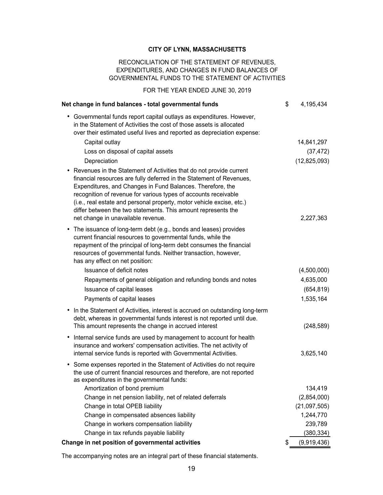### RECONCILIATION OF THE STATEMENT OF REVENUES, EXPENDITURES, AND CHANGES IN FUND BALANCES OF GOVERNMENTAL FUNDS TO THE STATEMENT OF ACTIVITIES

#### FOR THE YEAR ENDED JUNE 30, 2019

| Net change in fund balances - total governmental funds                                                                                                                                                                                                                                                                                                                                                                                                       | \$<br>4,195,434   |
|--------------------------------------------------------------------------------------------------------------------------------------------------------------------------------------------------------------------------------------------------------------------------------------------------------------------------------------------------------------------------------------------------------------------------------------------------------------|-------------------|
| • Governmental funds report capital outlays as expenditures. However,<br>in the Statement of Activities the cost of those assets is allocated<br>over their estimated useful lives and reported as depreciation expense:                                                                                                                                                                                                                                     |                   |
| Capital outlay                                                                                                                                                                                                                                                                                                                                                                                                                                               | 14,841,297        |
| Loss on disposal of capital assets                                                                                                                                                                                                                                                                                                                                                                                                                           | (37, 472)         |
| Depreciation                                                                                                                                                                                                                                                                                                                                                                                                                                                 | (12, 825, 093)    |
| Revenues in the Statement of Activities that do not provide current<br>financial resources are fully deferred in the Statement of Revenues,<br>Expenditures, and Changes in Fund Balances. Therefore, the<br>recognition of revenue for various types of accounts receivable<br>(i.e., real estate and personal property, motor vehicle excise, etc.)<br>differ between the two statements. This amount represents the<br>net change in unavailable revenue. | 2,227,363         |
| The issuance of long-term debt (e.g., bonds and leases) provides<br>٠<br>current financial resources to governmental funds, while the<br>repayment of the principal of long-term debt consumes the financial<br>resources of governmental funds. Neither transaction, however,<br>has any effect on net position:                                                                                                                                            |                   |
| Issuance of deficit notes                                                                                                                                                                                                                                                                                                                                                                                                                                    | (4,500,000)       |
| Repayments of general obligation and refunding bonds and notes                                                                                                                                                                                                                                                                                                                                                                                               | 4,635,000         |
| Issuance of capital leases                                                                                                                                                                                                                                                                                                                                                                                                                                   | (654, 819)        |
| Payments of capital leases                                                                                                                                                                                                                                                                                                                                                                                                                                   | 1,535,164         |
| • In the Statement of Activities, interest is accrued on outstanding long-term<br>debt, whereas in governmental funds interest is not reported until due.<br>This amount represents the change in accrued interest                                                                                                                                                                                                                                           | (248, 589)        |
| • Internal service funds are used by management to account for health<br>insurance and workers' compensation activities. The net activity of<br>internal service funds is reported with Governmental Activities.                                                                                                                                                                                                                                             | 3,625,140         |
| Some expenses reported in the Statement of Activities do not require<br>the use of current financial resources and therefore, are not reported<br>as expenditures in the governmental funds:                                                                                                                                                                                                                                                                 |                   |
| Amortization of bond premium                                                                                                                                                                                                                                                                                                                                                                                                                                 | 134,419           |
| Change in net pension liability, net of related deferrals                                                                                                                                                                                                                                                                                                                                                                                                    | (2,854,000)       |
| Change in total OPEB liability                                                                                                                                                                                                                                                                                                                                                                                                                               | (21,097,505)      |
| Change in compensated absences liability                                                                                                                                                                                                                                                                                                                                                                                                                     | 1,244,770         |
| Change in workers compensation liability                                                                                                                                                                                                                                                                                                                                                                                                                     | 239,789           |
| Change in tax refunds payable liability                                                                                                                                                                                                                                                                                                                                                                                                                      | (380,334)         |
| Change in net position of governmental activities                                                                                                                                                                                                                                                                                                                                                                                                            | \$<br>(9,919,436) |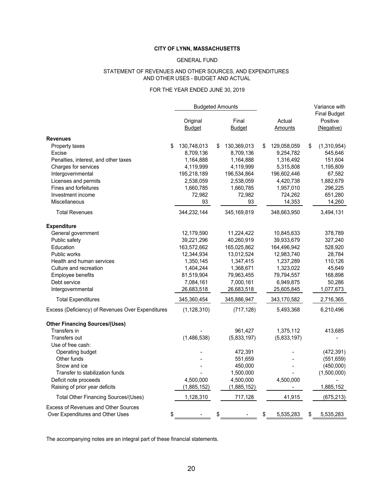#### GENERAL FUND

#### AND OTHER USES - BUDGET AND ACTUAL STATEMENT OF REVENUES AND OTHER SOURCES, AND EXPENDITURES

#### FOR THE YEAR ENDED JUNE 30, 2019

|                                                   |                           |    | <b>Budgeted Amounts</b> |             |                   | Variance with                                 |
|---------------------------------------------------|---------------------------|----|-------------------------|-------------|-------------------|-----------------------------------------------|
|                                                   | Original<br><b>Budget</b> |    | Final<br><b>Budget</b>  |             | Actual<br>Amounts | <b>Final Budget</b><br>Positive<br>(Negative) |
| <b>Revenues</b>                                   |                           |    |                         |             |                   |                                               |
| Property taxes                                    | \$<br>130,748,013         |    | 130,369,013<br>\$       |             | \$<br>129,058,059 | \$<br>(1,310,954)                             |
| Excise                                            | 8,709,136                 |    |                         | 8,709,136   | 9,254,782         | 545,646                                       |
| Penalties, interest, and other taxes              | 1,164,888                 |    |                         | 1,164,888   | 1,316,492         | 151,604                                       |
| Charges for services                              | 4,119,999                 |    |                         | 4,119,999   | 5,315,808         | 1,195,809                                     |
| Intergovernmental                                 | 195,218,189               |    | 196,534,864             |             | 196,602,446       | 67,582                                        |
| Licenses and permits                              | 2,538,059                 |    |                         | 2,538,059   | 4,420,738         | 1,882,679                                     |
| Fines and forfeitures                             | 1,660,785                 |    |                         | 1,660,785   | 1,957,010         | 296,225                                       |
| Investment income                                 | 72,982                    |    |                         | 72,982      | 724,262           | 651,280                                       |
| Miscellaneous                                     |                           | 93 |                         | 93          | 14,353            | 14,260                                        |
| <b>Total Revenues</b>                             | 344,232,144               |    | 345,169,819             |             | 348,663,950       | 3,494,131                                     |
| <b>Expenditure</b>                                |                           |    |                         |             |                   |                                               |
| General government                                | 12,179,590                |    |                         | 11,224,422  | 10,845,633        | 378,789                                       |
| Public safety                                     | 39,221,296                |    |                         | 40,260,919  | 39,933,679        | 327,240                                       |
| Education                                         | 163,572,662               |    | 165,025,862             |             | 164,496,942       | 528,920                                       |
| <b>Public works</b>                               | 12,344,934                |    |                         | 13,012,524  | 12,983,740        | 28,784                                        |
| Health and human services                         | 1,350,145                 |    |                         | 1,347,415   | 1,237,289         | 110,126                                       |
| Culture and recreation                            | 1,404,244                 |    |                         | 1,368,671   | 1,323,022         | 45,649                                        |
| Employee benefits                                 | 81,519,904                |    |                         | 79,963,455  | 79,794,557        | 168,898                                       |
| Debt service                                      | 7,084,161                 |    |                         | 7,000,161   | 6,949,875         | 50,286                                        |
| Intergovernmental                                 | 26,683,518                |    |                         | 26,683,518  | 25,605,845        | 1,077,673                                     |
| <b>Total Expenditures</b>                         | 345,360,454               |    | 345,886,947             |             | 343,170,582       | 2,716,365                                     |
| Excess (Deficiency) of Revenues Over Expenditures | (1, 128, 310)             |    |                         | (717, 128)  | 5,493,368         | 6,210,496                                     |
| <b>Other Financing Sources/(Uses)</b>             |                           |    |                         |             |                   |                                               |
| Transfers in                                      |                           |    |                         | 961,427     | 1,375,112         | 413,685                                       |
| Transfers out                                     | (1,486,538)               |    |                         | (5,833,197) | (5,833,197)       |                                               |
| Use of free cash:                                 |                           |    |                         |             |                   |                                               |
| Operating budget                                  |                           |    |                         | 472,391     |                   | (472, 391)                                    |
| Other funds                                       |                           |    |                         | 551,659     |                   | (551, 659)                                    |
| Snow and ice                                      |                           |    |                         | 450,000     |                   | (450,000)                                     |
| Transfer to stabilization funds                   |                           |    |                         | 1,500,000   |                   | (1,500,000)                                   |
| Deficit note proceeds                             | 4,500,000                 |    |                         | 4,500,000   | 4,500,000         |                                               |
| Raising of prior year deficits                    | (1,885,152)               |    |                         | (1,885,152) |                   | 1,885,152                                     |
| Total Other Financing Sources/(Uses)              | 1,128,310                 |    |                         | 717,128     | 41,915            | (675, 213)                                    |
| <b>Excess of Revenues and Other Sources</b>       |                           |    |                         |             |                   |                                               |
| Over Expenditures and Other Uses                  | \$                        | \$ |                         |             | \$<br>5,535,283   | \$<br>5,535,283                               |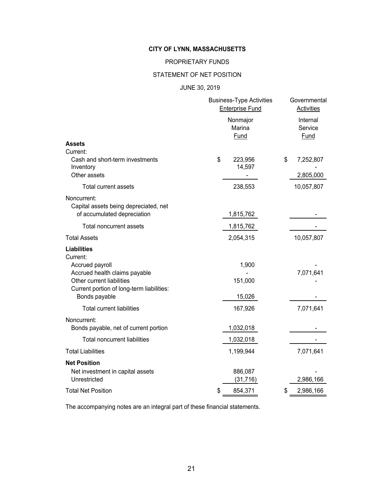#### PROPRIETARY FUNDS

### STATEMENT OF NET POSITION

## JUNE 30, 2019

|                                                                                                                                             | <b>Business-Type Activities</b><br><b>Enterprise Fund</b> | Governmental<br><b>Activities</b> |
|---------------------------------------------------------------------------------------------------------------------------------------------|-----------------------------------------------------------|-----------------------------------|
|                                                                                                                                             | Nonmajor<br>Marina<br>Fund                                | Internal<br>Service<br>Fund       |
| <b>Assets</b>                                                                                                                               |                                                           |                                   |
| Current:<br>Cash and short-term investments<br>Inventory<br>Other assets                                                                    | \$<br>223,956<br>14,597                                   | \$<br>7,252,807<br>2,805,000      |
| Total current assets                                                                                                                        | 238,553                                                   | 10,057,807                        |
| Noncurrent:<br>Capital assets being depreciated, net<br>of accumulated depreciation                                                         | 1,815,762                                                 |                                   |
| <b>Total noncurrent assets</b>                                                                                                              | 1,815,762                                                 |                                   |
| <b>Total Assets</b>                                                                                                                         | 2,054,315                                                 | 10,057,807                        |
| <b>Liabilities</b><br>Current:                                                                                                              |                                                           |                                   |
| Accrued payroll<br>Accrued health claims payable<br>Other current liabilities<br>Current portion of long-term liabilities:<br>Bonds payable | 1,900<br>151,000<br>15,026                                | 7,071,641                         |
| <b>Total current liabilities</b>                                                                                                            | 167,926                                                   | 7,071,641                         |
| Noncurrent:<br>Bonds payable, net of current portion                                                                                        | 1,032,018                                                 |                                   |
| <b>Total noncurrent liabilities</b>                                                                                                         | 1,032,018                                                 |                                   |
| <b>Total Liabilities</b>                                                                                                                    | 1,199,944                                                 | 7,071,641                         |
| <b>Net Position</b><br>Net investment in capital assets<br>Unrestricted                                                                     | 886,087<br>(31, 716)                                      | 2,986,166                         |
| <b>Total Net Position</b>                                                                                                                   | \$<br>854,371                                             | \$<br>2,986,166                   |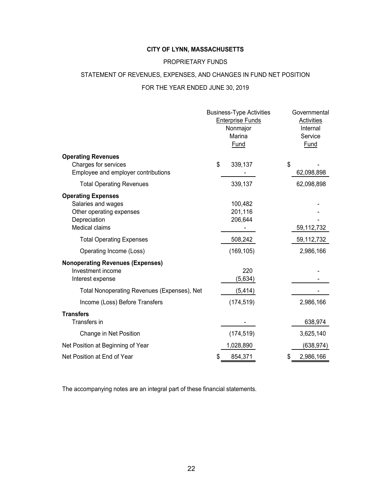#### PROPRIETARY FUNDS

### STATEMENT OF REVENUES, EXPENSES, AND CHANGES IN FUND NET POSITION

## FOR THE YEAR ENDED JUNE 30, 2019

|                                                                                                                      | <b>Business-Type Activities</b><br><b>Enterprise Funds</b><br>Nonmajor<br>Marina<br>Fund | Governmental<br>Activities<br>Internal<br>Service<br>Fund |
|----------------------------------------------------------------------------------------------------------------------|------------------------------------------------------------------------------------------|-----------------------------------------------------------|
| <b>Operating Revenues</b><br>Charges for services                                                                    | \$<br>339,137                                                                            | \$                                                        |
| Employee and employer contributions                                                                                  |                                                                                          | 62,098,898                                                |
| <b>Total Operating Revenues</b>                                                                                      | 339,137                                                                                  | 62,098,898                                                |
| <b>Operating Expenses</b><br>Salaries and wages<br>Other operating expenses<br>Depreciation<br><b>Medical claims</b> | 100,482<br>201,116<br>206,644                                                            | 59,112,732                                                |
| <b>Total Operating Expenses</b>                                                                                      | 508,242                                                                                  | 59,112,732                                                |
| Operating Income (Loss)                                                                                              | (169, 105)                                                                               | 2,986,166                                                 |
| <b>Nonoperating Revenues (Expenses)</b><br>Investment income<br>Interest expense                                     | 220<br>(5,634)                                                                           |                                                           |
| Total Nonoperating Revenues (Expenses), Net                                                                          | (5, 414)                                                                                 |                                                           |
| Income (Loss) Before Transfers                                                                                       | (174, 519)                                                                               | 2,986,166                                                 |
| <b>Transfers</b><br>Transfers in                                                                                     |                                                                                          | 638,974                                                   |
| Change in Net Position                                                                                               | (174, 519)                                                                               | 3,625,140                                                 |
| Net Position at Beginning of Year                                                                                    | 1,028,890                                                                                | (638, 974)                                                |
| Net Position at End of Year                                                                                          | \$<br>854,371                                                                            | 2,986,166                                                 |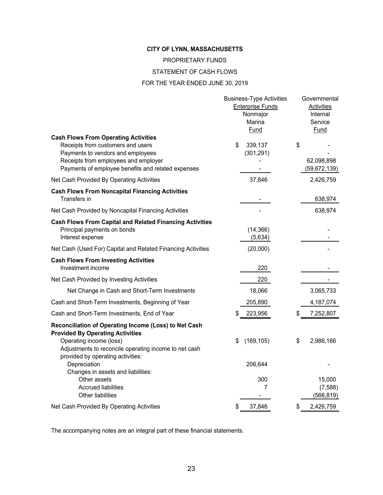PROPRIETARY FUNDS

### STATEMENT OF CASH FLOWS

### FOR THE YEAR ENDED JUNE 30, 2019

|                                                                                                                                                                                                                           | <b>Business-Type Activities</b><br><b>Enterprise Funds</b><br>Nonmajor |                       | Governmental<br>Activities<br>Internal |
|---------------------------------------------------------------------------------------------------------------------------------------------------------------------------------------------------------------------------|------------------------------------------------------------------------|-----------------------|----------------------------------------|
|                                                                                                                                                                                                                           |                                                                        | Marina                | Service                                |
| <b>Cash Flows From Operating Activities</b>                                                                                                                                                                               |                                                                        | Fund                  | <b>Fund</b>                            |
| Receipts from customers and users<br>Payments to vendors and employees<br>Receipts from employees and employer<br>Payments of employee benefits and related expenses                                                      | \$                                                                     | 339,137<br>(301, 291) | \$<br>62,098,898<br>(59,672,139)       |
| Net Cash Provided By Operating Activities                                                                                                                                                                                 |                                                                        | 37,846                | 2,426,759                              |
| <b>Cash Flows From Noncapital Financing Activities</b><br>Transfers in                                                                                                                                                    |                                                                        |                       | 638,974                                |
| Net Cash Provided by Noncapital Financing Activities                                                                                                                                                                      |                                                                        |                       | 638,974                                |
| <b>Cash Flows From Capital and Related Financing Activities</b><br>Principal payments on bonds<br>Interest expense                                                                                                        |                                                                        | (14, 366)<br>(5,634)  |                                        |
| Net Cash (Used For) Capital and Related Financing Activities                                                                                                                                                              |                                                                        | (20,000)              |                                        |
| <b>Cash Flows From Investing Activities</b><br>Investment income                                                                                                                                                          |                                                                        | 220                   |                                        |
| Net Cash Provided by Investing Activities                                                                                                                                                                                 |                                                                        | 220                   |                                        |
| Net Change in Cash and Short-Term Investments                                                                                                                                                                             |                                                                        | 18,066                | 3,065,733                              |
| Cash and Short-Term Investments, Beginning of Year                                                                                                                                                                        |                                                                        | 205,890               | 4,187,074                              |
| Cash and Short-Term Investments, End of Year                                                                                                                                                                              | \$                                                                     | 223,956               | 7,252,807                              |
| Reconciliation of Operating Income (Loss) to Net Cash<br><b>Provided By Operating Activities</b><br>Operating income (loss)<br>Adjustments to reconcile operating income to net cash<br>provided by operating activities: | \$                                                                     | (169, 105)            | \$<br>2,986,166                        |
| Depreciation                                                                                                                                                                                                              |                                                                        | 206,644               |                                        |
| Changes in assets and liabilities:<br>Other assets<br><b>Accrued liabilities</b><br>Other liabilities                                                                                                                     |                                                                        | 300<br>7              | 15,000<br>(7,588)<br>(566, 819)        |
| Net Cash Provided By Operating Activities                                                                                                                                                                                 | \$                                                                     | 37,846                | \$<br>2,426,759                        |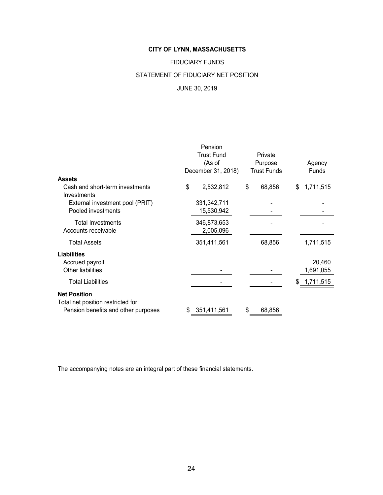FIDUCIARY FUNDS

#### STATEMENT OF FIDUCIARY NET POSITION

JUNE 30, 2019

|                                                           | Pension            |                    |                 |
|-----------------------------------------------------------|--------------------|--------------------|-----------------|
|                                                           | <b>Trust Fund</b>  | Private            |                 |
|                                                           | (As of             | Purpose            | Agency          |
|                                                           | December 31, 2018) | <b>Trust Funds</b> | Funds           |
| <b>Assets</b>                                             |                    |                    |                 |
| Cash and short-term investments<br>Investments            | \$<br>2,532,812    | \$<br>68,856       | \$<br>1,711,515 |
| External investment pool (PRIT)                           | 331,342,711        |                    |                 |
| Pooled investments                                        | 15,530,942         |                    |                 |
| <b>Total Investments</b>                                  | 346,873,653        |                    |                 |
| Accounts receivable                                       | 2,005,096          |                    |                 |
| <b>Total Assets</b>                                       | 351,411,561        | 68,856             | 1,711,515       |
| <b>Liabilities</b>                                        |                    |                    |                 |
| Accrued payroll                                           |                    |                    | 20,460          |
| <b>Other liabilities</b>                                  |                    |                    | 1,691,055       |
| <b>Total Liabilities</b>                                  |                    |                    | \$<br>1,711,515 |
| <b>Net Position</b><br>Total net position restricted for: |                    |                    |                 |
| Pension benefits and other purposes                       | 351,411,561        | \$<br>68,856       |                 |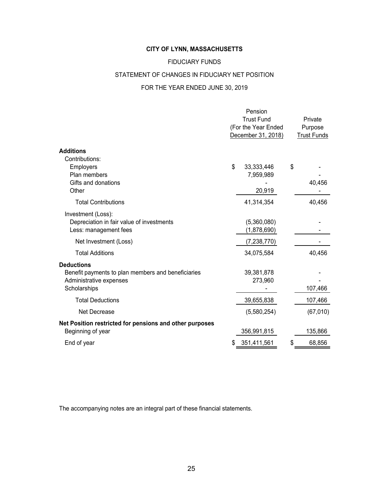#### FIDUCIARY FUNDS

### STATEMENT OF CHANGES IN FIDUCIARY NET POSITION

## FOR THE YEAR ENDED JUNE 30, 2019

|                                                         | Pension<br><b>Trust Fund</b><br>(For the Year Ended<br>December 31, 2018) |               |    | Private<br>Purpose<br><b>Trust Funds</b> |
|---------------------------------------------------------|---------------------------------------------------------------------------|---------------|----|------------------------------------------|
| <b>Additions</b>                                        |                                                                           |               |    |                                          |
| Contributions:<br>Employers                             | \$                                                                        | 33,333,446    | \$ |                                          |
| Plan members                                            |                                                                           | 7,959,989     |    |                                          |
| Gifts and donations                                     |                                                                           |               |    | 40,456                                   |
| Other                                                   |                                                                           | 20,919        |    |                                          |
| <b>Total Contributions</b>                              |                                                                           | 41,314,354    |    | 40,456                                   |
| Investment (Loss):                                      |                                                                           |               |    |                                          |
| Depreciation in fair value of investments               |                                                                           | (5,360,080)   |    |                                          |
| Less: management fees                                   |                                                                           | (1,878,690)   |    |                                          |
| Net Investment (Loss)                                   |                                                                           | (7, 238, 770) |    |                                          |
| <b>Total Additions</b>                                  |                                                                           | 34,075,584    |    | 40,456                                   |
| <b>Deductions</b>                                       |                                                                           |               |    |                                          |
| Benefit payments to plan members and beneficiaries      |                                                                           | 39,381,878    |    |                                          |
| Administrative expenses                                 |                                                                           | 273,960       |    |                                          |
| Scholarships                                            |                                                                           |               |    | 107,466                                  |
| <b>Total Deductions</b>                                 |                                                                           | 39,655,838    |    | 107,466                                  |
| Net Decrease                                            |                                                                           | (5,580,254)   |    | (67,010)                                 |
| Net Position restricted for pensions and other purposes |                                                                           |               |    |                                          |
| Beginning of year                                       |                                                                           | 356,991,815   |    | 135,866                                  |
| End of year                                             |                                                                           | 351,411,561   | \$ | 68,856                                   |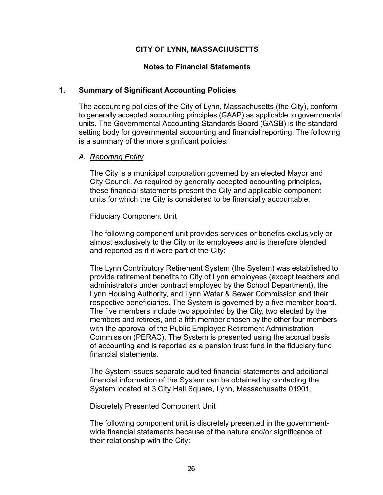## **Notes to Financial Statements**

## **1. Summary of Significant Accounting Policies**

The accounting policies of the City of Lynn, Massachusetts (the City), conform to generally accepted accounting principles (GAAP) as applicable to governmental units. The Governmental Accounting Standards Board (GASB) is the standard setting body for governmental accounting and financial reporting. The following is a summary of the more significant policies:

## *A. Reporting Entity*

The City is a municipal corporation governed by an elected Mayor and City Council. As required by generally accepted accounting principles, these financial statements present the City and applicable component units for which the City is considered to be financially accountable.

## Fiduciary Component Unit

The following component unit provides services or benefits exclusively or almost exclusively to the City or its employees and is therefore blended and reported as if it were part of the City:

The Lynn Contributory Retirement System (the System) was established to provide retirement benefits to City of Lynn employees (except teachers and administrators under contract employed by the School Department), the Lynn Housing Authority, and Lynn Water & Sewer Commission and their respective beneficiaries. The System is governed by a five-member board. The five members include two appointed by the City, two elected by the members and retirees, and a fifth member chosen by the other four members with the approval of the Public Employee Retirement Administration Commission (PERAC). The System is presented using the accrual basis of accounting and is reported as a pension trust fund in the fiduciary fund financial statements.

The System issues separate audited financial statements and additional financial information of the System can be obtained by contacting the System located at 3 City Hall Square, Lynn, Massachusetts 01901.

## Discretely Presented Component Unit

The following component unit is discretely presented in the governmentwide financial statements because of the nature and/or significance of their relationship with the City: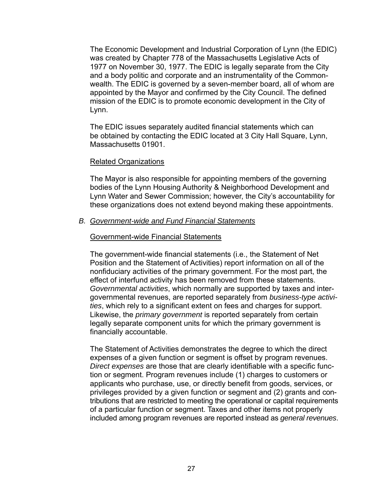The Economic Development and Industrial Corporation of Lynn (the EDIC) was created by Chapter 778 of the Massachusetts Legislative Acts of 1977 on November 30, 1977. The EDIC is legally separate from the City and a body politic and corporate and an instrumentality of the Commonwealth. The EDIC is governed by a seven-member board, all of whom are appointed by the Mayor and confirmed by the City Council. The defined mission of the EDIC is to promote economic development in the City of Lynn.

The EDIC issues separately audited financial statements which can be obtained by contacting the EDIC located at 3 City Hall Square, Lynn, Massachusetts 01901.

## Related Organizations

The Mayor is also responsible for appointing members of the governing bodies of the Lynn Housing Authority & Neighborhood Development and Lynn Water and Sewer Commission; however, the City's accountability for these organizations does not extend beyond making these appointments.

## *B. Government-wide and Fund Financial Statements*

## Government-wide Financial Statements

The government-wide financial statements (i.e., the Statement of Net Position and the Statement of Activities) report information on all of the nonfiduciary activities of the primary government. For the most part, the effect of interfund activity has been removed from these statements. *Governmental activities*, which normally are supported by taxes and intergovernmental revenues, are reported separately from *business-type activities*, which rely to a significant extent on fees and charges for support. Likewise, the *primary government* is reported separately from certain legally separate component units for which the primary government is financially accountable.

The Statement of Activities demonstrates the degree to which the direct expenses of a given function or segment is offset by program revenues. *Direct expenses* are those that are clearly identifiable with a specific function or segment. Program revenues include (1) charges to customers or applicants who purchase, use, or directly benefit from goods, services, or privileges provided by a given function or segment and (2) grants and contributions that are restricted to meeting the operational or capital requirements of a particular function or segment. Taxes and other items not properly included among program revenues are reported instead as *general revenues*.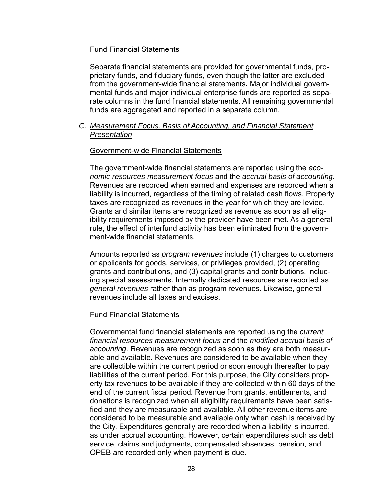## Fund Financial Statements

Separate financial statements are provided for governmental funds, proprietary funds, and fiduciary funds, even though the latter are excluded from the government-wide financial statements**.** Major individual governmental funds and major individual enterprise funds are reported as separate columns in the fund financial statements. All remaining governmental funds are aggregated and reported in a separate column.

## *C. Measurement Focus, Basis of Accounting, and Financial Statement Presentation*

## Government-wide Financial Statements

The government-wide financial statements are reported using the *economic resources measurement focus* and the *accrual basis of accounting*. Revenues are recorded when earned and expenses are recorded when a liability is incurred, regardless of the timing of related cash flows. Property taxes are recognized as revenues in the year for which they are levied. Grants and similar items are recognized as revenue as soon as all eligibility requirements imposed by the provider have been met. As a general rule, the effect of interfund activity has been eliminated from the government-wide financial statements.

Amounts reported as *program revenues* include (1) charges to customers or applicants for goods, services, or privileges provided, (2) operating grants and contributions, and (3) capital grants and contributions, including special assessments. Internally dedicated resources are reported as *general revenues* rather than as program revenues. Likewise, general revenues include all taxes and excises.

## Fund Financial Statements

Governmental fund financial statements are reported using the *current financial resources measurement focus* and the *modified accrual basis of accounting*. Revenues are recognized as soon as they are both measurable and available. Revenues are considered to be available when they are collectible within the current period or soon enough thereafter to pay liabilities of the current period. For this purpose, the City considers property tax revenues to be available if they are collected within 60 days of the end of the current fiscal period. Revenue from grants, entitlements, and donations is recognized when all eligibility requirements have been satisfied and they are measurable and available. All other revenue items are considered to be measurable and available only when cash is received by the City. Expenditures generally are recorded when a liability is incurred, as under accrual accounting. However, certain expenditures such as debt service, claims and judgments, compensated absences, pension, and OPEB are recorded only when payment is due.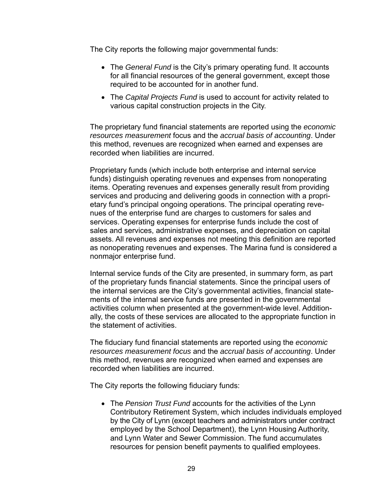The City reports the following major governmental funds:

- The *General Fund* is the City's primary operating fund. It accounts for all financial resources of the general government, except those required to be accounted for in another fund.
- The *Capital Projects Fund* is used to account for activity related to various capital construction projects in the City.

The proprietary fund financial statements are reported using the *economic resources measurement* focus and the *accrual basis of accounting*. Under this method, revenues are recognized when earned and expenses are recorded when liabilities are incurred.

Proprietary funds (which include both enterprise and internal service funds) distinguish operating revenues and expenses from nonoperating items. Operating revenues and expenses generally result from providing services and producing and delivering goods in connection with a proprietary fund's principal ongoing operations. The principal operating revenues of the enterprise fund are charges to customers for sales and services. Operating expenses for enterprise funds include the cost of sales and services, administrative expenses, and depreciation on capital assets. All revenues and expenses not meeting this definition are reported as nonoperating revenues and expenses. The Marina fund is considered a nonmajor enterprise fund.

Internal service funds of the City are presented, in summary form, as part of the proprietary funds financial statements. Since the principal users of the internal services are the City's governmental activities, financial statements of the internal service funds are presented in the governmental activities column when presented at the government-wide level. Additionally, the costs of these services are allocated to the appropriate function in the statement of activities.

The fiduciary fund financial statements are reported using the *economic resources measurement focus* and the *accrual basis of accounting*. Under this method, revenues are recognized when earned and expenses are recorded when liabilities are incurred.

The City reports the following fiduciary funds:

 The *Pension Trust Fund* accounts for the activities of the Lynn Contributory Retirement System, which includes individuals employed by the City of Lynn (except teachers and administrators under contract employed by the School Department), the Lynn Housing Authority, and Lynn Water and Sewer Commission. The fund accumulates resources for pension benefit payments to qualified employees.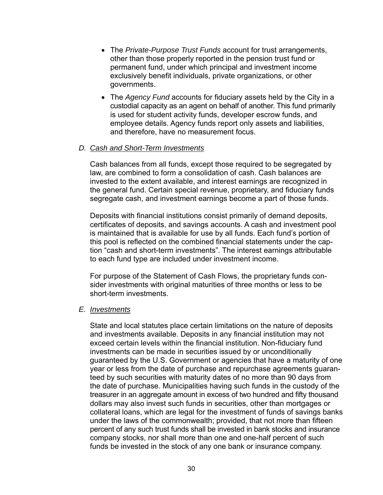- The *Private-Purpose Trust Funds* account for trust arrangements, other than those properly reported in the pension trust fund or permanent fund, under which principal and investment income exclusively benefit individuals, private organizations, or other governments.
- The *Agency Fund* accounts for fiduciary assets held by the City in a custodial capacity as an agent on behalf of another. This fund primarily is used for student activity funds, developer escrow funds, and employee details. Agency funds report only assets and liabilities, and therefore, have no measurement focus.

## *D. Cash and Short-Term Investments*

Cash balances from all funds, except those required to be segregated by law, are combined to form a consolidation of cash. Cash balances are invested to the extent available, and interest earnings are recognized in the general fund. Certain special revenue, proprietary, and fiduciary funds segregate cash, and investment earnings become a part of those funds.

Deposits with financial institutions consist primarily of demand deposits, certificates of deposits, and savings accounts. A cash and investment pool is maintained that is available for use by all funds. Each fund's portion of this pool is reflected on the combined financial statements under the caption "cash and short-term investments". The interest earnings attributable to each fund type are included under investment income.

For purpose of the Statement of Cash Flows, the proprietary funds consider investments with original maturities of three months or less to be short-term investments.

### *E. Investments*

State and local statutes place certain limitations on the nature of deposits and investments available. Deposits in any financial institution may not exceed certain levels within the financial institution. Non-fiduciary fund investments can be made in securities issued by or unconditionally guaranteed by the U.S. Government or agencies that have a maturity of one year or less from the date of purchase and repurchase agreements guaranteed by such securities with maturity dates of no more than 90 days from the date of purchase. Municipalities having such funds in the custody of the treasurer in an aggregate amount in excess of two hundred and fifty thousand dollars may also invest such funds in securities, other than mortgages or collateral loans, which are legal for the investment of funds of savings banks under the laws of the commonwealth; provided, that not more than fifteen percent of any such trust funds shall be invested in bank stocks and insurance company stocks, nor shall more than one and one-half percent of such funds be invested in the stock of any one bank or insurance company.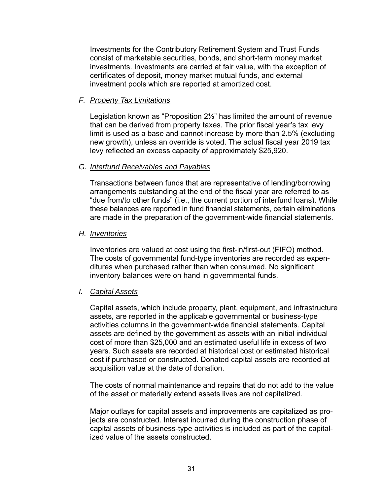Investments for the Contributory Retirement System and Trust Funds consist of marketable securities, bonds, and short-term money market investments. Investments are carried at fair value, with the exception of certificates of deposit, money market mutual funds, and external investment pools which are reported at amortized cost.

## *F. Property Tax Limitations*

Legislation known as "Proposition 2½" has limited the amount of revenue that can be derived from property taxes. The prior fiscal year's tax levy limit is used as a base and cannot increase by more than 2.5% (excluding new growth), unless an override is voted. The actual fiscal year 2019 tax levy reflected an excess capacity of approximately \$25,920.

## *G. Interfund Receivables and Payables*

Transactions between funds that are representative of lending/borrowing arrangements outstanding at the end of the fiscal year are referred to as "due from/to other funds" (i.e., the current portion of interfund loans). While these balances are reported in fund financial statements, certain eliminations are made in the preparation of the government-wide financial statements.

## *H. Inventories*

Inventories are valued at cost using the first-in/first-out (FIFO) method. The costs of governmental fund-type inventories are recorded as expenditures when purchased rather than when consumed. No significant inventory balances were on hand in governmental funds.

## *I. Capital Assets*

Capital assets, which include property, plant, equipment, and infrastructure assets, are reported in the applicable governmental or business-type activities columns in the government-wide financial statements. Capital assets are defined by the government as assets with an initial individual cost of more than \$25,000 and an estimated useful life in excess of two years. Such assets are recorded at historical cost or estimated historical cost if purchased or constructed. Donated capital assets are recorded at acquisition value at the date of donation.

The costs of normal maintenance and repairs that do not add to the value of the asset or materially extend assets lives are not capitalized.

Major outlays for capital assets and improvements are capitalized as projects are constructed. Interest incurred during the construction phase of capital assets of business-type activities is included as part of the capitalized value of the assets constructed.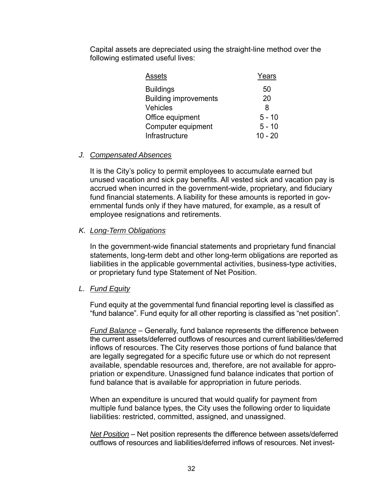Capital assets are depreciated using the straight-line method over the following estimated useful lives:

| Assets                       | Years     |
|------------------------------|-----------|
| <b>Buildings</b>             | 50        |
| <b>Building improvements</b> | 20        |
| Vehicles                     | 8         |
| Office equipment             | $5 - 10$  |
| Computer equipment           | $5 - 10$  |
| Infrastructure               | $10 - 20$ |

## *J. Compensated Absences*

It is the City's policy to permit employees to accumulate earned but unused vacation and sick pay benefits. All vested sick and vacation pay is accrued when incurred in the government-wide, proprietary, and fiduciary fund financial statements. A liability for these amounts is reported in governmental funds only if they have matured, for example, as a result of employee resignations and retirements.

## *K. Long-Term Obligations*

In the government-wide financial statements and proprietary fund financial statements, long-term debt and other long-term obligations are reported as liabilities in the applicable governmental activities, business-type activities, or proprietary fund type Statement of Net Position.

## *L. Fund Equity*

Fund equity at the governmental fund financial reporting level is classified as "fund balance". Fund equity for all other reporting is classified as "net position".

*Fund Balance* – Generally, fund balance represents the difference between the current assets/deferred outflows of resources and current liabilities/deferred inflows of resources. The City reserves those portions of fund balance that are legally segregated for a specific future use or which do not represent available, spendable resources and, therefore, are not available for appropriation or expenditure. Unassigned fund balance indicates that portion of fund balance that is available for appropriation in future periods.

When an expenditure is uncured that would qualify for payment from multiple fund balance types, the City uses the following order to liquidate liabilities: restricted, committed, assigned, and unassigned.

*Net Position* – Net position represents the difference between assets/deferred outflows of resources and liabilities/deferred inflows of resources. Net invest-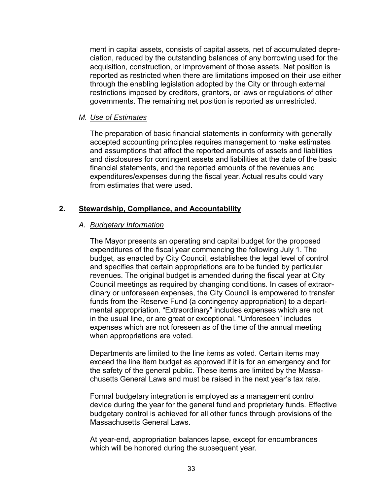ment in capital assets, consists of capital assets, net of accumulated depreciation, reduced by the outstanding balances of any borrowing used for the acquisition, construction, or improvement of those assets. Net position is reported as restricted when there are limitations imposed on their use either through the enabling legislation adopted by the City or through external restrictions imposed by creditors, grantors, or laws or regulations of other governments. The remaining net position is reported as unrestricted.

## *M. Use of Estimates*

The preparation of basic financial statements in conformity with generally accepted accounting principles requires management to make estimates and assumptions that affect the reported amounts of assets and liabilities and disclosures for contingent assets and liabilities at the date of the basic financial statements, and the reported amounts of the revenues and expenditures/expenses during the fiscal year. Actual results could vary from estimates that were used.

## **2. Stewardship, Compliance, and Accountability**

## *A. Budgetary Information*

The Mayor presents an operating and capital budget for the proposed expenditures of the fiscal year commencing the following July 1. The budget, as enacted by City Council, establishes the legal level of control and specifies that certain appropriations are to be funded by particular revenues. The original budget is amended during the fiscal year at City Council meetings as required by changing conditions. In cases of extraordinary or unforeseen expenses, the City Council is empowered to transfer funds from the Reserve Fund (a contingency appropriation) to a departmental appropriation. "Extraordinary" includes expenses which are not in the usual line, or are great or exceptional. "Unforeseen" includes expenses which are not foreseen as of the time of the annual meeting when appropriations are voted.

Departments are limited to the line items as voted. Certain items may exceed the line item budget as approved if it is for an emergency and for the safety of the general public. These items are limited by the Massachusetts General Laws and must be raised in the next year's tax rate.

Formal budgetary integration is employed as a management control device during the year for the general fund and proprietary funds. Effective budgetary control is achieved for all other funds through provisions of the Massachusetts General Laws.

At year-end, appropriation balances lapse, except for encumbrances which will be honored during the subsequent year.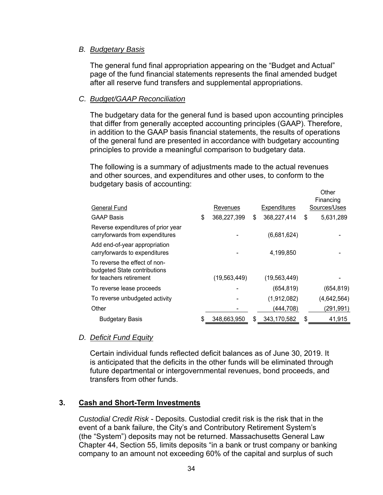### *B. Budgetary Basis*

The general fund final appropriation appearing on the "Budget and Actual" page of the fund financial statements represents the final amended budget after all reserve fund transfers and supplemental appropriations.

### *C. Budget/GAAP Reconciliation*

The budgetary data for the general fund is based upon accounting principles that differ from generally accepted accounting principles (GAAP). Therefore, in addition to the GAAP basis financial statements, the results of operations of the general fund are presented in accordance with budgetary accounting principles to provide a meaningful comparison to budgetary data.

The following is a summary of adjustments made to the actual revenues and other sources, and expenditures and other uses, to conform to the budgetary basis of accounting:

 $Q_{\text{th}}$ 

| General Fund                                                                             | Revenues          |   | <b>Expenditures</b> | VUIT<br>Financing<br>Sources/Uses |
|------------------------------------------------------------------------------------------|-------------------|---|---------------------|-----------------------------------|
| <b>GAAP Basis</b>                                                                        | \$<br>368,227,399 | S | 368,227,414         | \$<br>5,631,289                   |
| Reverse expenditures of prior year<br>carryforwards from expenditures                    |                   |   | (6,681,624)         |                                   |
| Add end-of-year appropriation<br>carryforwards to expenditures                           |                   |   | 4,199,850           |                                   |
| To reverse the effect of non-<br>budgeted State contributions<br>for teachers retirement | (19, 563, 449)    |   | (19, 563, 449)      |                                   |
|                                                                                          |                   |   |                     |                                   |
| To reverse lease proceeds                                                                |                   |   | (654, 819)          | (654, 819)                        |
| To reverse unbudgeted activity                                                           |                   |   | (1,912,082)         | (4,642,564)                       |
| Other                                                                                    |                   |   | (444, 708)          | (291, 991)                        |
| <b>Budgetary Basis</b>                                                                   | \$<br>348,663,950 | S | 343,170,582         | \$<br>41,915                      |

### *D. Deficit Fund Equity*

Certain individual funds reflected deficit balances as of June 30, 2019. It is anticipated that the deficits in the other funds will be eliminated through future departmental or intergovernmental revenues, bond proceeds, and transfers from other funds.

### **3. Cash and Short-Term Investments**

*Custodial Credit Risk* - Deposits. Custodial credit risk is the risk that in the event of a bank failure, the City's and Contributory Retirement System's (the "System") deposits may not be returned. Massachusetts General Law Chapter 44, Section 55, limits deposits "in a bank or trust company or banking company to an amount not exceeding 60% of the capital and surplus of such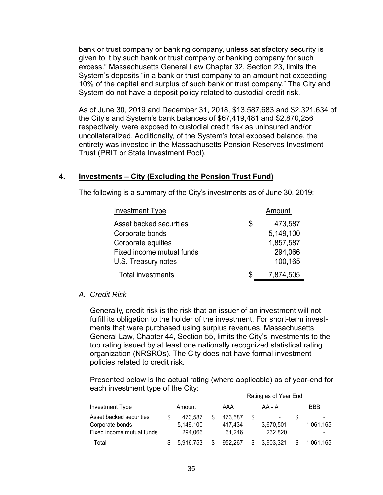bank or trust company or banking company, unless satisfactory security is given to it by such bank or trust company or banking company for such excess." Massachusetts General Law Chapter 32, Section 23, limits the System's deposits "in a bank or trust company to an amount not exceeding 10% of the capital and surplus of such bank or trust company." The City and System do not have a deposit policy related to custodial credit risk.

As of June 30, 2019 and December 31, 2018, \$13,587,683 and \$2,321,634 of the City's and System's bank balances of \$67,419,481 and \$2,870,256 respectively, were exposed to custodial credit risk as uninsured and/or uncollateralized. Additionally, of the System's total exposed balance, the entirety was invested in the Massachusetts Pension Reserves Investment Trust (PRIT or State Investment Pool).

### **4. Investments – City (Excluding the Pension Trust Fund)**

| <b>Investment Type</b>    |    | Amount    |
|---------------------------|----|-----------|
| Asset backed securities   | \$ | 473,587   |
| Corporate bonds           |    | 5,149,100 |
| Corporate equities        |    | 1,857,587 |
| Fixed income mutual funds |    | 294,066   |
| U.S. Treasury notes       |    | 100,165   |
| <b>Total investments</b>  | S  | 7,874,505 |

The following is a summary of the City's investments as of June 30, 2019:

#### *A. Credit Risk*

Generally, credit risk is the risk that an issuer of an investment will not fulfill its obligation to the holder of the investment. For short-term investments that were purchased using surplus revenues, Massachusetts General Law, Chapter 44, Section 55, limits the City's investments to the top rating issued by at least one nationally recognized statistical rating organization (NRSROs). The City does not have formal investment policies related to credit risk.

Presented below is the actual rating (where applicable) as of year-end for each investment type of the City:

|                                                                         |                                 | Rating as of Year End |                              |    |                      |  |           |  |
|-------------------------------------------------------------------------|---------------------------------|-----------------------|------------------------------|----|----------------------|--|-----------|--|
| <b>Investment Type</b>                                                  | Amount                          |                       | AAA                          |    | AA - A               |  | BBB       |  |
| Asset backed securities<br>Corporate bonds<br>Fixed income mutual funds | 473.587<br>5,149,100<br>294,066 |                       | 473.587<br>417.434<br>61.246 | \$ | 3,670,501<br>232.820 |  | 1,061,165 |  |
| Total                                                                   | 5,916,753                       | S                     | 952.267                      | S  | 3,903,321            |  | 1.061.165 |  |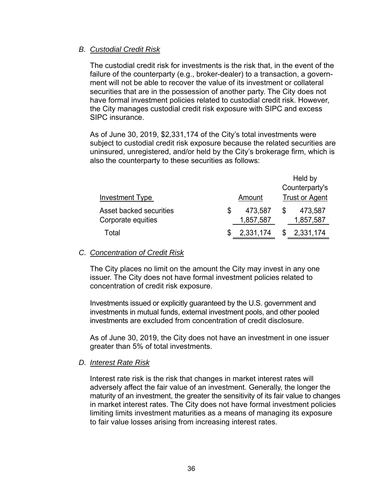#### *B. Custodial Credit Risk*

The custodial credit risk for investments is the risk that, in the event of the failure of the counterparty (e.g., broker-dealer) to a transaction, a government will not be able to recover the value of its investment or collateral securities that are in the possession of another party. The City does not have formal investment policies related to custodial credit risk. However, the City manages custodial credit risk exposure with SIPC and excess SIPC insurance.

As of June 30, 2019, \$2,331,174 of the City's total investments were subject to custodial credit risk exposure because the related securities are uninsured, unregistered, and/or held by the City's brokerage firm, which is also the counterparty to these securities as follows:

Held by

|                         |   |           | Heid by |                       |  |  |  |
|-------------------------|---|-----------|---------|-----------------------|--|--|--|
|                         |   |           |         | Counterparty's        |  |  |  |
| Investment Type         |   | Amount    |         | <b>Trust or Agent</b> |  |  |  |
| Asset backed securities | S | 473,587   | S       | 473,587               |  |  |  |
| Corporate equities      |   | 1,857,587 |         | 1,857,587             |  |  |  |
| Total                   |   | 2,331,174 |         | 2,331,174             |  |  |  |

#### *C. Concentration of Credit Risk*

The City places no limit on the amount the City may invest in any one issuer. The City does not have formal investment policies related to concentration of credit risk exposure.

Investments issued or explicitly guaranteed by the U.S. government and investments in mutual funds, external investment pools, and other pooled investments are excluded from concentration of credit disclosure.

As of June 30, 2019, the City does not have an investment in one issuer greater than 5% of total investments.

#### *D. Interest Rate Risk*

Interest rate risk is the risk that changes in market interest rates will adversely affect the fair value of an investment. Generally, the longer the maturity of an investment, the greater the sensitivity of its fair value to changes in market interest rates. The City does not have formal investment policies limiting limits investment maturities as a means of managing its exposure to fair value losses arising from increasing interest rates.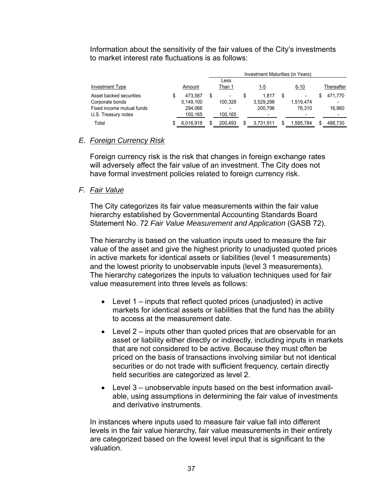Information about the sensitivity of the fair values of the City's investments to market interest rate fluctuations is as follows:

|                           |           | Investment Maturities (in Years) |  |            |    |                          |  |            |
|---------------------------|-----------|----------------------------------|--|------------|----|--------------------------|--|------------|
|                           |           | Less                             |  |            |    |                          |  |            |
| <b>Investment Type</b>    | Amount    | Than 1                           |  | <u>1-5</u> |    | $6 - 10$                 |  | Thereafter |
| Asset backed securities   | 473.587   | $\overline{\phantom{a}}$         |  | 1.817      | S  | $\overline{\phantom{a}}$ |  | 471.770    |
| Corporate bonds           | 5.149.100 | 100.328                          |  | 3.529.298  |    | 1.519.474                |  |            |
| Fixed income mutual funds | 294.066   | -                                |  | 200.796    |    | 76.310                   |  | 16,960     |
| U.S. Treasury notes       | 100,165   | 100,165                          |  | -          |    | $\overline{\phantom{0}}$ |  |            |
| Total                     | 6,016,918 | 200.493                          |  | 3.731.911  | \$ | .595,784                 |  | 488,730    |

#### *E. Foreign Currency Risk*

Foreign currency risk is the risk that changes in foreign exchange rates will adversely affect the fair value of an investment. The City does not have formal investment policies related to foreign currency risk.

#### *F. Fair Value*

The City categorizes its fair value measurements within the fair value hierarchy established by Governmental Accounting Standards Board Statement No. 72 *Fair Value Measurement and Application* (GASB 72).

The hierarchy is based on the valuation inputs used to measure the fair value of the asset and give the highest priority to unadjusted quoted prices in active markets for identical assets or liabilities (level 1 measurements) and the lowest priority to unobservable inputs (level 3 measurements). The hierarchy categorizes the inputs to valuation techniques used for fair value measurement into three levels as follows:

- Level 1 inputs that reflect quoted prices (unadjusted) in active markets for identical assets or liabilities that the fund has the ability to access at the measurement date.
- Level 2 inputs other than quoted prices that are observable for an asset or liability either directly or indirectly, including inputs in markets that are not considered to be active. Because they must often be priced on the basis of transactions involving similar but not identical securities or do not trade with sufficient frequency, certain directly held securities are categorized as level 2.
- Level 3 unobservable inputs based on the best information available, using assumptions in determining the fair value of investments and derivative instruments.

In instances where inputs used to measure fair value fall into different levels in the fair value hierarchy, fair value measurements in their entirety are categorized based on the lowest level input that is significant to the valuation.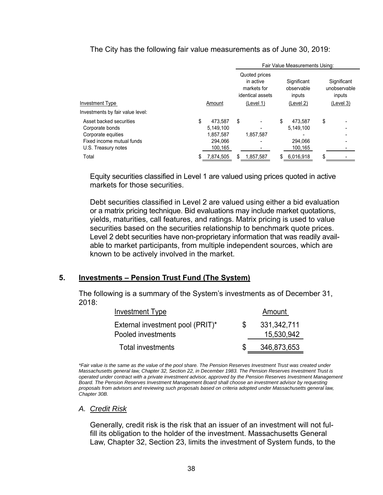### The City has the following fair value measurements as of June 30, 2019:

|                                                                                                                      |                                                               | Fair Value Measurements Using: |                                                               |    |                                            |    |                                       |
|----------------------------------------------------------------------------------------------------------------------|---------------------------------------------------------------|--------------------------------|---------------------------------------------------------------|----|--------------------------------------------|----|---------------------------------------|
|                                                                                                                      |                                                               |                                | Quoted prices<br>in active<br>markets for<br>identical assets |    | Significant<br>observable<br>inputs        |    | Significant<br>unobservable<br>inputs |
| Investment Type                                                                                                      | Amount                                                        |                                | (Level 1)                                                     |    | (Level 2)                                  |    | (Level 3)                             |
| Investments by fair value level:                                                                                     |                                                               |                                |                                                               |    |                                            |    |                                       |
| Asset backed securities<br>Corporate bonds<br>Corporate equities<br>Fixed income mutual funds<br>U.S. Treasury notes | \$<br>473.587<br>5,149,100<br>1.857.587<br>294.066<br>100,165 | \$                             | 1.857.587                                                     | \$ | 473.587<br>5,149,100<br>294,066<br>100,165 | \$ |                                       |
| Total                                                                                                                | \$<br>7,874,505                                               | \$                             | 1,857,587                                                     | S. | 6,016,918                                  | \$ |                                       |

Equity securities classified in Level 1 are valued using prices quoted in active markets for those securities.

Debt securities classified in Level 2 are valued using either a bid evaluation or a matrix pricing technique. Bid evaluations may include market quotations, yields, maturities, call features, and ratings. Matrix pricing is used to value securities based on the securities relationship to benchmark quote prices. Level 2 debt securities have non-proprietary information that was readily available to market participants, from multiple independent sources, which are known to be actively involved in the market.

### **5. Investments – Pension Trust Fund (The System)**

The following is a summary of the System's investments as of December 31, 2018:

| Investment Type                  | Amount      |
|----------------------------------|-------------|
| External investment pool (PRIT)* | 331,342,711 |
| Pooled investments               | 15,530,942  |
| <b>Total investments</b>         | 346,873,653 |

*\*Fair value is the same as the value of the pool share. The Pension Reserves Investment Trust was created under Massachusetts general law, Chapter 32, Section 22, in December 1983. The Pension Reserves Investment Trust is operated under contract with a private investment advisor, approved by the Pension Reserves Investment Management Board. The Pension Reserves Investment Management Board shall choose an investment advisor by requesting proposals from advisors and reviewing such proposals based on criteria adopted under Massachusetts general law, Chapter 30B.* 

#### *A. Credit Risk*

Generally, credit risk is the risk that an issuer of an investment will not fulfill its obligation to the holder of the investment. Massachusetts General Law, Chapter 32, Section 23, limits the investment of System funds, to the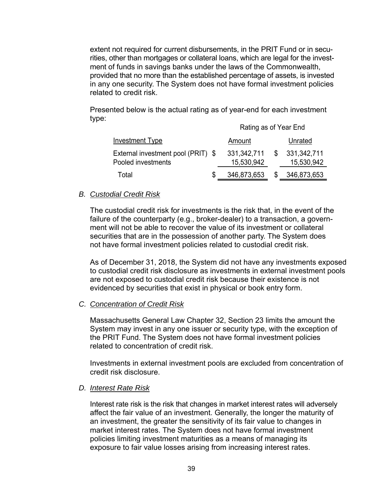extent not required for current disbursements, in the PRIT Fund or in securities, other than mortgages or collateral loans, which are legal for the investment of funds in savings banks under the laws of the Commonwealth, provided that no more than the established percentage of assets, is invested in any one security. The System does not have formal investment policies related to credit risk.

Presented below is the actual rating as of year-end for each investment type:

|                                                          | Rating as of Year End     |     |                             |  |  |  |  |  |
|----------------------------------------------------------|---------------------------|-----|-----------------------------|--|--|--|--|--|
| Investment Type                                          | Amount                    |     | Unrated                     |  |  |  |  |  |
| External investment pool (PRIT) \$<br>Pooled investments | 331,342,711<br>15,530,942 | \$. | 331, 342, 711<br>15,530,942 |  |  |  |  |  |
| Total                                                    | 346,873,653               |     | 346,873,653                 |  |  |  |  |  |

### *B. Custodial Credit Risk*

The custodial credit risk for investments is the risk that, in the event of the failure of the counterparty (e.g., broker-dealer) to a transaction, a government will not be able to recover the value of its investment or collateral securities that are in the possession of another party. The System does not have formal investment policies related to custodial credit risk.

As of December 31, 2018, the System did not have any investments exposed to custodial credit risk disclosure as investments in external investment pools are not exposed to custodial credit risk because their existence is not evidenced by securities that exist in physical or book entry form.

### *C. Concentration of Credit Risk*

Massachusetts General Law Chapter 32, Section 23 limits the amount the System may invest in any one issuer or security type, with the exception of the PRIT Fund. The System does not have formal investment policies related to concentration of credit risk.

Investments in external investment pools are excluded from concentration of credit risk disclosure.

#### *D. Interest Rate Risk*

Interest rate risk is the risk that changes in market interest rates will adversely affect the fair value of an investment. Generally, the longer the maturity of an investment, the greater the sensitivity of its fair value to changes in market interest rates. The System does not have formal investment policies limiting investment maturities as a means of managing its exposure to fair value losses arising from increasing interest rates.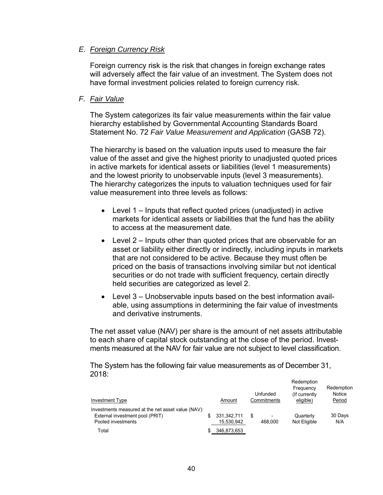#### *E. Foreign Currency Risk*

Foreign currency risk is the risk that changes in foreign exchange rates will adversely affect the fair value of an investment. The System does not have formal investment policies related to foreign currency risk.

#### *F. Fair Value*

The System categorizes its fair value measurements within the fair value hierarchy established by Governmental Accounting Standards Board Statement No. 72 *Fair Value Measurement and Application* (GASB 72).

The hierarchy is based on the valuation inputs used to measure the fair value of the asset and give the highest priority to unadjusted quoted prices in active markets for identical assets or liabilities (level 1 measurements) and the lowest priority to unobservable inputs (level 3 measurements). The hierarchy categorizes the inputs to valuation techniques used for fair value measurement into three levels as follows:

- Level 1 Inputs that reflect quoted prices (unadjusted) in active markets for identical assets or liabilities that the fund has the ability to access at the measurement date.
- Level 2 Inputs other than quoted prices that are observable for an asset or liability either directly or indirectly, including inputs in markets that are not considered to be active. Because they must often be priced on the basis of transactions involving similar but not identical securities or do not trade with sufficient frequency, certain directly held securities are categorized as level 2.
- Level 3 Unobservable inputs based on the best information available, using assumptions in determining the fair value of investments and derivative instruments.

The net asset value (NAV) per share is the amount of net assets attributable to each share of capital stock outstanding at the close of the period. Investments measured at the NAV for fair value are not subject to level classification.

The System has the following fair value measurements as of December 31, 2018:

| Investment Type                                                                                             | Amount                      | Unfunded<br>Commitments | Frequency<br>(If currently)<br>eligible) | Redemption<br>Notice<br>Period |
|-------------------------------------------------------------------------------------------------------------|-----------------------------|-------------------------|------------------------------------------|--------------------------------|
| Investments measured at the net asset value (NAV):<br>External investment pool (PRIT)<br>Pooled investments | 331, 342, 711<br>15,530,942 | -<br>468,000            | Quarterly<br>Not Eligible                | 30 Days<br>N/A                 |
| Total                                                                                                       | 346,873,653                 |                         |                                          |                                |

Redemption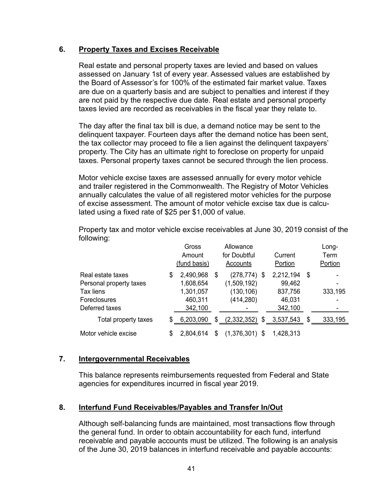#### **6. Property Taxes and Excises Receivable**

Real estate and personal property taxes are levied and based on values assessed on January 1st of every year. Assessed values are established by the Board of Assessor's for 100% of the estimated fair market value. Taxes are due on a quarterly basis and are subject to penalties and interest if they are not paid by the respective due date. Real estate and personal property taxes levied are recorded as receivables in the fiscal year they relate to.

The day after the final tax bill is due, a demand notice may be sent to the delinquent taxpayer. Fourteen days after the demand notice has been sent, the tax collector may proceed to file a lien against the delinquent taxpayers' property. The City has an ultimate right to foreclose on property for unpaid taxes. Personal property taxes cannot be secured through the lien process.

Motor vehicle excise taxes are assessed annually for every motor vehicle and trailer registered in the Commonwealth. The Registry of Motor Vehicles annually calculates the value of all registered motor vehicles for the purpose of excise assessment. The amount of motor vehicle excise tax due is calculated using a fixed rate of \$25 per \$1,000 of value.

Property tax and motor vehicle excise receivables at June 30, 2019 consist of the following:

|                         |     | Gross<br>Amount<br>(fund basis) |    | Allowance<br>for Doubtful<br>Accounts |   | Current<br>Portion |    | Long-<br>Term<br>Portion |
|-------------------------|-----|---------------------------------|----|---------------------------------------|---|--------------------|----|--------------------------|
| Real estate taxes       | \$  | 2,490,968                       | \$ | $(278, 774)$ \$                       |   | 2,212,194          | \$ |                          |
| Personal property taxes |     | 1,608,654                       |    | (1,509,192)                           |   | 99,462             |    | -                        |
| Tax liens               |     | 1,301,057                       |    | (130, 106)                            |   | 837,756            |    | 333,195                  |
| <b>Foreclosures</b>     |     | 460,311                         |    | (414, 280)                            |   | 46,031             |    |                          |
| Deferred taxes          |     | 342,100                         |    |                                       |   | 342,100            |    |                          |
| Total property taxes    | \$. | 6,203,090                       | S  | (2,332,352)                           | S | 3,537,543          | S  | 333,195                  |
| Motor vehicle excise    | \$  | 2,804,614                       | S  | (1,376,301)                           | S | 1,428,313          |    |                          |

#### **7. Intergovernmental Receivables**

This balance represents reimbursements requested from Federal and State agencies for expenditures incurred in fiscal year 2019.

#### **8. Interfund Fund Receivables/Payables and Transfer In/Out**

Although self-balancing funds are maintained, most transactions flow through the general fund. In order to obtain accountability for each fund, interfund receivable and payable accounts must be utilized. The following is an analysis of the June 30, 2019 balances in interfund receivable and payable accounts: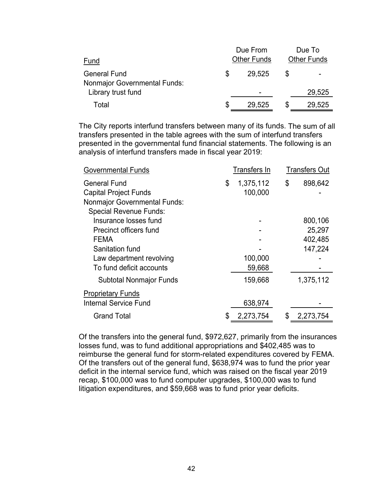|                                     |   | Due From           | Due To             |
|-------------------------------------|---|--------------------|--------------------|
| Fund                                |   | <b>Other Funds</b> | <b>Other Funds</b> |
| <b>General Fund</b>                 | S | 29,525             |                    |
| <b>Nonmajor Governmental Funds:</b> |   |                    |                    |
| Library trust fund                  |   |                    | 29,525             |
| Total                               |   | 29,525             | 29,525             |

The City reports interfund transfers between many of its funds. The sum of all transfers presented in the table agrees with the sum of interfund transfers presented in the governmental fund financial statements. The following is an analysis of interfund transfers made in fiscal year 2019:

| <b>Governmental Funds</b>           | <b>Transfers In</b> | <b>Transfers Out</b> |
|-------------------------------------|---------------------|----------------------|
| <b>General Fund</b>                 | 1,375,112<br>\$     | 898,642<br>\$        |
| <b>Capital Project Funds</b>        | 100,000             |                      |
| <b>Nonmajor Governmental Funds:</b> |                     |                      |
| <b>Special Revenue Funds:</b>       |                     |                      |
| Insurance losses fund               |                     | 800,106              |
| Precinct officers fund              |                     | 25,297               |
| <b>FEMA</b>                         |                     | 402,485              |
| Sanitation fund                     |                     | 147,224              |
| Law department revolving            | 100,000             |                      |
| To fund deficit accounts            | 59,668              |                      |
| <b>Subtotal Nonmajor Funds</b>      | 159,668             | 1,375,112            |
| <b>Proprietary Funds</b>            |                     |                      |
| <b>Internal Service Fund</b>        | 638,974             |                      |
| <b>Grand Total</b>                  | 2,273,754           | 2,273,754            |
|                                     |                     |                      |

Of the transfers into the general fund, \$972,627, primarily from the insurances losses fund, was to fund additional appropriations and \$402,485 was to reimburse the general fund for storm-related expenditures covered by FEMA. Of the transfers out of the general fund, \$638,974 was to fund the prior year deficit in the internal service fund, which was raised on the fiscal year 2019 recap, \$100,000 was to fund computer upgrades, \$100,000 was to fund litigation expenditures, and \$59,668 was to fund prior year deficits.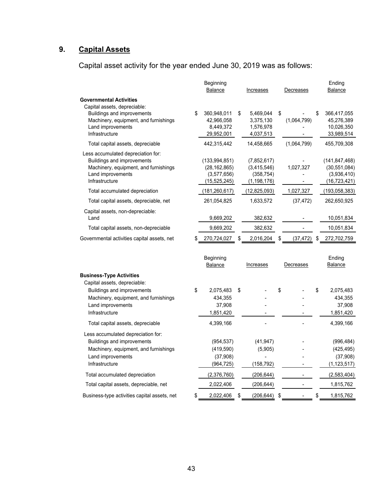## **9. Capital Assets**

Capital asset activity for the year ended June 30, 2019 was as follows:

|                                                                                                                                                                                     | Beginning<br>Balance                                               | Increases                                                 | Decreases         | Ending<br>Balance                                                  |
|-------------------------------------------------------------------------------------------------------------------------------------------------------------------------------------|--------------------------------------------------------------------|-----------------------------------------------------------|-------------------|--------------------------------------------------------------------|
| <b>Governmental Activities</b><br>Capital assets, depreciable:<br><b>Buildings and improvements</b><br>Machinery, equipment, and furnishings<br>Land improvements<br>Infrastructure | \$<br>360,948,011<br>42,966,058<br>8,449,372<br>29,952,001         | \$<br>5,469,044<br>3,375,130<br>1,576,978<br>4,037,513    | \$<br>(1,064,799) | \$<br>366,417,055<br>45,276,389<br>10,026,350<br>33,989,514        |
| Total capital assets, depreciable                                                                                                                                                   | 442,315,442                                                        | 14,458,665                                                | (1,064,799)       | 455,709,308                                                        |
| Less accumulated depreciation for:<br><b>Buildings and improvements</b><br>Machinery, equipment, and furnishings<br>Land improvements<br>Infrastructure                             | (133, 994, 851)<br>(28, 162, 865)<br>(3,577,656)<br>(15, 525, 245) | (7,852,617)<br>(3,415,546)<br>(358, 754)<br>(1, 198, 176) | 1,027,327         | (141, 847, 468)<br>(30, 551, 084)<br>(3,936,410)<br>(16, 723, 421) |
| Total accumulated depreciation                                                                                                                                                      | (181, 260, 617)                                                    | (12,825,093)                                              | 1,027,327         | (193, 058, 383)                                                    |
| Total capital assets, depreciable, net                                                                                                                                              | 261,054,825                                                        | 1,633,572                                                 | (37, 472)         | 262,650,925                                                        |
| Capital assets, non-depreciable:<br>Land                                                                                                                                            | 9,669,202                                                          | 382,632                                                   |                   | 10,051,834                                                         |
| Total capital assets, non-depreciable                                                                                                                                               | 9,669,202                                                          | 382,632                                                   |                   | 10,051,834                                                         |
| Governmental activities capital assets, net                                                                                                                                         | 270,724,027                                                        | 2,016,204                                                 | \$<br>(37, 472)   | 272,702,759                                                        |
| <b>Business-Type Activities</b>                                                                                                                                                     | Beginning<br>Balance                                               | Increases                                                 | Decreases         | Ending<br>Balance                                                  |
| Capital assets, depreciable:<br>Buildings and improvements<br>Machinery, equipment, and furnishings<br>Land improvements<br>Infrastructure                                          | \$<br>2,075,483<br>434,355<br>37,908<br>1,851,420                  | \$                                                        | \$                | \$<br>2,075,483<br>434,355<br>37,908<br>1,851,420                  |
| Total capital assets, depreciable                                                                                                                                                   | 4,399,166                                                          |                                                           |                   | 4,399,166                                                          |
| Less accumulated depreciation for:<br><b>Buildings and improvements</b><br>Machinery, equipment, and furnishings<br>Land improvements<br>Infrastructure                             | (954, 537)<br>(419, 590)<br>(37,908)<br>(964, 725)                 | (41, 947)<br>(5,905)<br>(158, 792)                        |                   | (996, 484)<br>(425, 495)<br>(37,908)<br>(1, 123, 517)              |
| Total accumulated depreciation                                                                                                                                                      | (2,376,760)                                                        | (206, 644)                                                |                   | (2,583,404)                                                        |
| Total capital assets, depreciable, net                                                                                                                                              | 2,022,406                                                          | (206, 644)                                                |                   | 1,815,762                                                          |
| Business-type activities capital assets, net                                                                                                                                        | \$<br>2,022,406                                                    | \$<br>(206, 644)                                          | \$                | \$<br>1,815,762                                                    |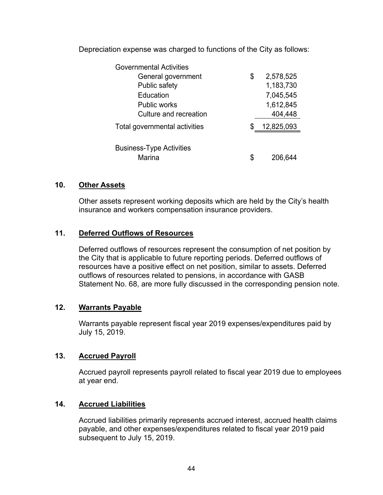Depreciation expense was charged to functions of the City as follows:

| <b>Governmental Activities</b>  |                 |
|---------------------------------|-----------------|
| General government              | \$<br>2,578,525 |
| Public safety                   | 1,183,730       |
| Education                       | 7,045,545       |
| <b>Public works</b>             | 1,612,845       |
| Culture and recreation          | 404,448         |
| Total governmental activities   | 12,825,093      |
|                                 |                 |
| <b>Business-Type Activities</b> |                 |
| Marina                          | 206,644         |

### **10. Other Assets**

Other assets represent working deposits which are held by the City's health insurance and workers compensation insurance providers.

#### **11. Deferred Outflows of Resources**

Deferred outflows of resources represent the consumption of net position by the City that is applicable to future reporting periods. Deferred outflows of resources have a positive effect on net position, similar to assets. Deferred outflows of resources related to pensions, in accordance with GASB Statement No. 68, are more fully discussed in the corresponding pension note.

#### **12. Warrants Payable**

Warrants payable represent fiscal year 2019 expenses/expenditures paid by July 15, 2019.

#### **13. Accrued Payroll**

Accrued payroll represents payroll related to fiscal year 2019 due to employees at year end.

#### **14. Accrued Liabilities**

Accrued liabilities primarily represents accrued interest, accrued health claims payable, and other expenses/expenditures related to fiscal year 2019 paid subsequent to July 15, 2019.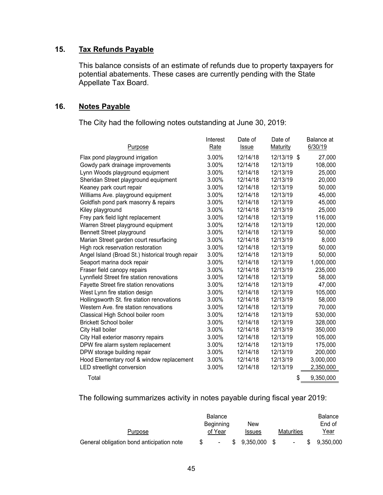## **15. Tax Refunds Payable**

This balance consists of an estimate of refunds due to property taxpayers for potential abatements. These cases are currently pending with the State Appellate Tax Board.

#### **16. Notes Payable**

The City had the following notes outstanding at June 30, 2019:

| Purpose                                           | Interest<br>Rate | Date of<br>Issue | Date of<br>Maturity | Balance at<br>6/30/19 |
|---------------------------------------------------|------------------|------------------|---------------------|-----------------------|
| Flax pond playground irrigation                   | 3.00%            | 12/14/18         | 12/13/19 \$         | 27,000                |
| Gowdy park drainage improvements                  | 3.00%            | 12/14/18         | 12/13/19            | 108,000               |
| Lynn Woods playground equipment                   | 3.00%            | 12/14/18         | 12/13/19            | 25,000                |
| Sheridan Street playground equipment              | 3.00%            | 12/14/18         | 12/13/19            | 20,000                |
| Keaney park court repair                          | 3.00%            | 12/14/18         | 12/13/19            | 50,000                |
| Williams Ave. playground equipment                | 3.00%            | 12/14/18         | 12/13/19            | 45,000                |
| Goldfish pond park masonry & repairs              | 3.00%            | 12/14/18         | 12/13/19            | 45,000                |
| Kiley playground                                  | 3.00%            | 12/14/18         | 12/13/19            | 25,000                |
| Frey park field light replacement                 | 3.00%            | 12/14/18         | 12/13/19            | 116,000               |
| Warren Street playground equipment                | 3.00%            | 12/14/18         | 12/13/19            | 120,000               |
| Bennett Street playground                         | 3.00%            | 12/14/18         | 12/13/19            | 50,000                |
| Marian Street garden court resurfacing            | 3.00%            | 12/14/18         | 12/13/19            | 8,000                 |
| High rock reservation restoration                 | 3.00%            | 12/14/18         | 12/13/19            | 50,000                |
| Angel Island (Broad St.) historical trough repair | 3.00%            | 12/14/18         | 12/13/19            | 50,000                |
| Seaport marina dock repair                        | 3.00%            | 12/14/18         | 12/13/19            | 1,000,000             |
| Fraser field canopy repairs                       | 3.00%            | 12/14/18         | 12/13/19            | 235,000               |
| Lynnfield Street fire station renovations         | 3.00%            | 12/14/18         | 12/13/19            | 58,000                |
| Fayette Street fire station renovations           | 3.00%            | 12/14/18         | 12/13/19            | 47,000                |
| West Lynn fire station design                     | 3.00%            | 12/14/18         | 12/13/19            | 105,000               |
| Hollingsworth St. fire station renovations        | 3.00%            | 12/14/18         | 12/13/19            | 58,000                |
| Western Ave. fire station renovations             | 3.00%            | 12/14/18         | 12/13/19            | 70,000                |
| Classical High School boiler room                 | 3.00%            | 12/14/18         | 12/13/19            | 530,000               |
| <b>Brickett School boiler</b>                     | 3.00%            | 12/14/18         | 12/13/19            | 328,000               |
| City Hall boiler                                  | 3.00%            | 12/14/18         | 12/13/19            | 350,000               |
| City Hall exterior masonry repairs                | 3.00%            | 12/14/18         | 12/13/19            | 105,000               |
| DPW fire alarm system replacement                 | 3.00%            | 12/14/18         | 12/13/19            | 175,000               |
| DPW storage building repair                       | 3.00%            | 12/14/18         | 12/13/19            | 200,000               |
| Hood Elementary roof & window replacement         | 3.00%            | 12/14/18         | 12/13/19            | 3,000,000             |
| LED streetlight conversion                        | 3.00%            | 12/14/18         | 12/13/19            | 2,350,000             |
| Total                                             |                  |                  |                     | \$<br>9,350,000       |

The following summarizes activity in notes payable during fiscal year 2019:

|                                           | Balance    |                 |            | <b>Balance</b>  |
|-------------------------------------------|------------|-----------------|------------|-----------------|
|                                           | Beginning  | New             |            | End of          |
| Purpose                                   | of Year    | <b>Issues</b>   | Maturities | Year            |
| General obligation bond anticipation note | $\sim 100$ | $$9.350.000$ \$ | $\sim$     | \$<br>9,350,000 |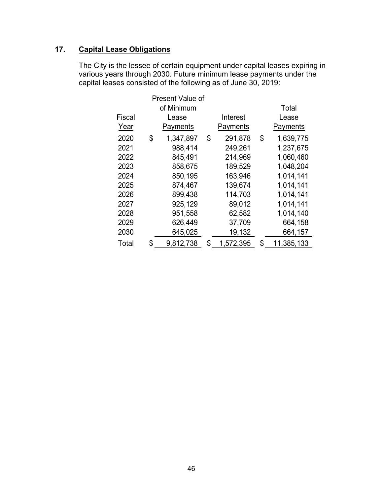## **17. Capital Lease Obligations**

The City is the lessee of certain equipment under capital leases expiring in various years through 2030. Future minimum lease payments under the capital leases consisted of the following as of June 30, 2019:

| <b>Present Value of</b> |       |           |    |           |    |            |  |  |  |
|-------------------------|-------|-----------|----|-----------|----|------------|--|--|--|
|                         | Total |           |    |           |    |            |  |  |  |
| Fiscal                  |       | Lease     |    | Interest  |    | Lease      |  |  |  |
| Year                    |       | Payments  |    | Payments  |    | Payments   |  |  |  |
| 2020                    | \$    | 1,347,897 | \$ | 291,878   | \$ | 1,639,775  |  |  |  |
| 2021                    |       | 988,414   |    | 249,261   |    | 1,237,675  |  |  |  |
| 2022                    |       | 845,491   |    | 214,969   |    | 1,060,460  |  |  |  |
| 2023                    |       | 858,675   |    | 189,529   |    | 1,048,204  |  |  |  |
| 2024                    |       | 850,195   |    | 163,946   |    | 1,014,141  |  |  |  |
| 2025                    |       | 874,467   |    | 139,674   |    | 1,014,141  |  |  |  |
| 2026                    |       | 899,438   |    | 114,703   |    | 1,014,141  |  |  |  |
| 2027                    |       | 925,129   |    | 89,012    |    | 1,014,141  |  |  |  |
| 2028                    |       | 951,558   |    | 62,582    |    | 1,014,140  |  |  |  |
| 2029                    |       | 626,449   |    | 37,709    |    | 664,158    |  |  |  |
| 2030                    |       | 645,025   |    | 19,132    |    | 664,157    |  |  |  |
| Total                   | \$    | 9,812,738 | \$ | 1,572,395 | \$ | 11,385,133 |  |  |  |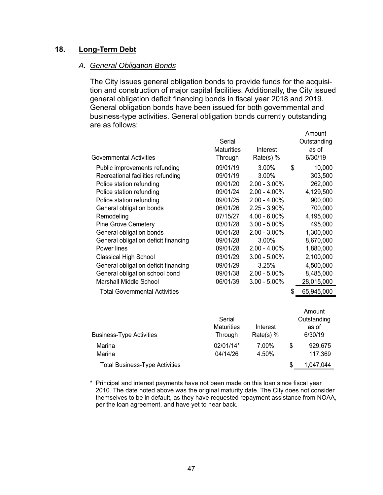### **18. Long-Term Debt**

#### *A. General Obligation Bonds*

The City issues general obligation bonds to provide funds for the acquisition and construction of major capital facilities. Additionally, the City issued general obligation deficit financing bonds in fiscal year 2018 and 2019. General obligation bonds have been issued for both governmental and business-type activities. General obligation bonds currently outstanding are as follows:

Amount

|                                      | Serial                                           |                 | Outstanding                        |
|--------------------------------------|--------------------------------------------------|-----------------|------------------------------------|
|                                      | <b>Maturities</b>                                | Interest        | as of                              |
| <b>Governmental Activities</b>       | Through                                          | $Rate(s)$ %     | 6/30/19                            |
| Public improvements refunding        | 09/01/19                                         | 3.00%           | \$<br>10,000                       |
| Recreational facilities refunding    | 09/01/19                                         | 3.00%           | 303,500                            |
| Police station refunding             | 09/01/20                                         | $2.00 - 3.00\%$ | 262,000                            |
| Police station refunding             | 09/01/24                                         | $2.00 - 4.00\%$ | 4,129,500                          |
| Police station refunding             | 09/01/25                                         | $2.00 - 4.00\%$ | 900,000                            |
| General obligation bonds             | 06/01/26                                         | $2.25 - 3.90\%$ | 700,000                            |
| Remodeling                           | 07/15/27                                         | $4.00 - 6.00\%$ | 4,195,000                          |
| <b>Pine Grove Cemetery</b>           | 03/01/28                                         | $3.00 - 5.00\%$ | 495,000                            |
| General obligation bonds             | 06/01/28                                         | $2.00 - 3.00\%$ | 1,300,000                          |
| General obligation deficit financing | 09/01/28                                         | 3.00%           | 8,670,000                          |
| Power lines                          | 09/01/28                                         | $2.00 - 4.00\%$ | 1,880,000                          |
| <b>Classical High School</b>         | 03/01/29                                         | $3.00 - 5.00\%$ | 2,100,000                          |
| General obligation deficit financing | 09/01/29                                         | 3.25%           | 4,500,000                          |
| General obligation school bond       | 09/01/38                                         | $2.00 - 5.00\%$ | 8,485,000                          |
| Marshall Middle School               | 06/01/39                                         | $3.00 - 5.00\%$ | 28,015,000                         |
| <b>Total Governmental Activities</b> |                                                  |                 | 65,945,000                         |
|                                      |                                                  |                 |                                    |
|                                      |                                                  |                 | Amount                             |
|                                      | $\sim$ $\sim$ $\sim$ $\sim$ $\sim$ $\sim$ $\sim$ |                 | $\bigcap_{x \in \{1, \ldots, n\}}$ |

|                                       | Serial            |             |    | Outstanding |
|---------------------------------------|-------------------|-------------|----|-------------|
|                                       | <b>Maturities</b> | Interest    |    | as of       |
| Business-Type Activities              | Through           | $Rate(s)$ % |    | 6/30/19     |
| Marina                                | 02/01/14*         | 7.00%       | \$ | 929,675     |
| Marina                                | 04/14/26          | 4.50%       |    | 117,369     |
| <b>Total Business-Type Activities</b> |                   |             | S  | 1.047.044   |

\* Principal and interest payments have not been made on this loan since fiscal year 2010. The date noted above was the original maturity date. The City does not consider themselves to be in default, as they have requested repayment assistance from NOAA, per the loan agreement, and have yet to hear back.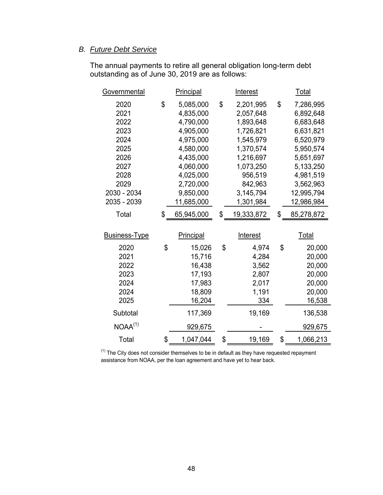## *B. Future Debt Service*

The annual payments to retire all general obligation long-term debt outstanding as of June 30, 2019 are as follows:

| <u>Governmental</u>  | <b>Principal</b> |    | Interest        |    | <b>Total</b> |  |  |
|----------------------|------------------|----|-----------------|----|--------------|--|--|
| 2020                 | \$<br>5,085,000  |    | 2,201,995       | \$ | 7,286,995    |  |  |
| 2021                 | 4,835,000        |    | 2,057,648       |    | 6,892,648    |  |  |
| 2022                 | 4,790,000        |    | 1,893,648       |    | 6,683,648    |  |  |
| 2023                 | 4,905,000        |    | 1,726,821       |    | 6,631,821    |  |  |
| 2024                 | 4,975,000        |    | 1,545,979       |    | 6,520,979    |  |  |
| 2025                 | 4,580,000        |    | 1,370,574       |    | 5,950,574    |  |  |
| 2026                 | 4,435,000        |    | 1,216,697       |    | 5,651,697    |  |  |
| 2027                 | 4,060,000        |    | 1,073,250       |    | 5,133,250    |  |  |
| 2028                 | 4,025,000        |    | 956,519         |    | 4,981,519    |  |  |
| 2029                 | 2,720,000        |    | 842,963         |    | 3,562,963    |  |  |
| 2030 - 2034          | 9,850,000        |    | 3,145,794       |    | 12,995,794   |  |  |
| 2035 - 2039          | 11,685,000       |    | 1,301,984       |    | 12,986,984   |  |  |
| Total                | \$<br>65,945,000 | \$ | 19,333,872      | \$ | 85,278,872   |  |  |
| <b>Business-Type</b> | <b>Principal</b> |    | <b>Interest</b> |    | <b>Total</b> |  |  |
| 2020                 | \$<br>15,026     | \$ | 4,974           | \$ | 20,000       |  |  |
| 2021                 | 15,716           |    | 4,284           |    | 20,000       |  |  |
| 2022                 | 16,438           |    | 3,562           |    | 20,000       |  |  |
| 2023                 | 17,193           |    | 2,807           |    | 20,000       |  |  |
| 2024                 | 17,983           |    | 2,017           |    | 20,000       |  |  |
| 2024                 | 18,809           |    | 1,191           |    | 20,000       |  |  |
| 2025                 | 16,204           |    | 334             |    | 16,538       |  |  |
| Subtotal             | 117,369          |    | 19,169          |    | 136,538      |  |  |
| NOAA <sup>(1)</sup>  | 929,675          |    |                 |    | 929,675      |  |  |
| Total                | \$<br>1,047,044  | \$ | 19,169          | \$ | 1,066,213    |  |  |

 $^{(1)}$  The City does not consider themselves to be in default as they have requested repayment assistance from NOAA, per the loan agreement and have yet to hear back.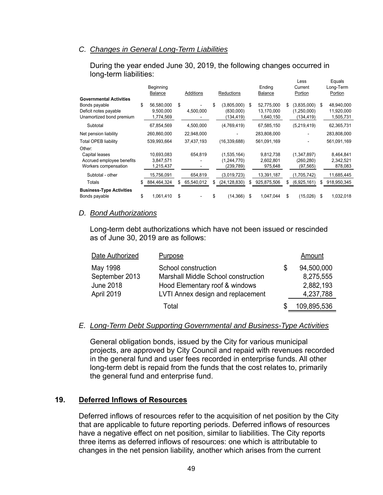#### *C. Changes in General Long-Term Liabilities*

During the year ended June 30, 2019, the following changes occurred in long-term liabilities:

|                                                                                                      | Beginning<br>Balance                       |    | Additions  | Reductions |                                        |      | Ending<br><b>Balance</b>              | Less<br>Current<br>Portion |                                         |    | Equals<br>Long-Term<br>Portion        |
|------------------------------------------------------------------------------------------------------|--------------------------------------------|----|------------|------------|----------------------------------------|------|---------------------------------------|----------------------------|-----------------------------------------|----|---------------------------------------|
| <b>Governmental Activities</b><br>Bonds payable<br>Deficit notes payable<br>Unamortized bond premium | \$<br>56,580,000<br>9,500,000<br>1,774,569 | \$ | 4,500,000  | \$         | (3,805,000)<br>(830,000)<br>(134, 419) | - \$ | 52.775.000<br>13,170,000<br>1,640,150 | S                          | (3,835,000)<br>(1,250,000)<br>(134,419) | \$ | 48,940,000<br>11,920,000<br>1,505,731 |
| Subtotal                                                                                             | 67,854,569                                 |    | 4,500,000  |            | (4,769,419)                            |      | 67,585,150                            |                            | (5,219,419)                             |    | 62,365,731                            |
| Net pension liability                                                                                | 260,860,000                                |    | 22,948,000 |            |                                        |      | 283,808,000                           |                            |                                         |    | 283,808,000                           |
| <b>Total OPEB liability</b>                                                                          | 539,993,664                                |    | 37,437,193 |            | (16, 339, 688)                         |      | 561,091,169                           |                            |                                         |    | 561,091,169                           |
| Other:                                                                                               |                                            |    |            |            |                                        |      |                                       |                            |                                         |    |                                       |
| Capital leases                                                                                       | 10,693,083                                 |    | 654,819    |            | (1,535,164)                            |      | 9,812,738                             |                            | (1,347,897)                             |    | 8,464,841                             |
| Accrued employee benefits                                                                            | 3,847,571                                  |    |            |            | (1,244,770)                            |      | 2,602,801                             |                            | (260,280)                               |    | 2,342,521                             |
| Workers compensation                                                                                 | 1,215,437                                  |    |            |            | (239,789)                              |      | 975,648                               |                            | (97, 565)                               |    | 878,083                               |
| Subtotal - other                                                                                     | 15,756,091                                 |    | 654,819    |            | (3,019,723)                            |      | 13,391,187                            |                            | (1,705,742)                             |    | 11,685,445                            |
| Totals                                                                                               | \$<br>884,464,324                          | S  | 65,540,012 | \$         | (24, 128, 830)                         | \$   | 925,875,506                           | S                          | (6,925,161)                             | \$ | 918,950,345                           |
| <b>Business-Type Activities</b>                                                                      |                                            |    |            |            |                                        |      |                                       |                            |                                         |    |                                       |
| Bonds payable                                                                                        | \$<br>1,061,410                            | \$ |            | \$         | (14, 366)                              | \$   | 1,047,044                             | \$                         | (15,026)                                | \$ | 1,032,018                             |

#### *D. Bond Authorizations*

Long-term debt authorizations which have not been issued or rescinded as of June 30, 2019 are as follows:

| Date Authorized  | Purpose                             |   | Amount      |
|------------------|-------------------------------------|---|-------------|
| May 1998         | School construction                 | S | 94,500,000  |
| September 2013   | Marshall Middle School construction |   | 8,275,555   |
| <b>June 2018</b> | Hood Elementary roof & windows      |   | 2,882,193   |
| April 2019       | LVTI Annex design and replacement   |   | 4,237,788   |
|                  | Total                               |   | 109,895,536 |

#### *E. Long-Term Debt Supporting Governmental and Business-Type Activities*

General obligation bonds, issued by the City for various municipal projects, are approved by City Council and repaid with revenues recorded in the general fund and user fees recorded in enterprise funds. All other long-term debt is repaid from the funds that the cost relates to, primarily the general fund and enterprise fund.

#### **19. Deferred Inflows of Resources**

Deferred inflows of resources refer to the acquisition of net position by the City that are applicable to future reporting periods. Deferred inflows of resources have a negative effect on net position, similar to liabilities. The City reports three items as deferred inflows of resources: one which is attributable to changes in the net pension liability, another which arises from the current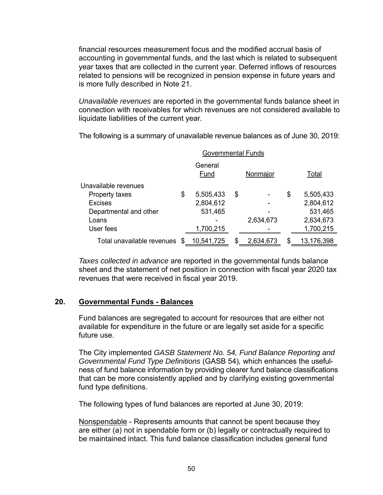financial resources measurement focus and the modified accrual basis of accounting in governmental funds, and the last which is related to subsequent year taxes that are collected in the current year. Deferred inflows of resources related to pensions will be recognized in pension expense in future years and is more fully described in Note 21.

*Unavailable revenues* are reported in the governmental funds balance sheet in connection with receivables for which revenues are not considered available to liquidate liabilities of the current year.

The following is a summary of unavailable revenue balances as of June 30, 2019:

|                            | <b>Governmental Funds</b> |                 |   |           |       |            |  |  |  |  |  |
|----------------------------|---------------------------|-----------------|---|-----------|-------|------------|--|--|--|--|--|
|                            |                           | General<br>Fund |   |           | Total |            |  |  |  |  |  |
| Unavailable revenues       |                           |                 |   |           |       |            |  |  |  |  |  |
| Property taxes             | \$                        | 5,505,433       | S |           | \$    | 5,505,433  |  |  |  |  |  |
| <b>Excises</b>             |                           | 2,804,612       |   |           |       | 2,804,612  |  |  |  |  |  |
| Departmental and other     |                           | 531,465         |   |           |       | 531,465    |  |  |  |  |  |
| Loans                      |                           |                 |   | 2,634,673 |       | 2,634,673  |  |  |  |  |  |
| User fees                  |                           | 1,700,215       |   |           |       | 1,700,215  |  |  |  |  |  |
| Total unavailable revenues |                           | 10,541,725      |   | 2,634,673 | S     | 13,176,398 |  |  |  |  |  |

*Taxes collected in advance* are reported in the governmental funds balance sheet and the statement of net position in connection with fiscal year 2020 tax revenues that were received in fiscal year 2019.

#### **20. Governmental Funds - Balances**

Fund balances are segregated to account for resources that are either not available for expenditure in the future or are legally set aside for a specific future use.

The City implemented *GASB Statement No. 54, Fund Balance Reporting and Governmental Fund Type Definitions* (GASB 54)*,* which enhances the usefulness of fund balance information by providing clearer fund balance classifications that can be more consistently applied and by clarifying existing governmental fund type definitions.

The following types of fund balances are reported at June 30, 2019:

Nonspendable - Represents amounts that cannot be spent because they are either (a) not in spendable form or (b) legally or contractually required to be maintained intact. This fund balance classification includes general fund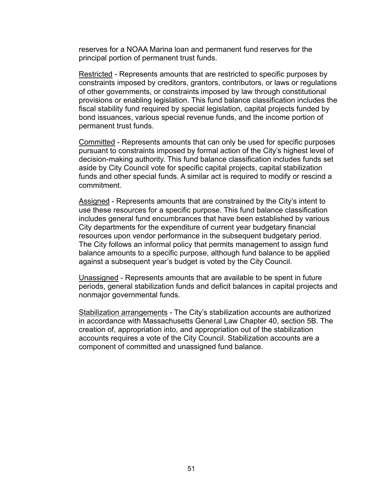reserves for a NOAA Marina loan and permanent fund reserves for the principal portion of permanent trust funds.

Restricted - Represents amounts that are restricted to specific purposes by constraints imposed by creditors, grantors, contributors, or laws or regulations of other governments, or constraints imposed by law through constitutional provisions or enabling legislation. This fund balance classification includes the fiscal stability fund required by special legislation, capital projects funded by bond issuances, various special revenue funds, and the income portion of permanent trust funds.

Committed - Represents amounts that can only be used for specific purposes pursuant to constraints imposed by formal action of the City's highest level of decision-making authority. This fund balance classification includes funds set aside by City Council vote for specific capital projects, capital stabilization funds and other special funds. A similar act is required to modify or rescind a commitment.

Assigned - Represents amounts that are constrained by the City's intent to use these resources for a specific purpose. This fund balance classification includes general fund encumbrances that have been established by various City departments for the expenditure of current year budgetary financial resources upon vendor performance in the subsequent budgetary period. The City follows an informal policy that permits management to assign fund balance amounts to a specific purpose, although fund balance to be applied against a subsequent year's budget is voted by the City Council.

Unassigned - Represents amounts that are available to be spent in future periods, general stabilization funds and deficit balances in capital projects and nonmajor governmental funds.

Stabilization arrangements - The City's stabilization accounts are authorized in accordance with Massachusetts General Law Chapter 40, section 5B. The creation of, appropriation into, and appropriation out of the stabilization accounts requires a vote of the City Council. Stabilization accounts are a component of committed and unassigned fund balance.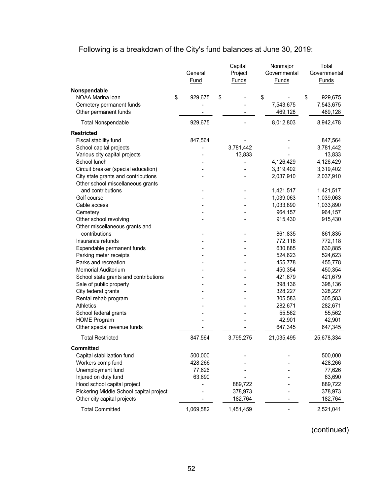# Following is a breakdown of the City's fund balances at June 30, 2019:

|                                         | General<br>Fund | Capital<br>Project<br><b>Funds</b> | Nonmajor<br>Governmental<br><b>Funds</b> | Total<br>Governmental<br>Funds |
|-----------------------------------------|-----------------|------------------------------------|------------------------------------------|--------------------------------|
| Nonspendable                            |                 |                                    |                                          |                                |
| NOAA Marina loan                        | \$<br>929,675   | \$                                 | \$                                       | \$<br>929,675                  |
| Cemetery permanent funds                |                 |                                    | 7,543,675                                | 7,543,675                      |
| Other permanent funds                   |                 |                                    | 469,128                                  | 469,128                        |
| <b>Total Nonspendable</b>               | 929,675         |                                    | 8,012,803                                | 8,942,478                      |
|                                         |                 |                                    |                                          |                                |
| <b>Restricted</b>                       |                 |                                    |                                          |                                |
| Fiscal stability fund                   | 847,564         |                                    |                                          | 847,564                        |
| School capital projects                 |                 | 3,781,442                          |                                          | 3,781,442                      |
| Various city capital projects           |                 | 13,833                             |                                          | 13,833                         |
| School lunch                            |                 |                                    | 4,126,429                                | 4,126,429                      |
| Circuit breaker (special education)     |                 |                                    | 3,319,402                                | 3,319,402                      |
| City state grants and contributions     |                 |                                    | 2,037,910                                | 2,037,910                      |
| Other school miscellaneous grants       |                 |                                    |                                          |                                |
| and contributions                       |                 |                                    | 1,421,517                                | 1,421,517                      |
| Golf course                             |                 |                                    | 1,039,063                                | 1,039,063                      |
| Cable access                            |                 |                                    | 1,033,890                                | 1,033,890                      |
| Cemetery                                |                 |                                    | 964,157                                  | 964,157                        |
| Other school revolving                  |                 |                                    | 915,430                                  | 915,430                        |
| Other miscellaneous grants and          |                 |                                    |                                          |                                |
| contributions                           |                 |                                    | 861,835                                  | 861,835                        |
| Insurance refunds                       |                 |                                    | 772,118                                  | 772,118                        |
| Expendable permanent funds              |                 |                                    | 630,885                                  | 630,885                        |
| Parking meter receipts                  |                 |                                    | 524,623                                  | 524,623                        |
| Parks and recreation                    |                 |                                    | 455,778                                  | 455,778                        |
| <b>Memorial Auditorium</b>              |                 |                                    | 450,354                                  | 450,354                        |
| School state grants and contributions   |                 |                                    | 421,679                                  | 421,679                        |
| Sale of public property                 |                 |                                    | 398,136                                  | 398,136                        |
| City federal grants                     |                 |                                    | 328,227                                  | 328,227                        |
| Rental rehab program                    |                 |                                    | 305,583                                  | 305,583                        |
| <b>Athletics</b>                        |                 |                                    | 282,671                                  | 282,671                        |
| School federal grants                   |                 |                                    | 55,562                                   | 55,562                         |
| <b>HOME Program</b>                     |                 |                                    | 42,901                                   | 42,901                         |
| Other special revenue funds             |                 |                                    | 647,345                                  | 647,345                        |
| <b>Total Restricted</b>                 | 847,564         | 3,795,275                          | 21,035,495                               | 25,678,334                     |
| <b>Committed</b>                        |                 |                                    |                                          |                                |
| Capital stabilization fund              | 500,000         |                                    |                                          | 500,000                        |
| Workers comp fund                       | 428,266         |                                    |                                          | 428,266                        |
| Unemployment fund                       | 77,626          |                                    |                                          | 77,626                         |
| Injured on duty fund                    | 63,690          |                                    |                                          | 63,690                         |
| Hood school capital project             |                 | 889,722                            |                                          | 889,722                        |
| Pickering Middle School capital project |                 | 378,973                            |                                          | 378,973                        |
| Other city capital projects             |                 | 182,764                            |                                          | 182,764                        |
| <b>Total Committed</b>                  | 1,069,582       | 1,451,459                          |                                          | 2,521,041                      |
|                                         |                 |                                    |                                          |                                |

(continued)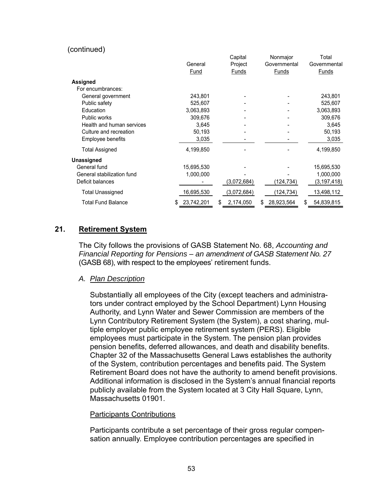#### (continued)

|                            |                  | Capital         | Nonmajor         | Total            |
|----------------------------|------------------|-----------------|------------------|------------------|
|                            | General          | Project         | Governmental     | Governmental     |
|                            | <b>Fund</b>      | Funds           | <b>Funds</b>     | Funds            |
| Assigned                   |                  |                 |                  |                  |
| For encumbrances:          |                  |                 |                  |                  |
| General government         | 243,801          |                 |                  | 243,801          |
| Public safety              | 525,607          |                 |                  | 525,607          |
| Education                  | 3,063,893        |                 |                  | 3,063,893        |
| Public works               | 309,676          |                 |                  | 309,676          |
| Health and human services  | 3,645            |                 |                  | 3,645            |
| Culture and recreation     | 50,193           |                 |                  | 50,193           |
| Employee benefits          | 3,035            |                 |                  | 3,035            |
| <b>Total Assigned</b>      | 4,199,850        |                 |                  | 4,199,850        |
| Unassigned                 |                  |                 |                  |                  |
| General fund               | 15,695,530       |                 |                  | 15,695,530       |
| General stabilization fund | 1,000,000        |                 |                  | 1,000,000        |
| Deficit balances           |                  | (3,072,684)     | (124,734)        | (3, 197, 418)    |
| <b>Total Unassigned</b>    | 16,695,530       | (3,072,684)     | (124,734)        | 13,498,112       |
| <b>Total Fund Balance</b>  | 23,742,201<br>\$ | \$<br>2,174,050 | \$<br>28,923,564 | 54,839,815<br>\$ |

#### **21. Retirement System**

The City follows the provisions of GASB Statement No. 68, *Accounting and Financial Reporting for Pensions – an amendment of GASB Statement No. 27*  (GASB 68), with respect to the employees' retirement funds.

#### *A. Plan Description*

Substantially all employees of the City (except teachers and administrators under contract employed by the School Department) Lynn Housing Authority, and Lynn Water and Sewer Commission are members of the Lynn Contributory Retirement System (the System), a cost sharing, multiple employer public employee retirement system (PERS). Eligible employees must participate in the System. The pension plan provides pension benefits, deferred allowances, and death and disability benefits. Chapter 32 of the Massachusetts General Laws establishes the authority of the System, contribution percentages and benefits paid. The System Retirement Board does not have the authority to amend benefit provisions. Additional information is disclosed in the System's annual financial reports publicly available from the System located at 3 City Hall Square, Lynn, Massachusetts 01901.

#### Participants Contributions

Participants contribute a set percentage of their gross regular compensation annually. Employee contribution percentages are specified in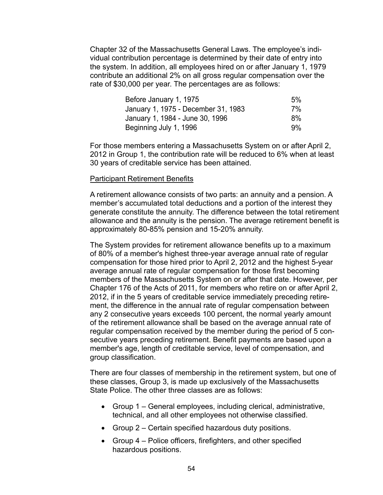Chapter 32 of the Massachusetts General Laws. The employee's individual contribution percentage is determined by their date of entry into the system. In addition, all employees hired on or after January 1, 1979 contribute an additional 2% on all gross regular compensation over the rate of \$30,000 per year. The percentages are as follows:

| Before January 1, 1975              | 5% |
|-------------------------------------|----|
| January 1, 1975 - December 31, 1983 | 7% |
| January 1, 1984 - June 30, 1996     | 8% |
| Beginning July 1, 1996              | 9% |

For those members entering a Massachusetts System on or after April 2, 2012 in Group 1, the contribution rate will be reduced to 6% when at least 30 years of creditable service has been attained.

#### Participant Retirement Benefits

A retirement allowance consists of two parts: an annuity and a pension. A member's accumulated total deductions and a portion of the interest they generate constitute the annuity. The difference between the total retirement allowance and the annuity is the pension. The average retirement benefit is approximately 80-85% pension and 15-20% annuity.

The System provides for retirement allowance benefits up to a maximum of 80% of a member's highest three-year average annual rate of regular compensation for those hired prior to April 2, 2012 and the highest 5-year average annual rate of regular compensation for those first becoming members of the Massachusetts System on or after that date. However, per Chapter 176 of the Acts of 2011, for members who retire on or after April 2, 2012, if in the 5 years of creditable service immediately preceding retirement, the difference in the annual rate of regular compensation between any 2 consecutive years exceeds 100 percent, the normal yearly amount of the retirement allowance shall be based on the average annual rate of regular compensation received by the member during the period of 5 consecutive years preceding retirement. Benefit payments are based upon a member's age, length of creditable service, level of compensation, and group classification.

There are four classes of membership in the retirement system, but one of these classes, Group 3, is made up exclusively of the Massachusetts State Police. The other three classes are as follows:

- Group 1 General employees, including clerical, administrative, technical, and all other employees not otherwise classified.
- Group 2 Certain specified hazardous duty positions.
- Group 4 Police officers, firefighters, and other specified hazardous positions.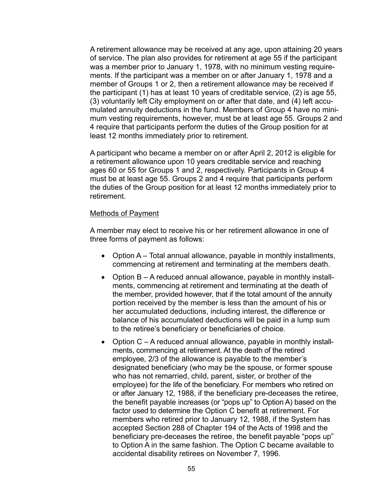A retirement allowance may be received at any age, upon attaining 20 years of service. The plan also provides for retirement at age 55 if the participant was a member prior to January 1, 1978, with no minimum vesting requirements. If the participant was a member on or after January 1, 1978 and a member of Groups 1 or 2, then a retirement allowance may be received if the participant (1) has at least 10 years of creditable service, (2) is age 55, (3) voluntarily left City employment on or after that date, and (4) left accumulated annuity deductions in the fund. Members of Group 4 have no minimum vesting requirements, however, must be at least age 55. Groups 2 and 4 require that participants perform the duties of the Group position for at least 12 months immediately prior to retirement.

A participant who became a member on or after April 2, 2012 is eligible for a retirement allowance upon 10 years creditable service and reaching ages 60 or 55 for Groups 1 and 2, respectively. Participants in Group 4 must be at least age 55. Groups 2 and 4 require that participants perform the duties of the Group position for at least 12 months immediately prior to retirement.

#### Methods of Payment

A member may elect to receive his or her retirement allowance in one of three forms of payment as follows:

- Option A Total annual allowance, payable in monthly installments, commencing at retirement and terminating at the members death.
- Option B A reduced annual allowance, payable in monthly installments, commencing at retirement and terminating at the death of the member, provided however, that if the total amount of the annuity portion received by the member is less than the amount of his or her accumulated deductions, including interest, the difference or balance of his accumulated deductions will be paid in a lump sum to the retiree's beneficiary or beneficiaries of choice.
- Option C A reduced annual allowance, payable in monthly installments, commencing at retirement. At the death of the retired employee, 2/3 of the allowance is payable to the member's designated beneficiary (who may be the spouse, or former spouse who has not remarried, child, parent, sister, or brother of the employee) for the life of the beneficiary. For members who retired on or after January 12, 1988, if the beneficiary pre-deceases the retiree, the benefit payable increases (or "pops up" to Option A) based on the factor used to determine the Option C benefit at retirement. For members who retired prior to January 12, 1988, if the System has accepted Section 288 of Chapter 194 of the Acts of 1998 and the beneficiary pre-deceases the retiree, the benefit payable "pops up" to Option A in the same fashion. The Option C became available to accidental disability retirees on November 7, 1996.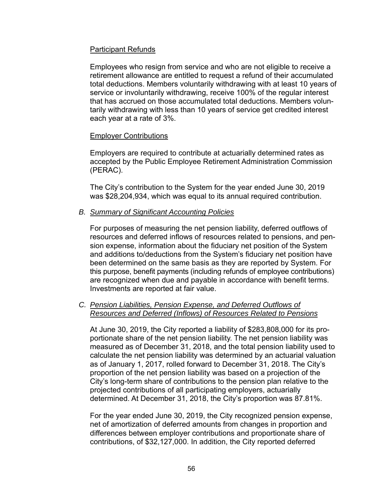#### Participant Refunds

Employees who resign from service and who are not eligible to receive a retirement allowance are entitled to request a refund of their accumulated total deductions. Members voluntarily withdrawing with at least 10 years of service or involuntarily withdrawing, receive 100% of the regular interest that has accrued on those accumulated total deductions. Members voluntarily withdrawing with less than 10 years of service get credited interest each year at a rate of 3%.

#### Employer Contributions

Employers are required to contribute at actuarially determined rates as accepted by the Public Employee Retirement Administration Commission (PERAC).

The City's contribution to the System for the year ended June 30, 2019 was \$28,204,934, which was equal to its annual required contribution.

#### *B. Summary of Significant Accounting Policies*

For purposes of measuring the net pension liability, deferred outflows of resources and deferred inflows of resources related to pensions, and pension expense, information about the fiduciary net position of the System and additions to/deductions from the System's fiduciary net position have been determined on the same basis as they are reported by System. For this purpose, benefit payments (including refunds of employee contributions) are recognized when due and payable in accordance with benefit terms. Investments are reported at fair value.

#### *C. Pension Liabilities, Pension Expense, and Deferred Outflows of Resources and Deferred (Inflows) of Resources Related to Pensions*

At June 30, 2019, the City reported a liability of \$283,808,000 for its proportionate share of the net pension liability. The net pension liability was measured as of December 31, 2018, and the total pension liability used to calculate the net pension liability was determined by an actuarial valuation as of January 1, 2017, rolled forward to December 31, 2018. The City's proportion of the net pension liability was based on a projection of the City's long-term share of contributions to the pension plan relative to the projected contributions of all participating employers, actuarially determined. At December 31, 2018, the City's proportion was 87.81%.

For the year ended June 30, 2019, the City recognized pension expense, net of amortization of deferred amounts from changes in proportion and differences between employer contributions and proportionate share of contributions, of \$32,127,000. In addition, the City reported deferred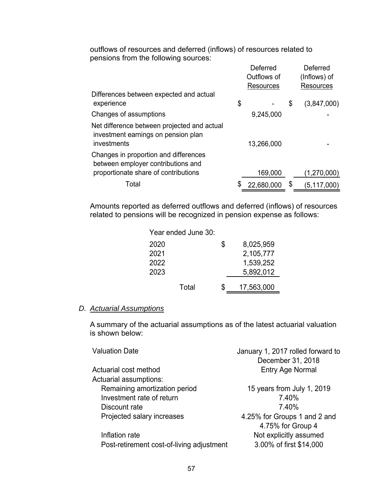outflows of resources and deferred (inflows) of resources related to pensions from the following sources: Deferred

|                                                                                                                     | Deferred<br>Outflows of<br>Resources | Deferred<br>(Inflows) of<br><b>Resources</b> |
|---------------------------------------------------------------------------------------------------------------------|--------------------------------------|----------------------------------------------|
| Differences between expected and actual<br>experience                                                               | \$                                   | \$<br>(3,847,000)                            |
| Changes of assumptions                                                                                              | 9,245,000                            |                                              |
| Net difference between projected and actual<br>investment earnings on pension plan<br>investments                   | 13,266,000                           |                                              |
| Changes in proportion and differences<br>between employer contributions and<br>proportionate share of contributions | 169,000                              | (1,270,000)                                  |
|                                                                                                                     |                                      |                                              |
| Total                                                                                                               | \$<br>22,680,000                     | \$<br>(5,117,000)                            |

Amounts reported as deferred outflows and deferred (inflows) of resources related to pensions will be recognized in pension expense as follows:

|      | Year ended June 30: |    |            |
|------|---------------------|----|------------|
| 2020 |                     | \$ | 8,025,959  |
| 2021 |                     |    | 2,105,777  |
| 2022 |                     |    | 1,539,252  |
| 2023 |                     |    | 5,892,012  |
|      | Total               | S. | 17,563,000 |

#### *D. Actuarial Assumptions*

A summary of the actuarial assumptions as of the latest actuarial valuation is shown below:

| December 31, 2018            |
|------------------------------|
| <b>Entry Age Normal</b>      |
|                              |
| 15 years from July 1, 2019   |
| 7.40%                        |
| 7.40%                        |
| 4.25% for Groups 1 and 2 and |
| 4.75% for Group 4            |
| Not explicitly assumed       |
| 3.00% of first \$14,000      |
|                              |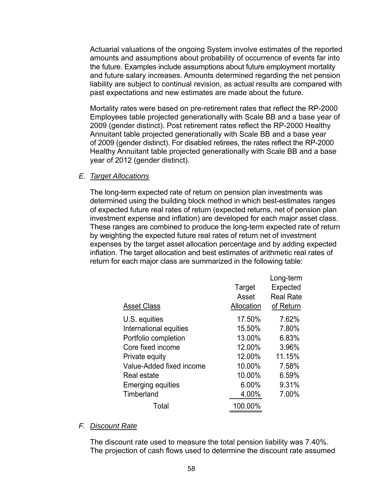Actuarial valuations of the ongoing System involve estimates of the reported amounts and assumptions about probability of occurrence of events far into the future. Examples include assumptions about future employment mortality and future salary increases. Amounts determined regarding the net pension liability are subject to continual revision, as actual results are compared with past expectations and new estimates are made about the future.

Mortality rates were based on pre-retirement rates that reflect the RP-2000 Employees table projected generationally with Scale BB and a base year of 2009 (gender distinct). Post retirement rates reflect the RP-2000 Healthy Annuitant table projected generationally with Scale BB and a base year of 2009 (gender distinct). For disabled retirees, the rates reflect the RP-2000 Healthy Annuitant table projected generationally with Scale BB and a base year of 2012 (gender distinct).

#### *E. Target Allocations*

The long-term expected rate of return on pension plan investments was determined using the building block method in which best-estimates ranges of expected future real rates of return (expected returns, net of pension plan investment expense and inflation) are developed for each major asset class. These ranges are combined to produce the long-term expected rate of return by weighting the expected future real rates of return net of investment expenses by the target asset allocation percentage and by adding expected inflation. The target allocation and best estimates of arithmetic real rates of return for each major class are summarized in the following table:

|                          |            | Long-term        |
|--------------------------|------------|------------------|
|                          | Target     | Expected         |
|                          | Asset      | <b>Real Rate</b> |
| <b>Asset Class</b>       | Allocation | of Return        |
| U.S. equities            | 17.50%     | 7.62%            |
| International equities   | 15.50%     | 7.80%            |
| Portfolio completion     | 13.00%     | 6.83%            |
| Core fixed income        | 12.00%     | 3.96%            |
| Private equity           | 12.00%     | 11.15%           |
| Value-Added fixed income | 10.00%     | 7.58%            |
| Real estate              | 10.00%     | 6.59%            |
| <b>Emerging equities</b> | 6.00%      | 9.31%            |
| Timberland               | 4.00%      | 7.00%            |
| Total                    | 100.00%    |                  |

#### *F. Discount Rate*

The discount rate used to measure the total pension liability was 7.40%. The projection of cash flows used to determine the discount rate assumed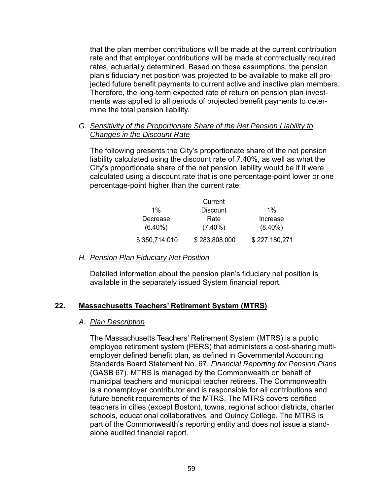that the plan member contributions will be made at the current contribution rate and that employer contributions will be made at contractually required rates, actuarially determined. Based on those assumptions, the pension plan's fiduciary net position was projected to be available to make all projected future benefit payments to current active and inactive plan members. Therefore, the long-term expected rate of return on pension plan investments was applied to all periods of projected benefit payments to determine the total pension liability.

#### *G. Sensitivity of the Proportionate Share of the Net Pension Liability to Changes in the Discount Rate*

The following presents the City's proportionate share of the net pension liability calculated using the discount rate of 7.40%, as well as what the City's proportionate share of the net pension liability would be if it were calculated using a discount rate that is one percentage-point lower or one percentage-point higher than the current rate:

|               | Current       |               |
|---------------|---------------|---------------|
| $1\%$         | Discount      | $1\%$         |
| Decrease      | Rate          | Increase      |
| $(6.40\%)$    | $(7.40\%)$    | $(8.40\%)$    |
| \$350,714,010 | \$283,808,000 | \$227,180,271 |

#### *H. Pension Plan Fiduciary Net Position*

Detailed information about the pension plan's fiduciary net position is available in the separately issued System financial report.

### **22. Massachusetts Teachers' Retirement System (MTRS)**

#### *A. Plan Description*

The Massachusetts Teachers' Retirement System (MTRS) is a public employee retirement system (PERS) that administers a cost-sharing multiemployer defined benefit plan, as defined in Governmental Accounting Standards Board Statement No. 67, *Financial Reporting for Pension Plans*  (GASB 67). MTRS is managed by the Commonwealth on behalf of municipal teachers and municipal teacher retirees. The Commonwealth is a nonemployer contributor and is responsible for all contributions and future benefit requirements of the MTRS. The MTRS covers certified teachers in cities (except Boston), towns, regional school districts, charter schools, educational collaboratives, and Quincy College. The MTRS is part of the Commonwealth's reporting entity and does not issue a standalone audited financial report.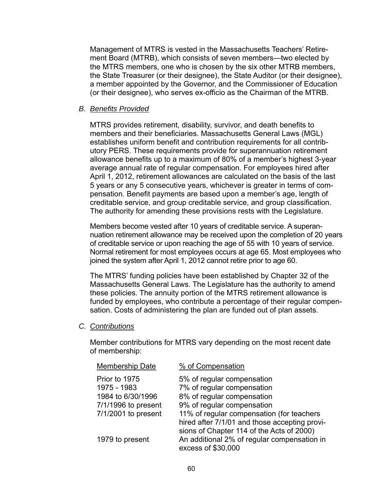Management of MTRS is vested in the Massachusetts Teachers' Retirement Board (MTRB), which consists of seven members—two elected by the MTRS members, one who is chosen by the six other MTRB members, the State Treasurer (or their designee), the State Auditor (or their designee), a member appointed by the Governor, and the Commissioner of Education (or their designee), who serves ex-officio as the Chairman of the MTRB.

#### *B. Benefits Provided*

MTRS provides retirement, disability, survivor, and death benefits to members and their beneficiaries. Massachusetts General Laws (MGL) establishes uniform benefit and contribution requirements for all contributory PERS. These requirements provide for superannuation retirement allowance benefits up to a maximum of 80% of a member's highest 3-year average annual rate of regular compensation. For employees hired after April 1, 2012, retirement allowances are calculated on the basis of the last 5 years or any 5 consecutive years, whichever is greater in terms of compensation. Benefit payments are based upon a member's age, length of creditable service, and group creditable service, and group classification. The authority for amending these provisions rests with the Legislature.

Members become vested after 10 years of creditable service. A superannuation retirement allowance may be received upon the completion of 20 years of creditable service or upon reaching the age of 55 with 10 years of service. Normal retirement for most employees occurs at age 65. Most employees who joined the system after April 1, 2012 cannot retire prior to age 60.

The MTRS' funding policies have been established by Chapter 32 of the Massachusetts General Laws. The Legislature has the authority to amend these policies. The annuity portion of the MTRS retirement allowance is funded by employees, who contribute a percentage of their regular compensation. Costs of administering the plan are funded out of plan assets.

#### *C. Contributions*

Member contributions for MTRS vary depending on the most recent date of membership:

| <b>Membership Date</b>                            | % of Compensation                                                                                                                                                     |
|---------------------------------------------------|-----------------------------------------------------------------------------------------------------------------------------------------------------------------------|
| Prior to 1975<br>1975 - 1983<br>1984 to 6/30/1996 | 5% of regular compensation<br>7% of regular compensation<br>8% of regular compensation                                                                                |
| $7/1/1996$ to present<br>7/1/2001 to present      | 9% of regular compensation<br>11% of regular compensation (for teachers<br>hired after 7/1/01 and those accepting provi-<br>sions of Chapter 114 of the Acts of 2000) |
| 1979 to present                                   | An additional 2% of regular compensation in<br>excess of \$30,000                                                                                                     |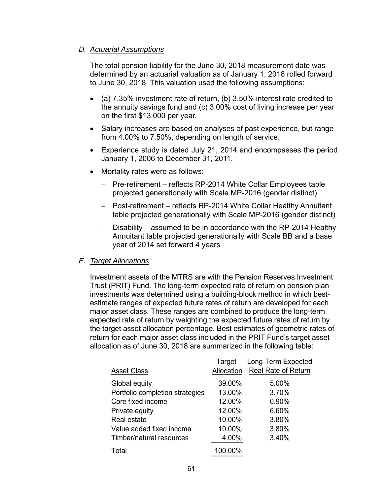#### *D. Actuarial Assumptions*

The total pension liability for the June 30, 2018 measurement date was determined by an actuarial valuation as of January 1, 2018 rolled forward to June 30, 2018. This valuation used the following assumptions:

- $\bullet$  (a) 7.35% investment rate of return, (b) 3.50% interest rate credited to the annuity savings fund and (c) 3.00% cost of living increase per year on the first \$13,000 per year.
- Salary increases are based on analyses of past experience, but range from 4.00% to 7.50%, depending on length of service.
- Experience study is dated July 21, 2014 and encompasses the period January 1, 2006 to December 31, 2011.
- Mortality rates were as follows:
	- Pre-retirement reflects RP-2014 White Collar Employees table projected generationally with Scale MP-2016 (gender distinct)
	- Post-retirement reflects RP-2014 White Collar Healthy Annuitant table projected generationally with Scale MP-2016 (gender distinct)
	- $-$  Disability assumed to be in accordance with the RP-2014 Healthy Annuitant table projected generationally with Scale BB and a base year of 2014 set forward 4 years

#### *E. Target Allocations*

Investment assets of the MTRS are with the Pension Reserves Investment Trust (PRIT) Fund. The long-term expected rate of return on pension plan investments was determined using a building-block method in which bestestimate ranges of expected future rates of return are developed for each major asset class. These ranges are combined to produce the long-term expected rate of return by weighting the expected future rates of return by the target asset allocation percentage. Best estimates of geometric rates of return for each major asset class included in the PRIT Fund's target asset allocation as of June 30, 2018 are summarized in the following table:

|                                 | Target     | Long-Term Expected         |
|---------------------------------|------------|----------------------------|
| <b>Asset Class</b>              | Allocation | <b>Real Rate of Return</b> |
| Global equity                   | 39.00%     | 5.00%                      |
| Portfolio completion strategies | 13.00%     | 3.70%                      |
| Core fixed income               | 12.00%     | 0.90%                      |
| Private equity                  | 12.00%     | 6.60%                      |
| Real estate                     | 10.00%     | 3.80%                      |
| Value added fixed income        | 10.00%     | 3.80%                      |
| Timber/natural resources        | 4.00%      | 3.40%                      |
| Total                           | 100.00%    |                            |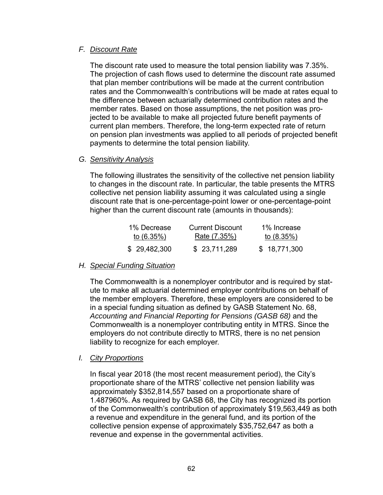### *F. Discount Rate*

The discount rate used to measure the total pension liability was 7.35%. The projection of cash flows used to determine the discount rate assumed that plan member contributions will be made at the current contribution rates and the Commonwealth's contributions will be made at rates equal to the difference between actuarially determined contribution rates and the member rates. Based on those assumptions, the net position was projected to be available to make all projected future benefit payments of current plan members. Therefore, the long-term expected rate of return on pension plan investments was applied to all periods of projected benefit payments to determine the total pension liability.

### *G. Sensitivity Analysis*

The following illustrates the sensitivity of the collective net pension liability to changes in the discount rate. In particular, the table presents the MTRS collective net pension liability assuming it was calculated using a single discount rate that is one-percentage-point lower or one-percentage-point higher than the current discount rate (amounts in thousands):

| 1% Decrease  | Current Discount | 1% Increase  |
|--------------|------------------|--------------|
| to $(6.35%)$ | Rate (7.35%)     | to $(8.35%)$ |
| \$29,482,300 | \$ 23,711,289    | \$18,771,300 |

#### *H. Special Funding Situation*

The Commonwealth is a nonemployer contributor and is required by statute to make all actuarial determined employer contributions on behalf of the member employers. Therefore, these employers are considered to be in a special funding situation as defined by GASB Statement No. 68, *Accounting and Financial Reporting for Pensions (GASB 68)* and the Commonwealth is a nonemployer contributing entity in MTRS. Since the employers do not contribute directly to MTRS, there is no net pension liability to recognize for each employer.

#### *I. City Proportions*

In fiscal year 2018 (the most recent measurement period), the City's proportionate share of the MTRS' collective net pension liability was approximately \$352,814,557 based on a proportionate share of 1.487960%. As required by GASB 68, the City has recognized its portion of the Commonwealth's contribution of approximately \$19,563,449 as both a revenue and expenditure in the general fund, and its portion of the collective pension expense of approximately \$35,752,647 as both a revenue and expense in the governmental activities.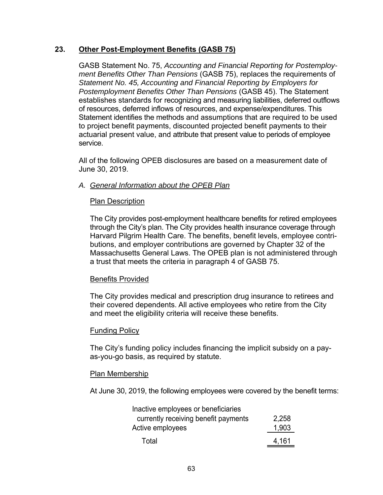### **23. Other Post-Employment Benefits (GASB 75)**

GASB Statement No. 75, *Accounting and Financial Reporting for Postemployment Benefits Other Than Pensions* (GASB 75), replaces the requirements of *Statement No. 45, Accounting and Financial Reporting by Employers for Postemployment Benefits Other Than Pensions* (GASB 45). The Statement establishes standards for recognizing and measuring liabilities, deferred outflows of resources, deferred inflows of resources, and expense/expenditures. This Statement identifies the methods and assumptions that are required to be used to project benefit payments, discounted projected benefit payments to their actuarial present value, and attribute that present value to periods of employee service.

All of the following OPEB disclosures are based on a measurement date of June 30, 2019.

#### *A. General Information about the OPEB Plan*

#### Plan Description

The City provides post-employment healthcare benefits for retired employees through the City's plan. The City provides health insurance coverage through Harvard Pilgrim Health Care. The benefits, benefit levels, employee contributions, and employer contributions are governed by Chapter 32 of the Massachusetts General Laws. The OPEB plan is not administered through a trust that meets the criteria in paragraph 4 of GASB 75.

#### Benefits Provided

The City provides medical and prescription drug insurance to retirees and their covered dependents. All active employees who retire from the City and meet the eligibility criteria will receive these benefits.

#### Funding Policy

The City's funding policy includes financing the implicit subsidy on a payas-you-go basis, as required by statute.

#### Plan Membership

At June 30, 2019, the following employees were covered by the benefit terms:

| Inactive employees or beneficiaries  |       |
|--------------------------------------|-------|
| currently receiving benefit payments | 2,258 |
| Active employees                     | 1,903 |
| Total                                | 4,161 |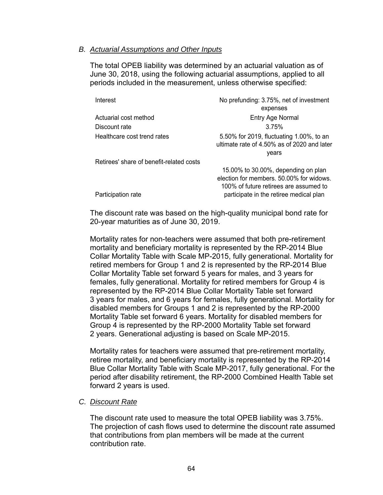#### *B. Actuarial Assumptions and Other Inputs*

The total OPEB liability was determined by an actuarial valuation as of June 30, 2018, using the following actuarial assumptions, applied to all periods included in the measurement, unless otherwise specified:

| Interest                                 | No prefunding: 3.75%, net of investment                                                                                   |
|------------------------------------------|---------------------------------------------------------------------------------------------------------------------------|
|                                          | expenses                                                                                                                  |
| Actuarial cost method                    | Entry Age Normal                                                                                                          |
| Discount rate                            | 3.75%                                                                                                                     |
| Healthcare cost trend rates              | 5.50% for 2019, fluctuating 1.00%, to an<br>ultimate rate of 4.50% as of 2020 and later                                   |
|                                          | years                                                                                                                     |
| Retirees' share of benefit-related costs |                                                                                                                           |
|                                          | 15.00% to 30.00%, depending on plan<br>election for members. 50.00% for widows.<br>100% of future retirees are assumed to |
| Participation rate                       | participate in the retiree medical plan                                                                                   |

The discount rate was based on the high-quality municipal bond rate for 20-year maturities as of June 30, 2019.

Mortality rates for non-teachers were assumed that both pre-retirement mortality and beneficiary mortality is represented by the RP-2014 Blue Collar Mortality Table with Scale MP-2015, fully generational. Mortality for retired members for Group 1 and 2 is represented by the RP-2014 Blue Collar Mortality Table set forward 5 years for males, and 3 years for females, fully generational. Mortality for retired members for Group 4 is represented by the RP-2014 Blue Collar Mortality Table set forward 3 years for males, and 6 years for females, fully generational. Mortality for disabled members for Groups 1 and 2 is represented by the RP-2000 Mortality Table set forward 6 years. Mortality for disabled members for Group 4 is represented by the RP-2000 Mortality Table set forward 2 years. Generational adjusting is based on Scale MP-2015.

Mortality rates for teachers were assumed that pre-retirement mortality, retiree mortality, and beneficiary mortality is represented by the RP-2014 Blue Collar Mortality Table with Scale MP-2017, fully generational. For the period after disability retirement, the RP-2000 Combined Health Table set forward 2 years is used.

#### *C. Discount Rate*

The discount rate used to measure the total OPEB liability was 3.75%. The projection of cash flows used to determine the discount rate assumed that contributions from plan members will be made at the current contribution rate.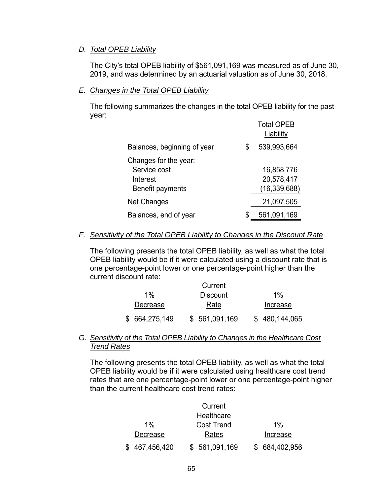#### *D. Total OPEB Liability*

The City's total OPEB liability of \$561,091,169 was measured as of June 30, 2019, and was determined by an actuarial valuation as of June 30, 2018.

#### *E. Changes in the Total OPEB Liability*

The following summarizes the changes in the total OPEB liability for the past year:  $-$ 

|                                                   | Total OPEB<br>Liability  |
|---------------------------------------------------|--------------------------|
| Balances, beginning of year                       | 539,993,664              |
| Changes for the year:<br>Service cost<br>Interest | 16,858,776<br>20,578,417 |
| Benefit payments                                  | (16, 339, 688)           |
| <b>Net Changes</b>                                | 21,097,505               |
| Balances, end of year                             | 561,091,169              |

#### *F. Sensitivity of the Total OPEB Liability to Changes in the Discount Rate*

The following presents the total OPEB liability, as well as what the total OPEB liability would be if it were calculated using a discount rate that is one percentage-point lower or one percentage-point higher than the current discount rate:

|               | Current         |               |
|---------------|-----------------|---------------|
| $1\%$         | <b>Discount</b> | $1\%$         |
| Decrease      | Rate            | Increase      |
| \$664,275,149 | \$561,091,169   | \$480,144,065 |

#### *G. Sensitivity of the Total OPEB Liability to Changes in the Healthcare Cost Trend Rates*

The following presents the total OPEB liability, as well as what the total OPEB liability would be if it were calculated using healthcare cost trend rates that are one percentage-point lower or one percentage-point higher than the current healthcare cost trend rates:

|               | Current           |               |
|---------------|-------------------|---------------|
|               | Healthcare        |               |
| $1\%$         | <b>Cost Trend</b> | $1\%$         |
| Decrease      | Rates             | Increase      |
| \$467,456,420 | \$561,091,169     | \$684,402,956 |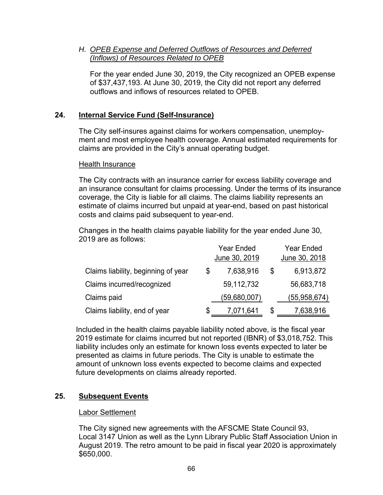#### *H. OPEB Expense and Deferred Outflows of Resources and Deferred (Inflows) of Resources Related to OPEB*

For the year ended June 30, 2019, the City recognized an OPEB expense of \$37,437,193. At June 30, 2019, the City did not report any deferred outflows and inflows of resources related to OPEB.

### **24. Internal Service Fund (Self-Insurance)**

The City self-insures against claims for workers compensation, unemployment and most employee health coverage. Annual estimated requirements for claims are provided in the City's annual operating budget.

#### Health Insurance

The City contracts with an insurance carrier for excess liability coverage and an insurance consultant for claims processing. Under the terms of its insurance coverage, the City is liable for all claims. The claims liability represents an estimate of claims incurred but unpaid at year-end, based on past historical costs and claims paid subsequent to year-end.

Changes in the health claims payable liability for the year ended June 30, 2019 are as follows:

|                                     |    | <b>Year Ended</b> |     | <b>Year Ended</b> |
|-------------------------------------|----|-------------------|-----|-------------------|
|                                     |    | June 30, 2019     |     | June 30, 2018     |
| Claims liability, beginning of year | S. | 7,638,916         | -\$ | 6,913,872         |
| Claims incurred/recognized          |    | 59,112,732        |     | 56,683,718        |
| Claims paid                         |    | (59,680,007)      |     | (55,958,674)      |
| Claims liability, end of year       | \$ | 7,071,641         | \$  | 7,638,916         |

Included in the health claims payable liability noted above, is the fiscal year 2019 estimate for claims incurred but not reported (IBNR) of \$3,018,752. This liability includes only an estimate for known loss events expected to later be presented as claims in future periods. The City is unable to estimate the amount of unknown loss events expected to become claims and expected future developments on claims already reported.

### **25. Subsequent Events**

#### Labor Settlement

The City signed new agreements with the AFSCME State Council 93, Local 3147 Union as well as the Lynn Library Public Staff Association Union in August 2019. The retro amount to be paid in fiscal year 2020 is approximately \$650,000.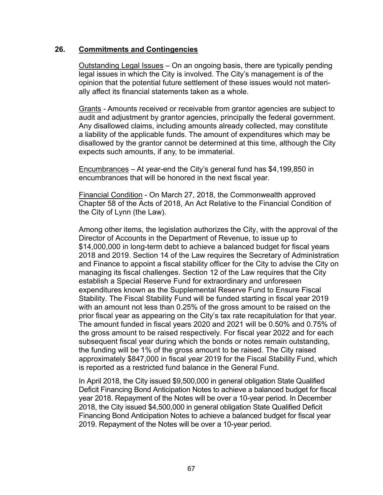#### **26. Commitments and Contingencies**

Outstanding Legal Issues – On an ongoing basis, there are typically pending legal issues in which the City is involved. The City's management is of the opinion that the potential future settlement of these issues would not materially affect its financial statements taken as a whole.

Grants - Amounts received or receivable from grantor agencies are subject to audit and adjustment by grantor agencies, principally the federal government. Any disallowed claims, including amounts already collected, may constitute a liability of the applicable funds. The amount of expenditures which may be disallowed by the grantor cannot be determined at this time, although the City expects such amounts, if any, to be immaterial.

Encumbrances – At year-end the City's general fund has \$4,199,850 in encumbrances that will be honored in the next fiscal year.

Financial Condition - On March 27, 2018, the Commonwealth approved Chapter 58 of the Acts of 2018, An Act Relative to the Financial Condition of the City of Lynn (the Law).

Among other items, the legislation authorizes the City, with the approval of the Director of Accounts in the Department of Revenue, to issue up to \$14,000,000 in long-term debt to achieve a balanced budget for fiscal years 2018 and 2019. Section 14 of the Law requires the Secretary of Administration and Finance to appoint a fiscal stability officer for the City to advise the City on managing its fiscal challenges. Section 12 of the Law requires that the City establish a Special Reserve Fund for extraordinary and unforeseen expenditures known as the Supplemental Reserve Fund to Ensure Fiscal Stability. The Fiscal Stability Fund will be funded starting in fiscal year 2019 with an amount not less than 0.25% of the gross amount to be raised on the prior fiscal year as appearing on the City's tax rate recapitulation for that year. The amount funded in fiscal years 2020 and 2021 will be 0.50% and 0.75% of the gross amount to be raised respectively. For fiscal year 2022 and for each subsequent fiscal year during which the bonds or notes remain outstanding, the funding will be 1% of the gross amount to be raised. The City raised approximately \$847,000 in fiscal year 2019 for the Fiscal Stability Fund, which is reported as a restricted fund balance in the General Fund.

In April 2018, the City issued \$9,500,000 in general obligation State Qualified Deficit Financing Bond Anticipation Notes to achieve a balanced budget for fiscal year 2018. Repayment of the Notes will be over a 10-year period. In December 2018, the City issued \$4,500,000 in general obligation State Qualified Deficit Financing Bond Anticipation Notes to achieve a balanced budget for fiscal year 2019. Repayment of the Notes will be over a 10-year period.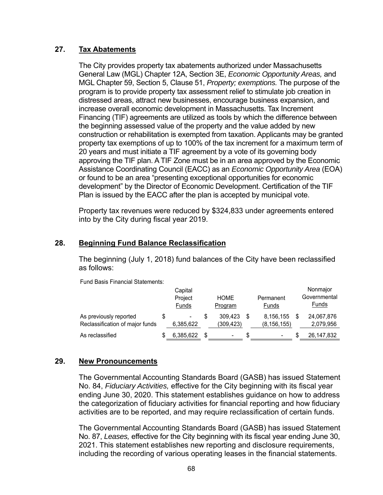### **27. Tax Abatements**

The City provides property tax abatements authorized under Massachusetts General Law (MGL) Chapter 12A, Section 3E, *Economic Opportunity Areas,* and MGL Chapter 59, Section 5, Clause 51, *Property; exemptions.* The purpose of the program is to provide property tax assessment relief to stimulate job creation in distressed areas, attract new businesses, encourage business expansion, and increase overall economic development in Massachusetts. Tax Increment Financing (TIF) agreements are utilized as tools by which the difference between the beginning assessed value of the property and the value added by new construction or rehabilitation is exempted from taxation. Applicants may be granted property tax exemptions of up to 100% of the tax increment for a maximum term of 20 years and must initiate a TIF agreement by a vote of its governing body approving the TIF plan. A TIF Zone must be in an area approved by the Economic Assistance Coordinating Council (EACC) as an *Economic Opportunity Area* (EOA) or found to be an area "presenting exceptional opportunities for economic development" by the Director of Economic Development. Certification of the TIF Plan is issued by the EACC after the plan is accepted by municipal vote.

Property tax revenues were reduced by \$324,833 under agreements entered into by the City during fiscal year 2019.

#### **28. Beginning Fund Balance Reclassification**

The beginning (July 1, 2018) fund balances of the City have been reclassified as follows:

|                                                           |   | Capital<br>Project<br>Funds |    | <b>HOME</b><br>Program |    | Permanent<br>Funds         | Nonmajor<br>Governmental<br>Funds |
|-----------------------------------------------------------|---|-----------------------------|----|------------------------|----|----------------------------|-----------------------------------|
| As previously reported<br>Reclassification of major funds | S | ۰<br>6,385,622              |    | 309.423<br>(309,423)   | S. | 8,156,155<br>(8, 156, 155) | 24,067,876<br>2,079,956           |
| As reclassified                                           |   | 6,385,622                   | \$ |                        | S  | ۰                          | 26,147,832                        |

Fund Basis Financial Statements:

#### **29. New Pronouncements**

The Governmental Accounting Standards Board (GASB) has issued Statement No. 84, *Fiduciary Activities,* effective for the City beginning with its fiscal year ending June 30, 2020. This statement establishes guidance on how to address the categorization of fiduciary activities for financial reporting and how fiduciary activities are to be reported, and may require reclassification of certain funds.

The Governmental Accounting Standards Board (GASB) has issued Statement No. 87, *Leases,* effective for the City beginning with its fiscal year ending June 30, 2021. This statement establishes new reporting and disclosure requirements, including the recording of various operating leases in the financial statements.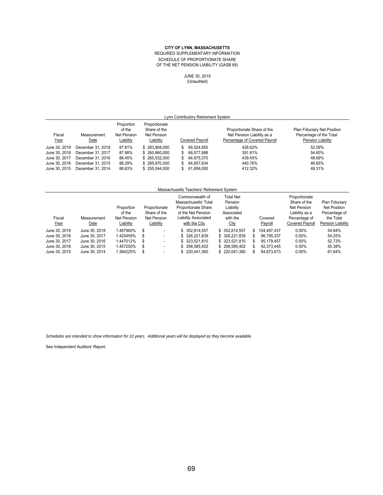#### **CITY OF LYNN, MASSACHUSETTS**

#### SCHEDULE OF PROPORTIONATE SHARE OF THE NET PENSION LIABILITY (GASB 68) REQUIRED SUPPLEMENTARY INFORMATION

JUNE 30, 2019 (Unaudited)

| Lynn Contributory Retirement System |                     |                                                  |                                                           |     |                 |                                                                                           |                                                                             |  |  |  |
|-------------------------------------|---------------------|--------------------------------------------------|-----------------------------------------------------------|-----|-----------------|-------------------------------------------------------------------------------------------|-----------------------------------------------------------------------------|--|--|--|
| Fiscal<br><u>Year</u>               | Measurement<br>Date | Proportion<br>of the<br>Net Pension<br>Liability | Proportionate<br>Share of the<br>Net Pension<br>Liability |     | Covered Payroll | Proportionate Share of the<br>Net Pension Liability as a<br>Percentage of Covered Payroll | Plan Fiduciary Net Position<br>Percentage of the Total<br>Pension Liability |  |  |  |
| June 30, 2019                       | December 31, 2018   | 87.81%                                           | \$283,808,000                                             | S.  | 66.524.855      | 426.62%                                                                                   | 52.09%                                                                      |  |  |  |
| June 30, 2018                       | December 31, 2017   | 87.88%                                           | \$260,860,000                                             |     | \$ 66.577.888   | 391.81%                                                                                   | 54.60%                                                                      |  |  |  |
| June 30, 2017                       | December 31, 2016   | 88.45%                                           | \$285,532,000                                             | S.  | 64.975.370      | 439.45%                                                                                   | 48.69%                                                                      |  |  |  |
| June 30, 2016                       | December 31, 2015   | 88.29%                                           | \$285,870,000                                             | SS. | 64.857.834      | 440.76%                                                                                   | 46.65%                                                                      |  |  |  |
| June 30, 2015                       | December 31, 2014   | 88.63%                                           | \$255,044,000                                             |     | 61.856.000      | 412.32%                                                                                   | 49.31%                                                                      |  |  |  |

#### Massachusetts Teachers' Retirement System

|               |               |             |    |                          | Commonwealth of            | Total Net      |     |             | Proportionate   |                   |
|---------------|---------------|-------------|----|--------------------------|----------------------------|----------------|-----|-------------|-----------------|-------------------|
|               |               |             |    |                          | Massachusetts' Total       | Pension        |     |             | Share of the    | Plan Fiduciary    |
|               |               | Proportion  |    | Proportionate            | <b>Proportionate Share</b> | Liability      |     |             | Net Pension     | Net Position      |
|               |               | of the      |    | Share of the             | of the Net Pension         | Associated     |     |             | Liability as a  | Percentage of     |
| Fiscal        | Measurement   | Net Pension |    | Net Pension              | Liability Associated       | with the       |     | Covered     | Percentage of   | the Total         |
| Year          | Date          | Liability   |    | Liability                | with the City              | <b>City</b>    |     | Payroll     | Covered Pavroll | Pension Liability |
| June 30, 2019 | June 30, 2018 | 1.487960%   | \$ | ۰                        | \$ 352.814.557             | \$352.814.557  | S   | 104.497.437 | $0.00\%$        | 54.84%            |
| June 30, 2018 | June 30, 2017 | 1.425459%   | S  | ۰                        | \$ 326,221,839             | \$326,221,839  |     | 96.795.337  | $0.00\%$        | 54.25%            |
| June 30, 2017 | June 30, 2016 | 1.447012%   | S  | $\overline{\phantom{a}}$ | \$ 323,521,810             | \$ 323,521,810 | S   | 95,179,457  | $0.00\%$        | 52.73%            |
| June 30, 2016 | June 30, 2015 | 1.457250%   | \$ | ۰                        | \$298,585,402              | \$298,585,402  |     | 92.373.445  | $0.00\%$        | 55.38%            |
| June 30, 2015 | June 30, 2014 | 1.384225%   | S  |                          | \$ 220,041,360             | \$220,041,360  | \$. | 84.873.673  | $0.00\%$        | 61.64%            |

*Schedules are intended to show information for 10 years. Additional years will be displayed as they become available.*

See Independent Auditors' Report.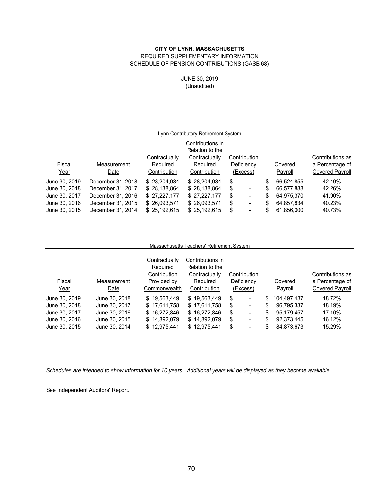## **CITY OF LYNN, MASSACHUSETTS** REQUIRED SUPPLEMENTARY INFORMATION

SCHEDULE OF PENSION CONTRIBUTIONS (GASB 68)

JUNE 30, 2019 (Unaudited)

|               |                   |               | Lynn Contributory Retirement System                  |            |                          |         |            |                        |
|---------------|-------------------|---------------|------------------------------------------------------|------------|--------------------------|---------|------------|------------------------|
|               |                   | Contractually | Contributions in<br>Relation to the<br>Contractually |            | Contribution             |         |            | Contributions as       |
| Fiscal        | Measurement       | Required      | Required                                             | Deficiency |                          | Covered |            | a Percentage of        |
| Year          | Date              | Contribution  | Contribution                                         | (Excess)   |                          | Payroll |            | <b>Covered Payroll</b> |
| June 30, 2019 | December 31, 2018 | \$28,204,934  | \$28,204,934                                         | \$         | $\blacksquare$           | \$      | 66,524,855 | 42.40%                 |
| June 30, 2018 | December 31, 2017 | \$28,138,864  | \$28,138,864                                         | S          | $\blacksquare$           | \$      | 66,577,888 | 42.26%                 |
| June 30, 2017 | December 31, 2016 | \$27.227.177  | \$27.227.177                                         | S          | ۰.                       | \$      | 64.975.370 | 41.90%                 |
| June 30, 2016 | December 31, 2015 | \$26,093,571  | \$26,093,571                                         | \$         | $\overline{\phantom{a}}$ | \$      | 64,857,834 | 40.23%                 |
| June 30, 2015 | December 31, 2014 | \$25,192,615  | \$25,192,615                                         | \$         | $\overline{\phantom{a}}$ | \$      | 61,856,000 | 40.73%                 |

## Massachusetts Teachers' Retirement System

| Fiscal<br>Year                                                                    | Measurement<br>Date                                                               | Contractually<br>Required<br>Contribution<br>Provided by<br>Commonwealth     | Contributions in<br>Relation to the<br>Contractually<br>Required<br>Contribution | Contribution<br>Deficiency<br>(Excess) | Covered<br>Payroll                                                                               | Contributions as<br>a Percentage of<br><b>Covered Payroll</b> |
|-----------------------------------------------------------------------------------|-----------------------------------------------------------------------------------|------------------------------------------------------------------------------|----------------------------------------------------------------------------------|----------------------------------------|--------------------------------------------------------------------------------------------------|---------------------------------------------------------------|
| June 30, 2019<br>June 30, 2018<br>June 30, 2017<br>June 30, 2016<br>June 30, 2015 | June 30, 2018<br>June 30, 2017<br>June 30, 2016<br>June 30, 2015<br>June 30, 2014 | \$19.563.449<br>\$17,611,758<br>\$16,272,846<br>\$14,892,079<br>\$12,975,441 | \$19,563,449<br>\$17,611,758<br>\$16,272,846<br>\$14,892,079<br>\$12,975,441     | S<br>S<br>۰<br>\$<br>۰<br>S<br>۰<br>S  | 104.497.437<br>S.<br>96,795,337<br>S<br>95.179.457<br>\$<br>92.373.445<br>\$<br>84,873,673<br>\$ | 18.72%<br>18.19%<br>17.10%<br>16.12%<br>15.29%                |

*Schedules are intended to show information for 10 years. Additional years will be displayed as they become available.*

See Independent Auditors' Report.